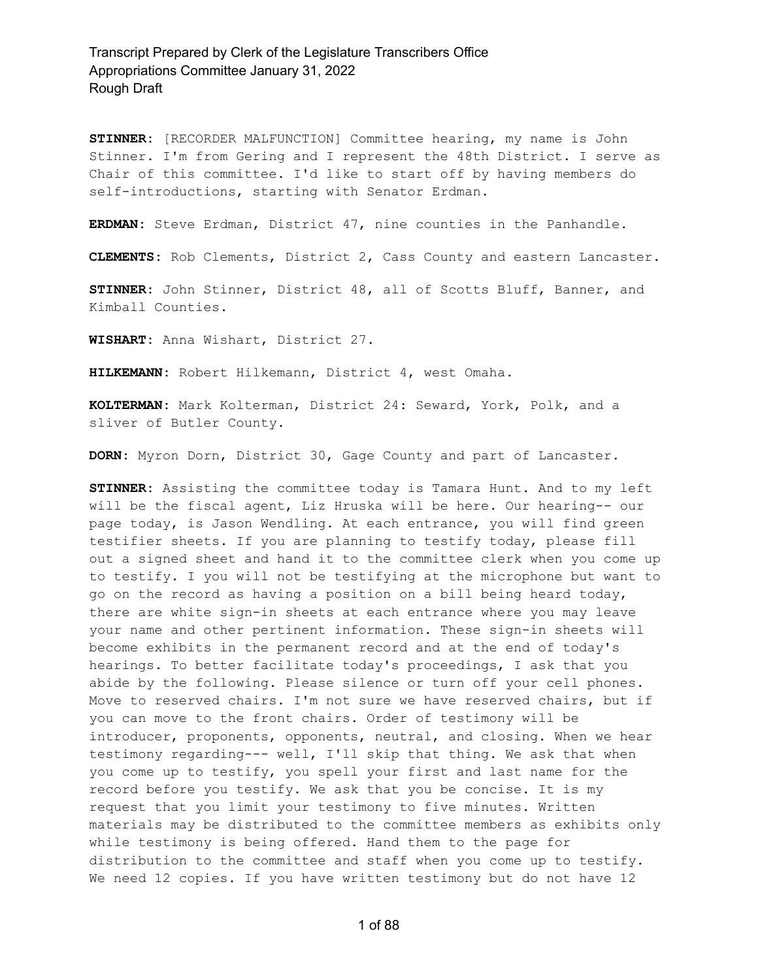**STINNER:** [RECORDER MALFUNCTION] Committee hearing, my name is John Stinner. I'm from Gering and I represent the 48th District. I serve as Chair of this committee. I'd like to start off by having members do self-introductions, starting with Senator Erdman.

**ERDMAN:** Steve Erdman, District 47, nine counties in the Panhandle.

**CLEMENTS:** Rob Clements, District 2, Cass County and eastern Lancaster.

**STINNER:** John Stinner, District 48, all of Scotts Bluff, Banner, and Kimball Counties.

**WISHART:** Anna Wishart, District 27.

**HILKEMANN:** Robert Hilkemann, District 4, west Omaha.

**KOLTERMAN:** Mark Kolterman, District 24: Seward, York, Polk, and a sliver of Butler County.

**DORN:** Myron Dorn, District 30, Gage County and part of Lancaster.

**STINNER:** Assisting the committee today is Tamara Hunt. And to my left will be the fiscal agent, Liz Hruska will be here. Our hearing-- our page today, is Jason Wendling. At each entrance, you will find green testifier sheets. If you are planning to testify today, please fill out a signed sheet and hand it to the committee clerk when you come up to testify. I you will not be testifying at the microphone but want to go on the record as having a position on a bill being heard today, there are white sign-in sheets at each entrance where you may leave your name and other pertinent information. These sign-in sheets will become exhibits in the permanent record and at the end of today's hearings. To better facilitate today's proceedings, I ask that you abide by the following. Please silence or turn off your cell phones. Move to reserved chairs. I'm not sure we have reserved chairs, but if you can move to the front chairs. Order of testimony will be introducer, proponents, opponents, neutral, and closing. When we hear testimony regarding--- well, I'll skip that thing. We ask that when you come up to testify, you spell your first and last name for the record before you testify. We ask that you be concise. It is my request that you limit your testimony to five minutes. Written materials may be distributed to the committee members as exhibits only while testimony is being offered. Hand them to the page for distribution to the committee and staff when you come up to testify. We need 12 copies. If you have written testimony but do not have 12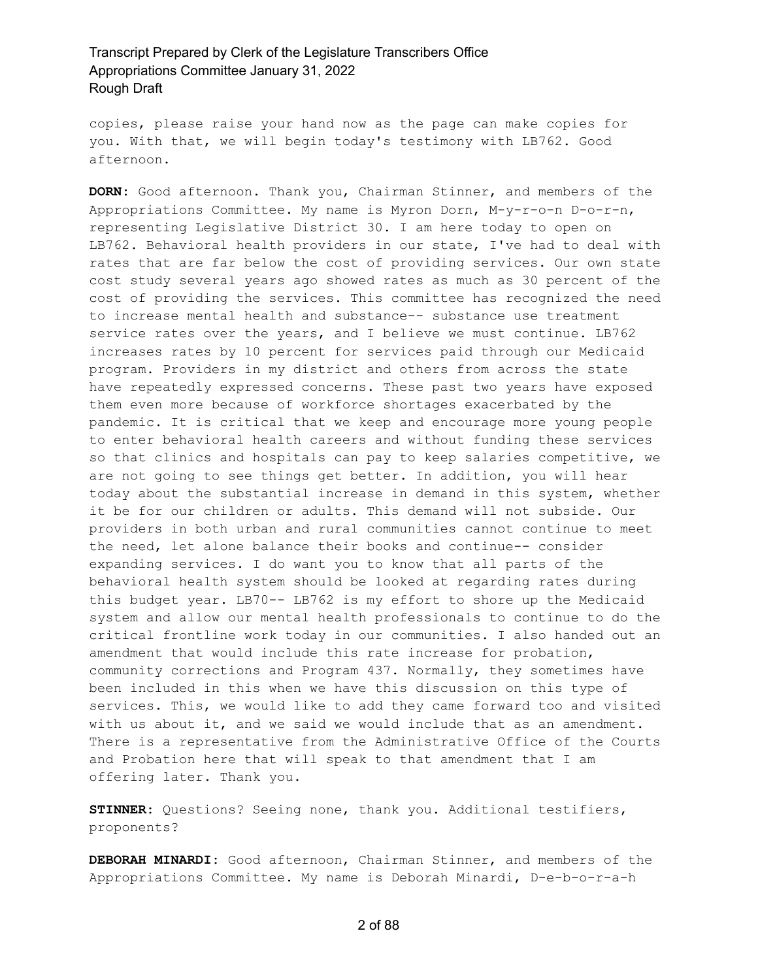copies, please raise your hand now as the page can make copies for you. With that, we will begin today's testimony with LB762. Good afternoon.

**DORN:** Good afternoon. Thank you, Chairman Stinner, and members of the Appropriations Committee. My name is Myron Dorn, M-y-r-o-n D-o-r-n, representing Legislative District 30. I am here today to open on LB762. Behavioral health providers in our state, I've had to deal with rates that are far below the cost of providing services. Our own state cost study several years ago showed rates as much as 30 percent of the cost of providing the services. This committee has recognized the need to increase mental health and substance-- substance use treatment service rates over the years, and I believe we must continue. LB762 increases rates by 10 percent for services paid through our Medicaid program. Providers in my district and others from across the state have repeatedly expressed concerns. These past two years have exposed them even more because of workforce shortages exacerbated by the pandemic. It is critical that we keep and encourage more young people to enter behavioral health careers and without funding these services so that clinics and hospitals can pay to keep salaries competitive, we are not going to see things get better. In addition, you will hear today about the substantial increase in demand in this system, whether it be for our children or adults. This demand will not subside. Our providers in both urban and rural communities cannot continue to meet the need, let alone balance their books and continue-- consider expanding services. I do want you to know that all parts of the behavioral health system should be looked at regarding rates during this budget year. LB70-- LB762 is my effort to shore up the Medicaid system and allow our mental health professionals to continue to do the critical frontline work today in our communities. I also handed out an amendment that would include this rate increase for probation, community corrections and Program 437. Normally, they sometimes have been included in this when we have this discussion on this type of services. This, we would like to add they came forward too and visited with us about it, and we said we would include that as an amendment. There is a representative from the Administrative Office of the Courts and Probation here that will speak to that amendment that I am offering later. Thank you.

**STINNER:** Questions? Seeing none, thank you. Additional testifiers, proponents?

**DEBORAH MINARDI:** Good afternoon, Chairman Stinner, and members of the Appropriations Committee. My name is Deborah Minardi, D-e-b-o-r-a-h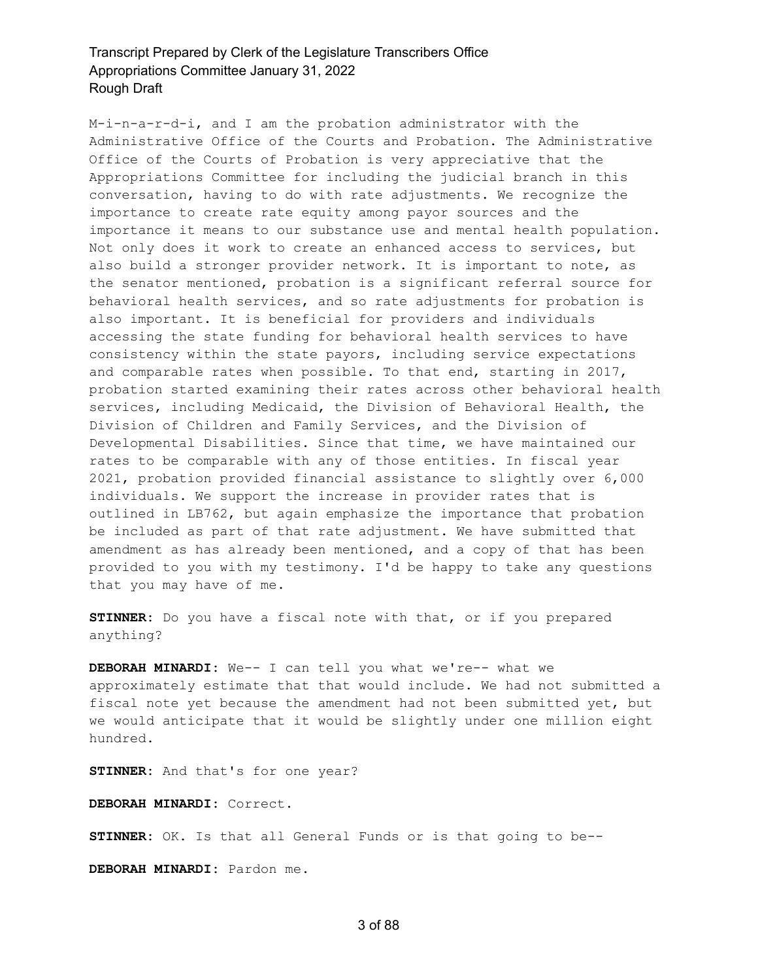M-i-n-a-r-d-i, and I am the probation administrator with the Administrative Office of the Courts and Probation. The Administrative Office of the Courts of Probation is very appreciative that the Appropriations Committee for including the judicial branch in this conversation, having to do with rate adjustments. We recognize the importance to create rate equity among payor sources and the importance it means to our substance use and mental health population. Not only does it work to create an enhanced access to services, but also build a stronger provider network. It is important to note, as the senator mentioned, probation is a significant referral source for behavioral health services, and so rate adjustments for probation is also important. It is beneficial for providers and individuals accessing the state funding for behavioral health services to have consistency within the state payors, including service expectations and comparable rates when possible. To that end, starting in 2017, probation started examining their rates across other behavioral health services, including Medicaid, the Division of Behavioral Health, the Division of Children and Family Services, and the Division of Developmental Disabilities. Since that time, we have maintained our rates to be comparable with any of those entities. In fiscal year 2021, probation provided financial assistance to slightly over 6,000 individuals. We support the increase in provider rates that is outlined in LB762, but again emphasize the importance that probation be included as part of that rate adjustment. We have submitted that amendment as has already been mentioned, and a copy of that has been provided to you with my testimony. I'd be happy to take any questions that you may have of me.

**STINNER:** Do you have a fiscal note with that, or if you prepared anything?

**DEBORAH MINARDI:** We-- I can tell you what we're-- what we approximately estimate that that would include. We had not submitted a fiscal note yet because the amendment had not been submitted yet, but we would anticipate that it would be slightly under one million eight hundred.

**STINNER:** And that's for one year?

**DEBORAH MINARDI:** Correct.

**STINNER:** OK. Is that all General Funds or is that going to be--

**DEBORAH MINARDI:** Pardon me.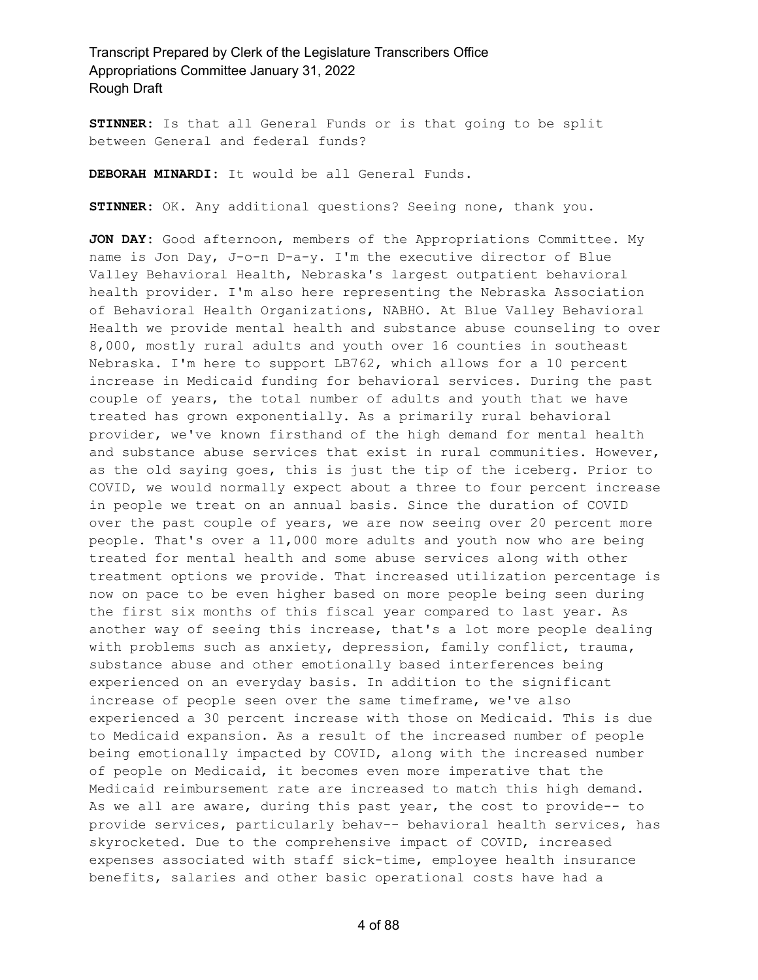**STINNER:** Is that all General Funds or is that going to be split between General and federal funds?

**DEBORAH MINARDI:** It would be all General Funds.

**STINNER:** OK. Any additional questions? Seeing none, thank you.

**JON DAY:** Good afternoon, members of the Appropriations Committee. My name is Jon Day, J-o-n D-a-y. I'm the executive director of Blue Valley Behavioral Health, Nebraska's largest outpatient behavioral health provider. I'm also here representing the Nebraska Association of Behavioral Health Organizations, NABHO. At Blue Valley Behavioral Health we provide mental health and substance abuse counseling to over 8,000, mostly rural adults and youth over 16 counties in southeast Nebraska. I'm here to support LB762, which allows for a 10 percent increase in Medicaid funding for behavioral services. During the past couple of years, the total number of adults and youth that we have treated has grown exponentially. As a primarily rural behavioral provider, we've known firsthand of the high demand for mental health and substance abuse services that exist in rural communities. However, as the old saying goes, this is just the tip of the iceberg. Prior to COVID, we would normally expect about a three to four percent increase in people we treat on an annual basis. Since the duration of COVID over the past couple of years, we are now seeing over 20 percent more people. That's over a 11,000 more adults and youth now who are being treated for mental health and some abuse services along with other treatment options we provide. That increased utilization percentage is now on pace to be even higher based on more people being seen during the first six months of this fiscal year compared to last year. As another way of seeing this increase, that's a lot more people dealing with problems such as anxiety, depression, family conflict, trauma, substance abuse and other emotionally based interferences being experienced on an everyday basis. In addition to the significant increase of people seen over the same timeframe, we've also experienced a 30 percent increase with those on Medicaid. This is due to Medicaid expansion. As a result of the increased number of people being emotionally impacted by COVID, along with the increased number of people on Medicaid, it becomes even more imperative that the Medicaid reimbursement rate are increased to match this high demand. As we all are aware, during this past year, the cost to provide-- to provide services, particularly behav-- behavioral health services, has skyrocketed. Due to the comprehensive impact of COVID, increased expenses associated with staff sick-time, employee health insurance benefits, salaries and other basic operational costs have had a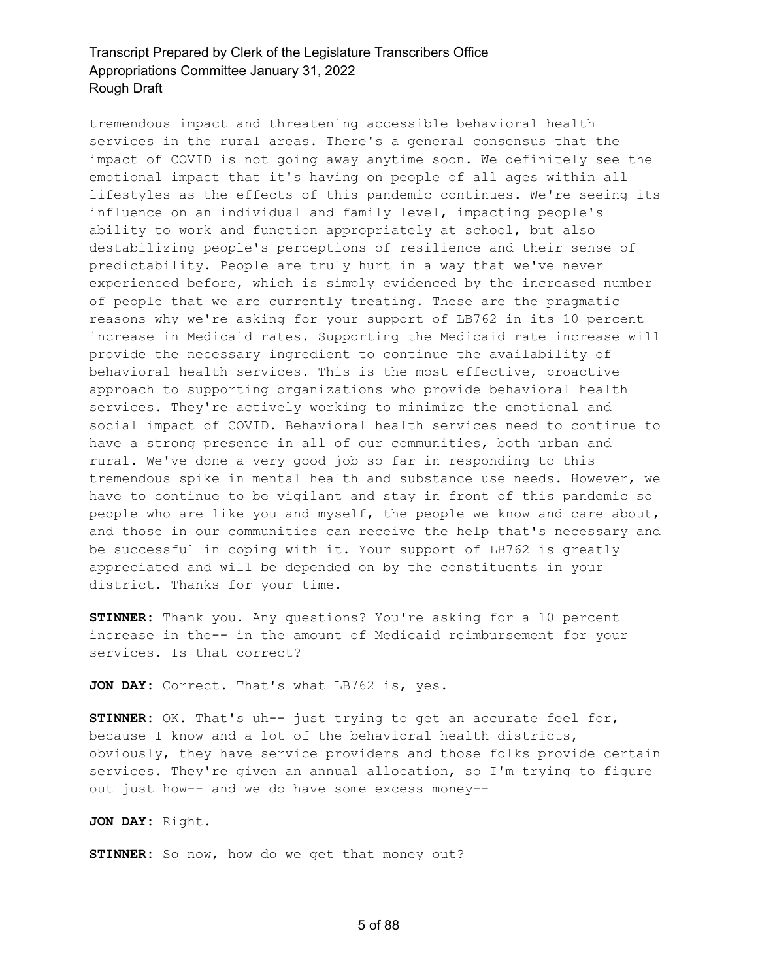tremendous impact and threatening accessible behavioral health services in the rural areas. There's a general consensus that the impact of COVID is not going away anytime soon. We definitely see the emotional impact that it's having on people of all ages within all lifestyles as the effects of this pandemic continues. We're seeing its influence on an individual and family level, impacting people's ability to work and function appropriately at school, but also destabilizing people's perceptions of resilience and their sense of predictability. People are truly hurt in a way that we've never experienced before, which is simply evidenced by the increased number of people that we are currently treating. These are the pragmatic reasons why we're asking for your support of LB762 in its 10 percent increase in Medicaid rates. Supporting the Medicaid rate increase will provide the necessary ingredient to continue the availability of behavioral health services. This is the most effective, proactive approach to supporting organizations who provide behavioral health services. They're actively working to minimize the emotional and social impact of COVID. Behavioral health services need to continue to have a strong presence in all of our communities, both urban and rural. We've done a very good job so far in responding to this tremendous spike in mental health and substance use needs. However, we have to continue to be vigilant and stay in front of this pandemic so people who are like you and myself, the people we know and care about, and those in our communities can receive the help that's necessary and be successful in coping with it. Your support of LB762 is greatly appreciated and will be depended on by the constituents in your district. Thanks for your time.

**STINNER:** Thank you. Any questions? You're asking for a 10 percent increase in the-- in the amount of Medicaid reimbursement for your services. Is that correct?

**JON DAY:** Correct. That's what LB762 is, yes.

**STINNER:** OK. That's uh-- just trying to get an accurate feel for, because I know and a lot of the behavioral health districts, obviously, they have service providers and those folks provide certain services. They're given an annual allocation, so I'm trying to figure out just how-- and we do have some excess money--

**JON DAY:** Right.

**STINNER:** So now, how do we get that money out?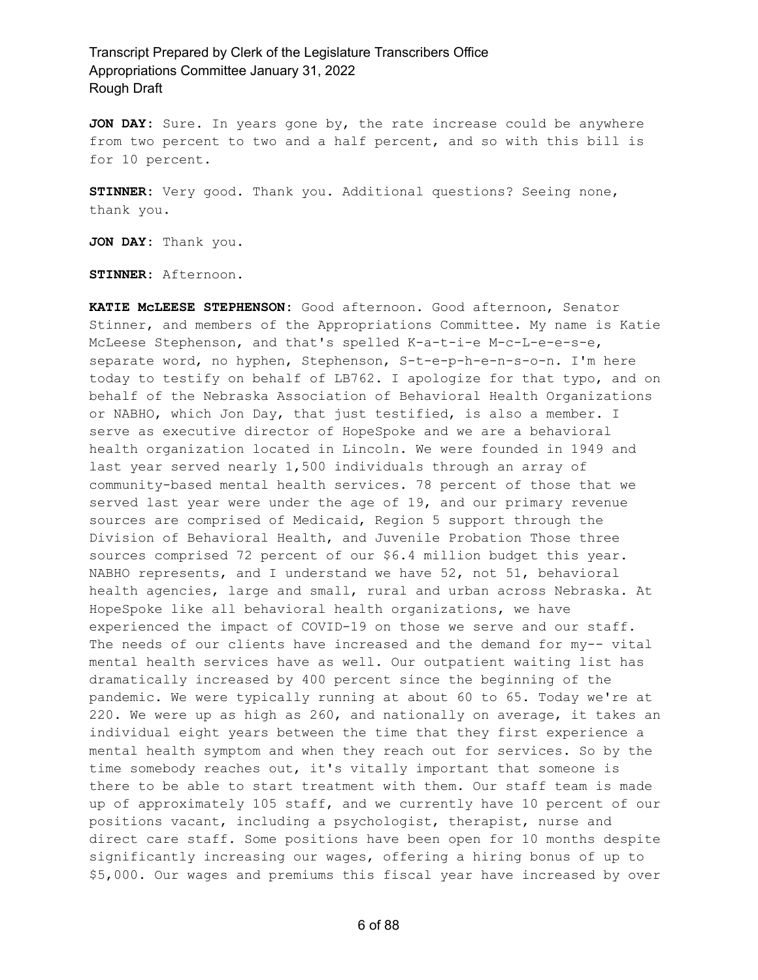**JON DAY:** Sure. In years gone by, the rate increase could be anywhere from two percent to two and a half percent, and so with this bill is for 10 percent.

**STINNER:** Very good. Thank you. Additional questions? Seeing none, thank you.

**JON DAY:** Thank you.

**STINNER:** Afternoon.

**KATIE McLEESE STEPHENSON:** Good afternoon. Good afternoon, Senator Stinner, and members of the Appropriations Committee. My name is Katie McLeese Stephenson, and that's spelled K-a-t-i-e M-c-L-e-e-s-e, separate word, no hyphen, Stephenson, S-t-e-p-h-e-n-s-o-n. I'm here today to testify on behalf of LB762. I apologize for that typo, and on behalf of the Nebraska Association of Behavioral Health Organizations or NABHO, which Jon Day, that just testified, is also a member. I serve as executive director of HopeSpoke and we are a behavioral health organization located in Lincoln. We were founded in 1949 and last year served nearly 1,500 individuals through an array of community-based mental health services. 78 percent of those that we served last year were under the age of 19, and our primary revenue sources are comprised of Medicaid, Region 5 support through the Division of Behavioral Health, and Juvenile Probation Those three sources comprised 72 percent of our \$6.4 million budget this year. NABHO represents, and I understand we have 52, not 51, behavioral health agencies, large and small, rural and urban across Nebraska. At HopeSpoke like all behavioral health organizations, we have experienced the impact of COVID-19 on those we serve and our staff. The needs of our clients have increased and the demand for my-- vital mental health services have as well. Our outpatient waiting list has dramatically increased by 400 percent since the beginning of the pandemic. We were typically running at about 60 to 65. Today we're at 220. We were up as high as 260, and nationally on average, it takes an individual eight years between the time that they first experience a mental health symptom and when they reach out for services. So by the time somebody reaches out, it's vitally important that someone is there to be able to start treatment with them. Our staff team is made up of approximately 105 staff, and we currently have 10 percent of our positions vacant, including a psychologist, therapist, nurse and direct care staff. Some positions have been open for 10 months despite significantly increasing our wages, offering a hiring bonus of up to \$5,000. Our wages and premiums this fiscal year have increased by over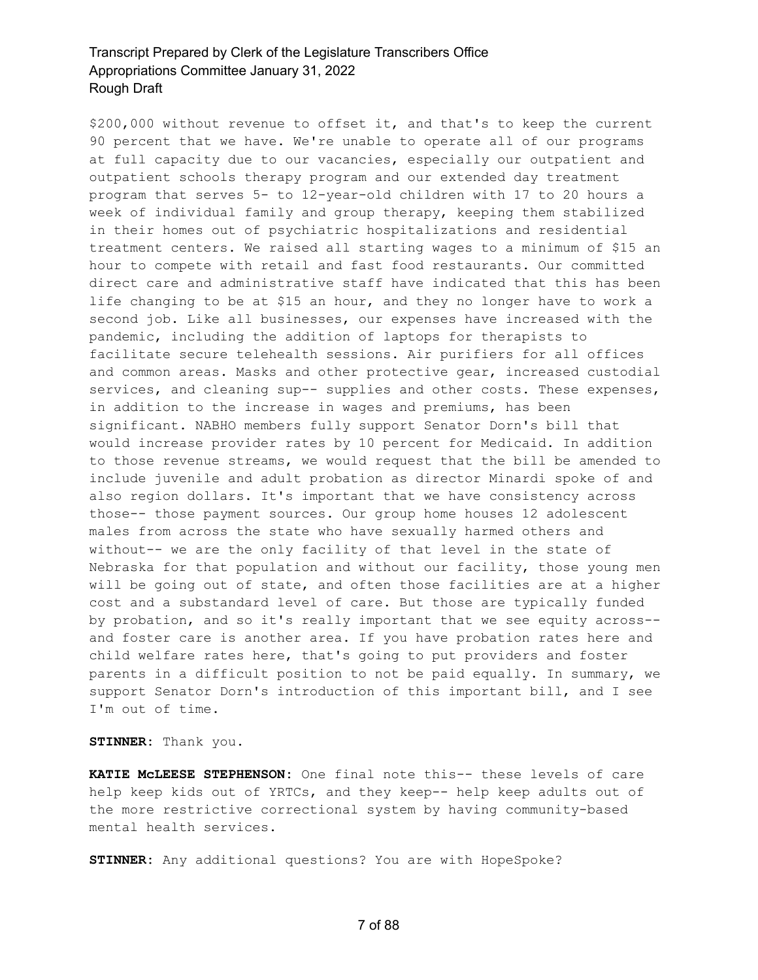\$200,000 without revenue to offset it, and that's to keep the current 90 percent that we have. We're unable to operate all of our programs at full capacity due to our vacancies, especially our outpatient and outpatient schools therapy program and our extended day treatment program that serves 5- to 12-year-old children with 17 to 20 hours a week of individual family and group therapy, keeping them stabilized in their homes out of psychiatric hospitalizations and residential treatment centers. We raised all starting wages to a minimum of \$15 an hour to compete with retail and fast food restaurants. Our committed direct care and administrative staff have indicated that this has been life changing to be at \$15 an hour, and they no longer have to work a second job. Like all businesses, our expenses have increased with the pandemic, including the addition of laptops for therapists to facilitate secure telehealth sessions. Air purifiers for all offices and common areas. Masks and other protective gear, increased custodial services, and cleaning sup-- supplies and other costs. These expenses, in addition to the increase in wages and premiums, has been significant. NABHO members fully support Senator Dorn's bill that would increase provider rates by 10 percent for Medicaid. In addition to those revenue streams, we would request that the bill be amended to include juvenile and adult probation as director Minardi spoke of and also region dollars. It's important that we have consistency across those-- those payment sources. Our group home houses 12 adolescent males from across the state who have sexually harmed others and without-- we are the only facility of that level in the state of Nebraska for that population and without our facility, those young men will be going out of state, and often those facilities are at a higher cost and a substandard level of care. But those are typically funded by probation, and so it's really important that we see equity across- and foster care is another area. If you have probation rates here and child welfare rates here, that's going to put providers and foster parents in a difficult position to not be paid equally. In summary, we support Senator Dorn's introduction of this important bill, and I see I'm out of time.

**STINNER:** Thank you.

**KATIE McLEESE STEPHENSON:** One final note this-- these levels of care help keep kids out of YRTCs, and they keep-- help keep adults out of the more restrictive correctional system by having community-based mental health services.

**STINNER:** Any additional questions? You are with HopeSpoke?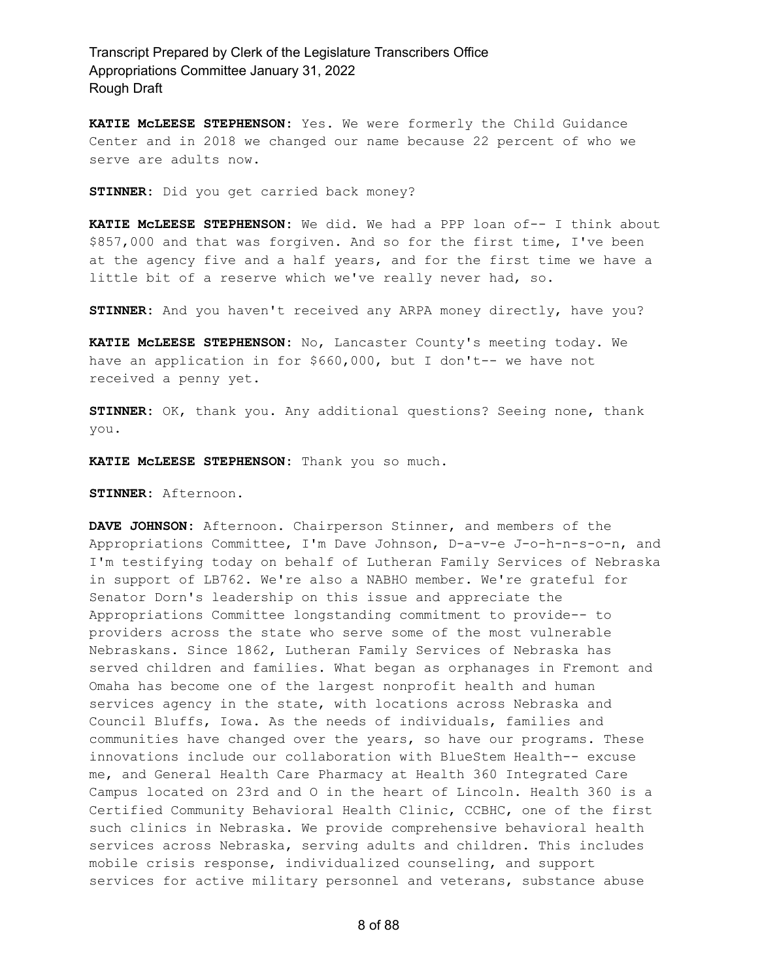**KATIE McLEESE STEPHENSON:** Yes. We were formerly the Child Guidance Center and in 2018 we changed our name because 22 percent of who we serve are adults now.

**STINNER:** Did you get carried back money?

**KATIE McLEESE STEPHENSON:** We did. We had a PPP loan of-- I think about \$857,000 and that was forgiven. And so for the first time, I've been at the agency five and a half years, and for the first time we have a little bit of a reserve which we've really never had, so.

**STINNER:** And you haven't received any ARPA money directly, have you?

**KATIE McLEESE STEPHENSON:** No, Lancaster County's meeting today. We have an application in for \$660,000, but I don't-- we have not received a penny yet.

**STINNER:** OK, thank you. Any additional questions? Seeing none, thank you.

**KATIE McLEESE STEPHENSON:** Thank you so much.

**STINNER:** Afternoon.

**DAVE JOHNSON:** Afternoon. Chairperson Stinner, and members of the Appropriations Committee, I'm Dave Johnson, D-a-v-e J-o-h-n-s-o-n, and I'm testifying today on behalf of Lutheran Family Services of Nebraska in support of LB762. We're also a NABHO member. We're grateful for Senator Dorn's leadership on this issue and appreciate the Appropriations Committee longstanding commitment to provide-- to providers across the state who serve some of the most vulnerable Nebraskans. Since 1862, Lutheran Family Services of Nebraska has served children and families. What began as orphanages in Fremont and Omaha has become one of the largest nonprofit health and human services agency in the state, with locations across Nebraska and Council Bluffs, Iowa. As the needs of individuals, families and communities have changed over the years, so have our programs. These innovations include our collaboration with BlueStem Health-- excuse me, and General Health Care Pharmacy at Health 360 Integrated Care Campus located on 23rd and O in the heart of Lincoln. Health 360 is a Certified Community Behavioral Health Clinic, CCBHC, one of the first such clinics in Nebraska. We provide comprehensive behavioral health services across Nebraska, serving adults and children. This includes mobile crisis response, individualized counseling, and support services for active military personnel and veterans, substance abuse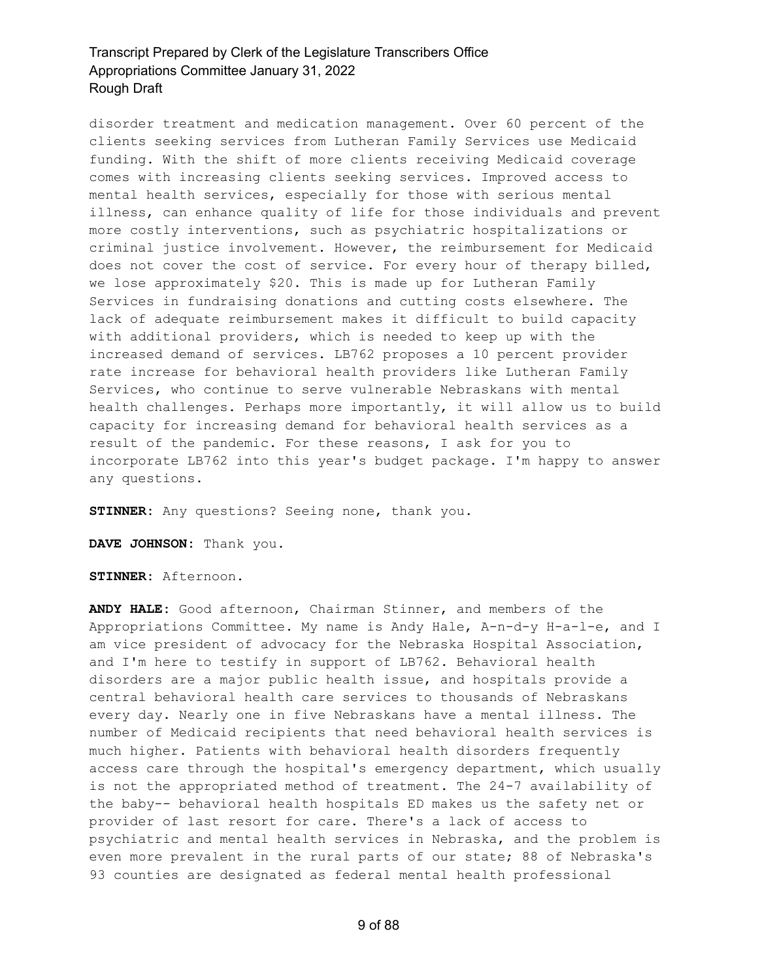disorder treatment and medication management. Over 60 percent of the clients seeking services from Lutheran Family Services use Medicaid funding. With the shift of more clients receiving Medicaid coverage comes with increasing clients seeking services. Improved access to mental health services, especially for those with serious mental illness, can enhance quality of life for those individuals and prevent more costly interventions, such as psychiatric hospitalizations or criminal justice involvement. However, the reimbursement for Medicaid does not cover the cost of service. For every hour of therapy billed, we lose approximately \$20. This is made up for Lutheran Family Services in fundraising donations and cutting costs elsewhere. The lack of adequate reimbursement makes it difficult to build capacity with additional providers, which is needed to keep up with the increased demand of services. LB762 proposes a 10 percent provider rate increase for behavioral health providers like Lutheran Family Services, who continue to serve vulnerable Nebraskans with mental health challenges. Perhaps more importantly, it will allow us to build capacity for increasing demand for behavioral health services as a result of the pandemic. For these reasons, I ask for you to incorporate LB762 into this year's budget package. I'm happy to answer any questions.

**STINNER:** Any questions? Seeing none, thank you.

**DAVE JOHNSON:** Thank you.

**STINNER:** Afternoon.

**ANDY HALE:** Good afternoon, Chairman Stinner, and members of the Appropriations Committee. My name is Andy Hale, A-n-d-y H-a-l-e, and I am vice president of advocacy for the Nebraska Hospital Association, and I'm here to testify in support of LB762. Behavioral health disorders are a major public health issue, and hospitals provide a central behavioral health care services to thousands of Nebraskans every day. Nearly one in five Nebraskans have a mental illness. The number of Medicaid recipients that need behavioral health services is much higher. Patients with behavioral health disorders frequently access care through the hospital's emergency department, which usually is not the appropriated method of treatment. The 24-7 availability of the baby-- behavioral health hospitals ED makes us the safety net or provider of last resort for care. There's a lack of access to psychiatric and mental health services in Nebraska, and the problem is even more prevalent in the rural parts of our state; 88 of Nebraska's 93 counties are designated as federal mental health professional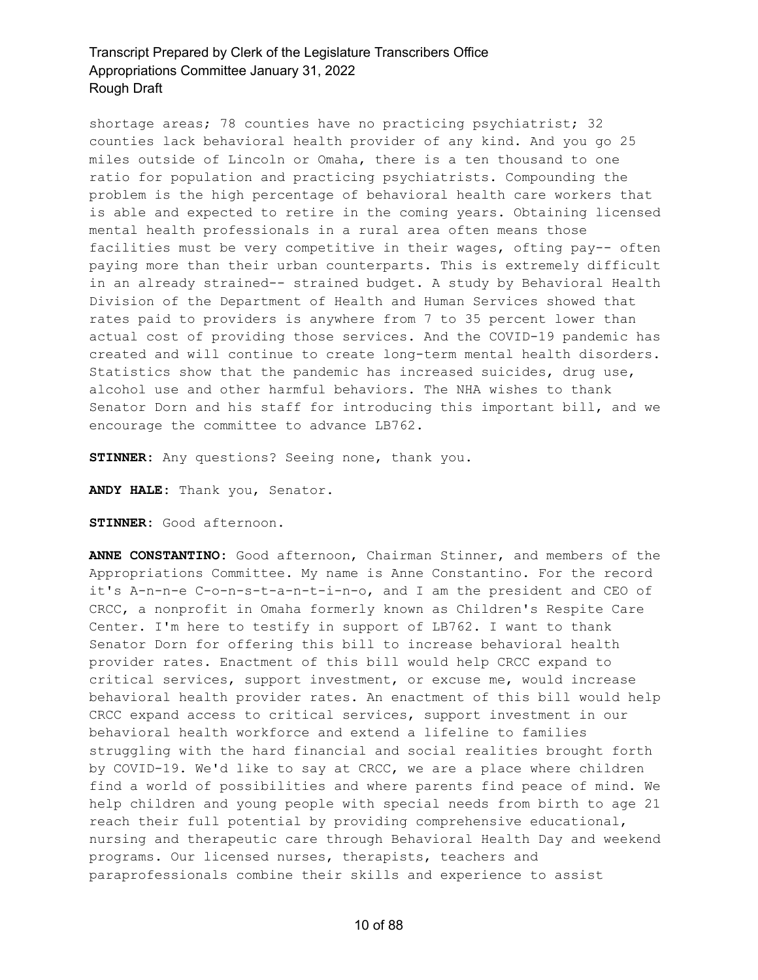shortage areas; 78 counties have no practicing psychiatrist; 32 counties lack behavioral health provider of any kind. And you go 25 miles outside of Lincoln or Omaha, there is a ten thousand to one ratio for population and practicing psychiatrists. Compounding the problem is the high percentage of behavioral health care workers that is able and expected to retire in the coming years. Obtaining licensed mental health professionals in a rural area often means those facilities must be very competitive in their wages, ofting pay-- often paying more than their urban counterparts. This is extremely difficult in an already strained-- strained budget. A study by Behavioral Health Division of the Department of Health and Human Services showed that rates paid to providers is anywhere from 7 to 35 percent lower than actual cost of providing those services. And the COVID-19 pandemic has created and will continue to create long-term mental health disorders. Statistics show that the pandemic has increased suicides, drug use, alcohol use and other harmful behaviors. The NHA wishes to thank Senator Dorn and his staff for introducing this important bill, and we encourage the committee to advance LB762.

**STINNER:** Any questions? Seeing none, thank you.

**ANDY HALE:** Thank you, Senator.

**STINNER:** Good afternoon.

**ANNE CONSTANTINO:** Good afternoon, Chairman Stinner, and members of the Appropriations Committee. My name is Anne Constantino. For the record it's A-n-n-e C-o-n-s-t-a-n-t-i-n-o, and I am the president and CEO of CRCC, a nonprofit in Omaha formerly known as Children's Respite Care Center. I'm here to testify in support of LB762. I want to thank Senator Dorn for offering this bill to increase behavioral health provider rates. Enactment of this bill would help CRCC expand to critical services, support investment, or excuse me, would increase behavioral health provider rates. An enactment of this bill would help CRCC expand access to critical services, support investment in our behavioral health workforce and extend a lifeline to families struggling with the hard financial and social realities brought forth by COVID-19. We'd like to say at CRCC, we are a place where children find a world of possibilities and where parents find peace of mind. We help children and young people with special needs from birth to age 21 reach their full potential by providing comprehensive educational, nursing and therapeutic care through Behavioral Health Day and weekend programs. Our licensed nurses, therapists, teachers and paraprofessionals combine their skills and experience to assist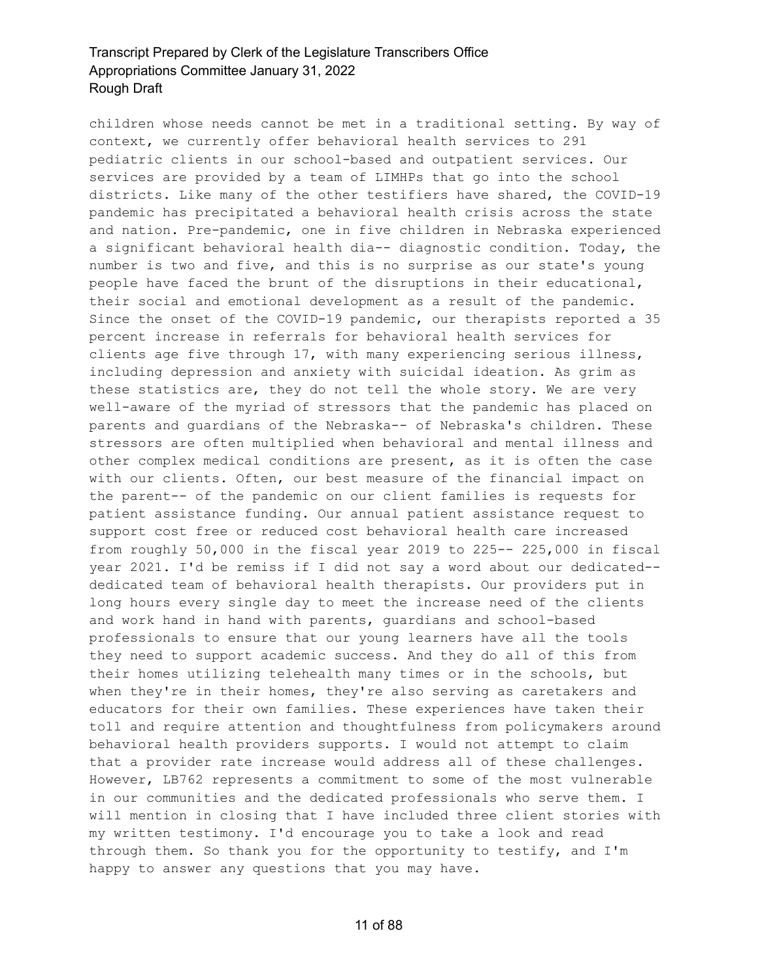children whose needs cannot be met in a traditional setting. By way of context, we currently offer behavioral health services to 291 pediatric clients in our school-based and outpatient services. Our services are provided by a team of LIMHPs that go into the school districts. Like many of the other testifiers have shared, the COVID-19 pandemic has precipitated a behavioral health crisis across the state and nation. Pre-pandemic, one in five children in Nebraska experienced a significant behavioral health dia-- diagnostic condition. Today, the number is two and five, and this is no surprise as our state's young people have faced the brunt of the disruptions in their educational, their social and emotional development as a result of the pandemic. Since the onset of the COVID-19 pandemic, our therapists reported a 35 percent increase in referrals for behavioral health services for clients age five through 17, with many experiencing serious illness, including depression and anxiety with suicidal ideation. As grim as these statistics are, they do not tell the whole story. We are very well-aware of the myriad of stressors that the pandemic has placed on parents and guardians of the Nebraska-- of Nebraska's children. These stressors are often multiplied when behavioral and mental illness and other complex medical conditions are present, as it is often the case with our clients. Often, our best measure of the financial impact on the parent-- of the pandemic on our client families is requests for patient assistance funding. Our annual patient assistance request to support cost free or reduced cost behavioral health care increased from roughly 50,000 in the fiscal year 2019 to 225-- 225,000 in fiscal year 2021. I'd be remiss if I did not say a word about our dedicated- dedicated team of behavioral health therapists. Our providers put in long hours every single day to meet the increase need of the clients and work hand in hand with parents, guardians and school-based professionals to ensure that our young learners have all the tools they need to support academic success. And they do all of this from their homes utilizing telehealth many times or in the schools, but when they're in their homes, they're also serving as caretakers and educators for their own families. These experiences have taken their toll and require attention and thoughtfulness from policymakers around behavioral health providers supports. I would not attempt to claim that a provider rate increase would address all of these challenges. However, LB762 represents a commitment to some of the most vulnerable in our communities and the dedicated professionals who serve them. I will mention in closing that I have included three client stories with my written testimony. I'd encourage you to take a look and read through them. So thank you for the opportunity to testify, and I'm happy to answer any questions that you may have.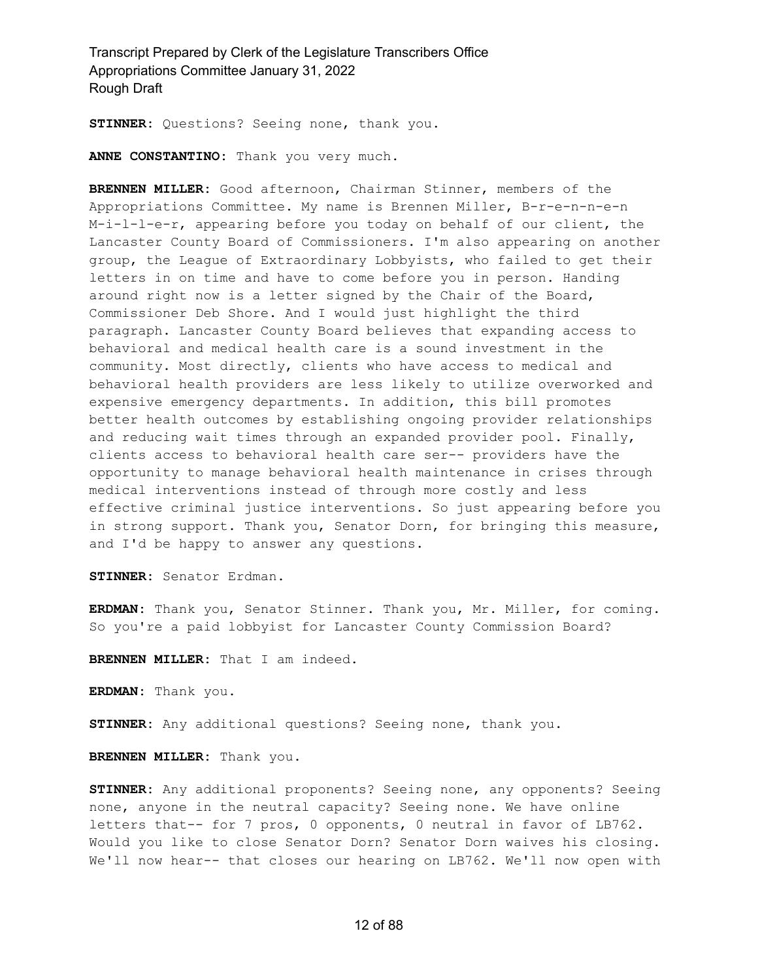**STINNER:** Questions? Seeing none, thank you.

**ANNE CONSTANTINO:** Thank you very much.

**BRENNEN MILLER:** Good afternoon, Chairman Stinner, members of the Appropriations Committee. My name is Brennen Miller, B-r-e-n-n-e-n M-i-l-l-e-r, appearing before you today on behalf of our client, the Lancaster County Board of Commissioners. I'm also appearing on another group, the League of Extraordinary Lobbyists, who failed to get their letters in on time and have to come before you in person. Handing around right now is a letter signed by the Chair of the Board, Commissioner Deb Shore. And I would just highlight the third paragraph. Lancaster County Board believes that expanding access to behavioral and medical health care is a sound investment in the community. Most directly, clients who have access to medical and behavioral health providers are less likely to utilize overworked and expensive emergency departments. In addition, this bill promotes better health outcomes by establishing ongoing provider relationships and reducing wait times through an expanded provider pool. Finally, clients access to behavioral health care ser-- providers have the opportunity to manage behavioral health maintenance in crises through medical interventions instead of through more costly and less effective criminal justice interventions. So just appearing before you in strong support. Thank you, Senator Dorn, for bringing this measure, and I'd be happy to answer any questions.

**STINNER:** Senator Erdman.

**ERDMAN:** Thank you, Senator Stinner. Thank you, Mr. Miller, for coming. So you're a paid lobbyist for Lancaster County Commission Board?

**BRENNEN MILLER:** That I am indeed.

**ERDMAN:** Thank you.

**STINNER:** Any additional questions? Seeing none, thank you.

**BRENNEN MILLER:** Thank you.

**STINNER:** Any additional proponents? Seeing none, any opponents? Seeing none, anyone in the neutral capacity? Seeing none. We have online letters that-- for 7 pros, 0 opponents, 0 neutral in favor of LB762. Would you like to close Senator Dorn? Senator Dorn waives his closing. We'll now hear-- that closes our hearing on LB762. We'll now open with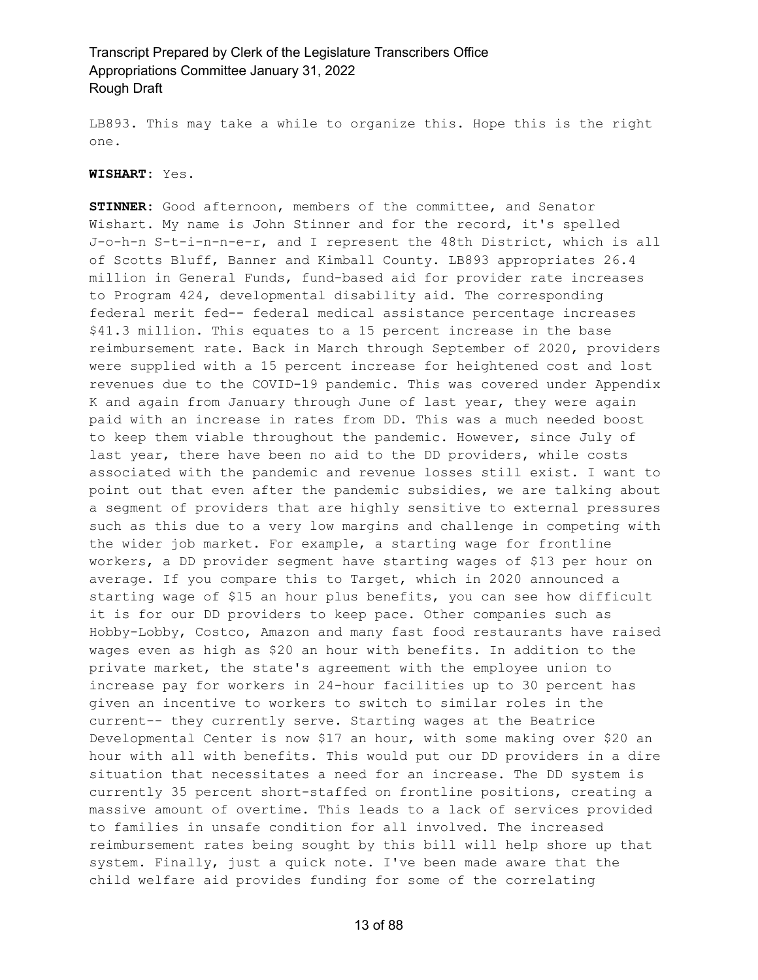LB893. This may take a while to organize this. Hope this is the right one.

#### **WISHART:** Yes.

**STINNER:** Good afternoon, members of the committee, and Senator Wishart. My name is John Stinner and for the record, it's spelled J-o-h-n S-t-i-n-n-e-r, and I represent the 48th District, which is all of Scotts Bluff, Banner and Kimball County. LB893 appropriates 26.4 million in General Funds, fund-based aid for provider rate increases to Program 424, developmental disability aid. The corresponding federal merit fed-- federal medical assistance percentage increases \$41.3 million. This equates to a 15 percent increase in the base reimbursement rate. Back in March through September of 2020, providers were supplied with a 15 percent increase for heightened cost and lost revenues due to the COVID-19 pandemic. This was covered under Appendix K and again from January through June of last year, they were again paid with an increase in rates from DD. This was a much needed boost to keep them viable throughout the pandemic. However, since July of last year, there have been no aid to the DD providers, while costs associated with the pandemic and revenue losses still exist. I want to point out that even after the pandemic subsidies, we are talking about a segment of providers that are highly sensitive to external pressures such as this due to a very low margins and challenge in competing with the wider job market. For example, a starting wage for frontline workers, a DD provider segment have starting wages of \$13 per hour on average. If you compare this to Target, which in 2020 announced a starting wage of \$15 an hour plus benefits, you can see how difficult it is for our DD providers to keep pace. Other companies such as Hobby-Lobby, Costco, Amazon and many fast food restaurants have raised wages even as high as \$20 an hour with benefits. In addition to the private market, the state's agreement with the employee union to increase pay for workers in 24-hour facilities up to 30 percent has given an incentive to workers to switch to similar roles in the current-- they currently serve. Starting wages at the Beatrice Developmental Center is now \$17 an hour, with some making over \$20 an hour with all with benefits. This would put our DD providers in a dire situation that necessitates a need for an increase. The DD system is currently 35 percent short-staffed on frontline positions, creating a massive amount of overtime. This leads to a lack of services provided to families in unsafe condition for all involved. The increased reimbursement rates being sought by this bill will help shore up that system. Finally, just a quick note. I've been made aware that the child welfare aid provides funding for some of the correlating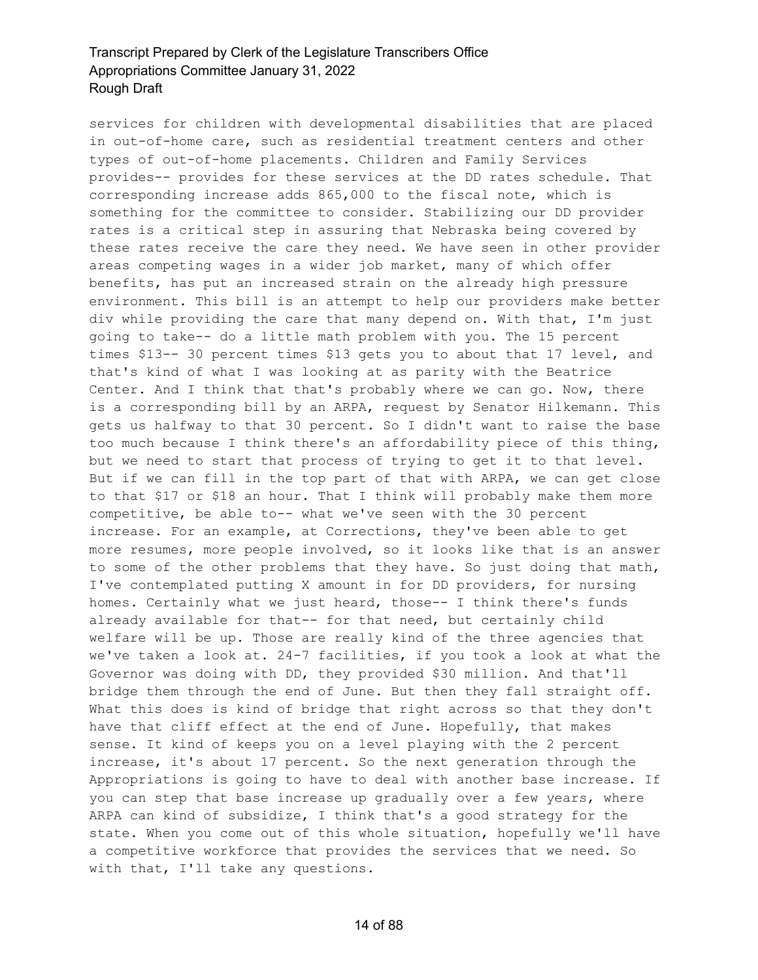services for children with developmental disabilities that are placed in out-of-home care, such as residential treatment centers and other types of out-of-home placements. Children and Family Services provides-- provides for these services at the DD rates schedule. That corresponding increase adds 865,000 to the fiscal note, which is something for the committee to consider. Stabilizing our DD provider rates is a critical step in assuring that Nebraska being covered by these rates receive the care they need. We have seen in other provider areas competing wages in a wider job market, many of which offer benefits, has put an increased strain on the already high pressure environment. This bill is an attempt to help our providers make better div while providing the care that many depend on. With that, I'm just going to take-- do a little math problem with you. The 15 percent times \$13-- 30 percent times \$13 gets you to about that 17 level, and that's kind of what I was looking at as parity with the Beatrice Center. And I think that that's probably where we can go. Now, there is a corresponding bill by an ARPA, request by Senator Hilkemann. This gets us halfway to that 30 percent. So I didn't want to raise the base too much because I think there's an affordability piece of this thing, but we need to start that process of trying to get it to that level. But if we can fill in the top part of that with ARPA, we can get close to that \$17 or \$18 an hour. That I think will probably make them more competitive, be able to-- what we've seen with the 30 percent increase. For an example, at Corrections, they've been able to get more resumes, more people involved, so it looks like that is an answer to some of the other problems that they have. So just doing that math, I've contemplated putting X amount in for DD providers, for nursing homes. Certainly what we just heard, those-- I think there's funds already available for that-- for that need, but certainly child welfare will be up. Those are really kind of the three agencies that we've taken a look at. 24-7 facilities, if you took a look at what the Governor was doing with DD, they provided \$30 million. And that'll bridge them through the end of June. But then they fall straight off. What this does is kind of bridge that right across so that they don't have that cliff effect at the end of June. Hopefully, that makes sense. It kind of keeps you on a level playing with the 2 percent increase, it's about 17 percent. So the next generation through the Appropriations is going to have to deal with another base increase. If you can step that base increase up gradually over a few years, where ARPA can kind of subsidize, I think that's a good strategy for the state. When you come out of this whole situation, hopefully we'll have a competitive workforce that provides the services that we need. So with that, I'll take any questions.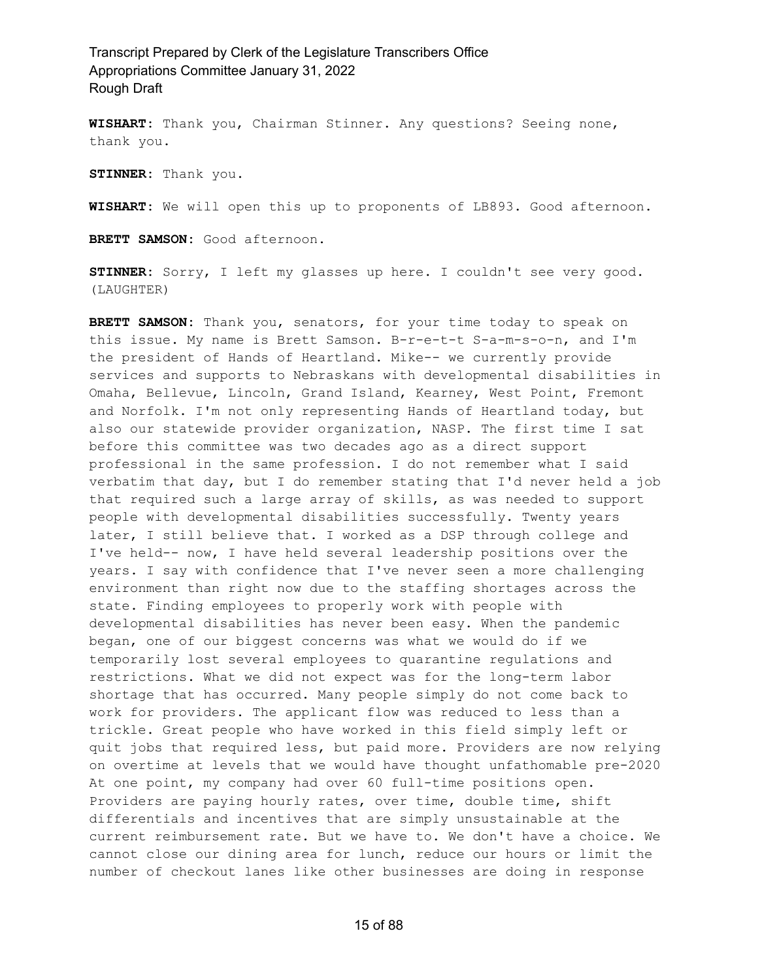**WISHART:** Thank you, Chairman Stinner. Any questions? Seeing none, thank you.

**STINNER:** Thank you.

**WISHART:** We will open this up to proponents of LB893. Good afternoon.

**BRETT SAMSON:** Good afternoon.

**STINNER:** Sorry, I left my glasses up here. I couldn't see very good. (LAUGHTER)

**BRETT SAMSON:** Thank you, senators, for your time today to speak on this issue. My name is Brett Samson. B-r-e-t-t S-a-m-s-o-n, and I'm the president of Hands of Heartland. Mike-- we currently provide services and supports to Nebraskans with developmental disabilities in Omaha, Bellevue, Lincoln, Grand Island, Kearney, West Point, Fremont and Norfolk. I'm not only representing Hands of Heartland today, but also our statewide provider organization, NASP. The first time I sat before this committee was two decades ago as a direct support professional in the same profession. I do not remember what I said verbatim that day, but I do remember stating that I'd never held a job that required such a large array of skills, as was needed to support people with developmental disabilities successfully. Twenty years later, I still believe that. I worked as a DSP through college and I've held-- now, I have held several leadership positions over the years. I say with confidence that I've never seen a more challenging environment than right now due to the staffing shortages across the state. Finding employees to properly work with people with developmental disabilities has never been easy. When the pandemic began, one of our biggest concerns was what we would do if we temporarily lost several employees to quarantine regulations and restrictions. What we did not expect was for the long-term labor shortage that has occurred. Many people simply do not come back to work for providers. The applicant flow was reduced to less than a trickle. Great people who have worked in this field simply left or quit jobs that required less, but paid more. Providers are now relying on overtime at levels that we would have thought unfathomable pre-2020 At one point, my company had over 60 full-time positions open. Providers are paying hourly rates, over time, double time, shift differentials and incentives that are simply unsustainable at the current reimbursement rate. But we have to. We don't have a choice. We cannot close our dining area for lunch, reduce our hours or limit the number of checkout lanes like other businesses are doing in response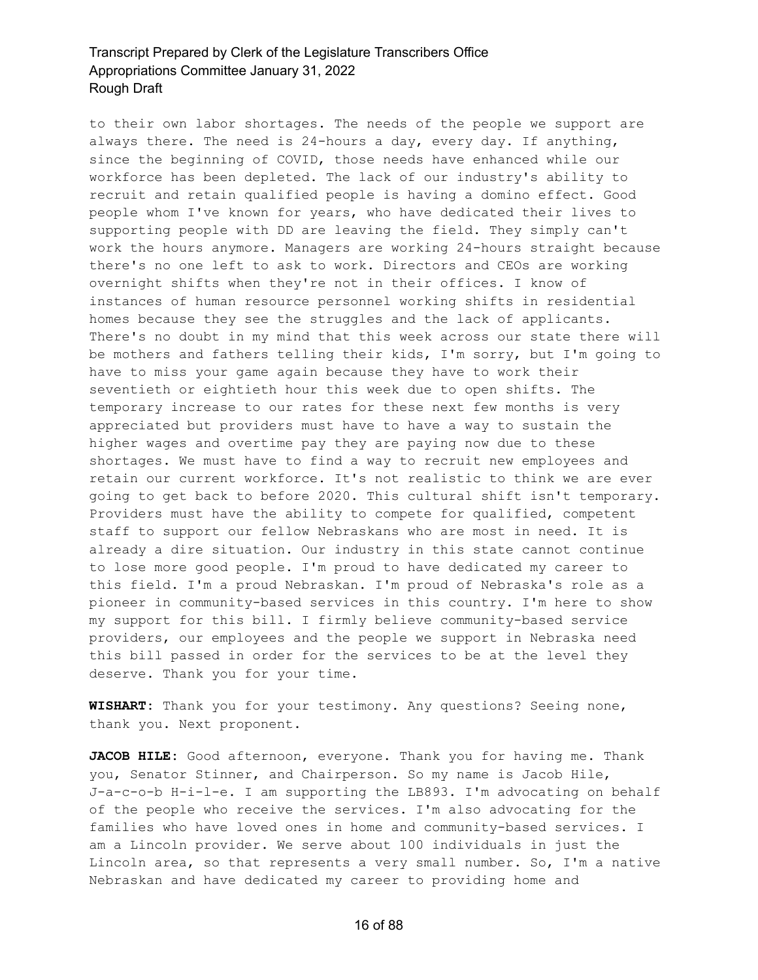to their own labor shortages. The needs of the people we support are always there. The need is 24-hours a day, every day. If anything, since the beginning of COVID, those needs have enhanced while our workforce has been depleted. The lack of our industry's ability to recruit and retain qualified people is having a domino effect. Good people whom I've known for years, who have dedicated their lives to supporting people with DD are leaving the field. They simply can't work the hours anymore. Managers are working 24-hours straight because there's no one left to ask to work. Directors and CEOs are working overnight shifts when they're not in their offices. I know of instances of human resource personnel working shifts in residential homes because they see the struggles and the lack of applicants. There's no doubt in my mind that this week across our state there will be mothers and fathers telling their kids, I'm sorry, but I'm going to have to miss your game again because they have to work their seventieth or eightieth hour this week due to open shifts. The temporary increase to our rates for these next few months is very appreciated but providers must have to have a way to sustain the higher wages and overtime pay they are paying now due to these shortages. We must have to find a way to recruit new employees and retain our current workforce. It's not realistic to think we are ever going to get back to before 2020. This cultural shift isn't temporary. Providers must have the ability to compete for qualified, competent staff to support our fellow Nebraskans who are most in need. It is already a dire situation. Our industry in this state cannot continue to lose more good people. I'm proud to have dedicated my career to this field. I'm a proud Nebraskan. I'm proud of Nebraska's role as a pioneer in community-based services in this country. I'm here to show my support for this bill. I firmly believe community-based service providers, our employees and the people we support in Nebraska need this bill passed in order for the services to be at the level they deserve. Thank you for your time.

**WISHART:** Thank you for your testimony. Any questions? Seeing none, thank you. Next proponent.

**JACOB HILE:** Good afternoon, everyone. Thank you for having me. Thank you, Senator Stinner, and Chairperson. So my name is Jacob Hile, J-a-c-o-b H-i-l-e. I am supporting the LB893. I'm advocating on behalf of the people who receive the services. I'm also advocating for the families who have loved ones in home and community-based services. I am a Lincoln provider. We serve about 100 individuals in just the Lincoln area, so that represents a very small number. So, I'm a native Nebraskan and have dedicated my career to providing home and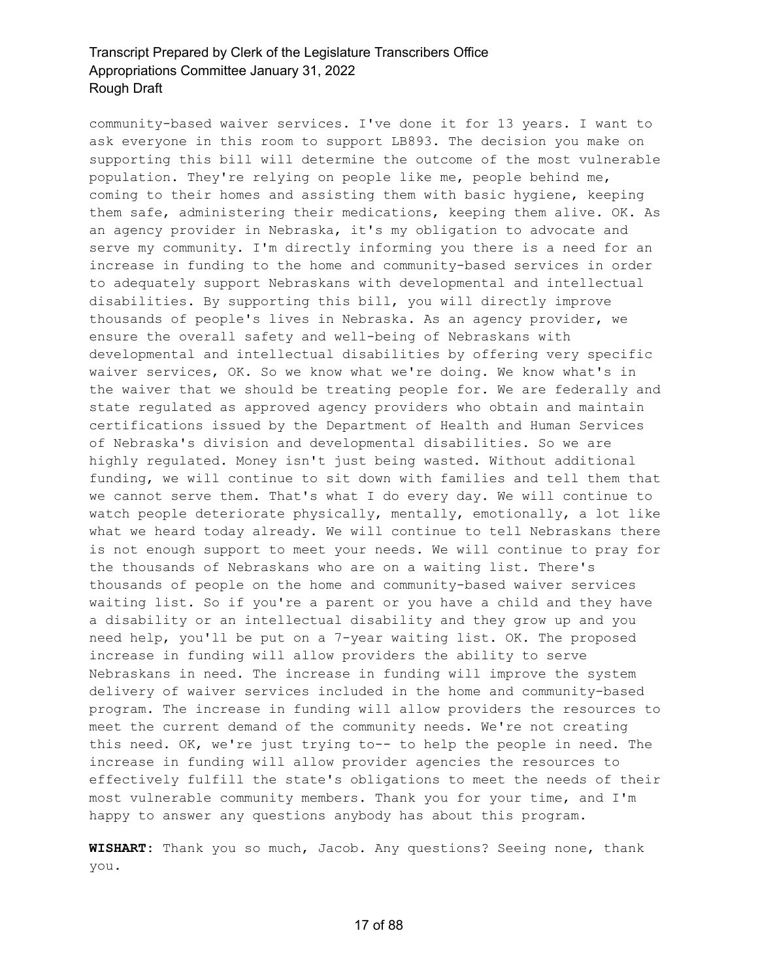community-based waiver services. I've done it for 13 years. I want to ask everyone in this room to support LB893. The decision you make on supporting this bill will determine the outcome of the most vulnerable population. They're relying on people like me, people behind me, coming to their homes and assisting them with basic hygiene, keeping them safe, administering their medications, keeping them alive. OK. As an agency provider in Nebraska, it's my obligation to advocate and serve my community. I'm directly informing you there is a need for an increase in funding to the home and community-based services in order to adequately support Nebraskans with developmental and intellectual disabilities. By supporting this bill, you will directly improve thousands of people's lives in Nebraska. As an agency provider, we ensure the overall safety and well-being of Nebraskans with developmental and intellectual disabilities by offering very specific waiver services, OK. So we know what we're doing. We know what's in the waiver that we should be treating people for. We are federally and state regulated as approved agency providers who obtain and maintain certifications issued by the Department of Health and Human Services of Nebraska's division and developmental disabilities. So we are highly regulated. Money isn't just being wasted. Without additional funding, we will continue to sit down with families and tell them that we cannot serve them. That's what I do every day. We will continue to watch people deteriorate physically, mentally, emotionally, a lot like what we heard today already. We will continue to tell Nebraskans there is not enough support to meet your needs. We will continue to pray for the thousands of Nebraskans who are on a waiting list. There's thousands of people on the home and community-based waiver services waiting list. So if you're a parent or you have a child and they have a disability or an intellectual disability and they grow up and you need help, you'll be put on a 7-year waiting list. OK. The proposed increase in funding will allow providers the ability to serve Nebraskans in need. The increase in funding will improve the system delivery of waiver services included in the home and community-based program. The increase in funding will allow providers the resources to meet the current demand of the community needs. We're not creating this need. OK, we're just trying to-- to help the people in need. The increase in funding will allow provider agencies the resources to effectively fulfill the state's obligations to meet the needs of their most vulnerable community members. Thank you for your time, and I'm happy to answer any questions anybody has about this program.

**WISHART:** Thank you so much, Jacob. Any questions? Seeing none, thank you.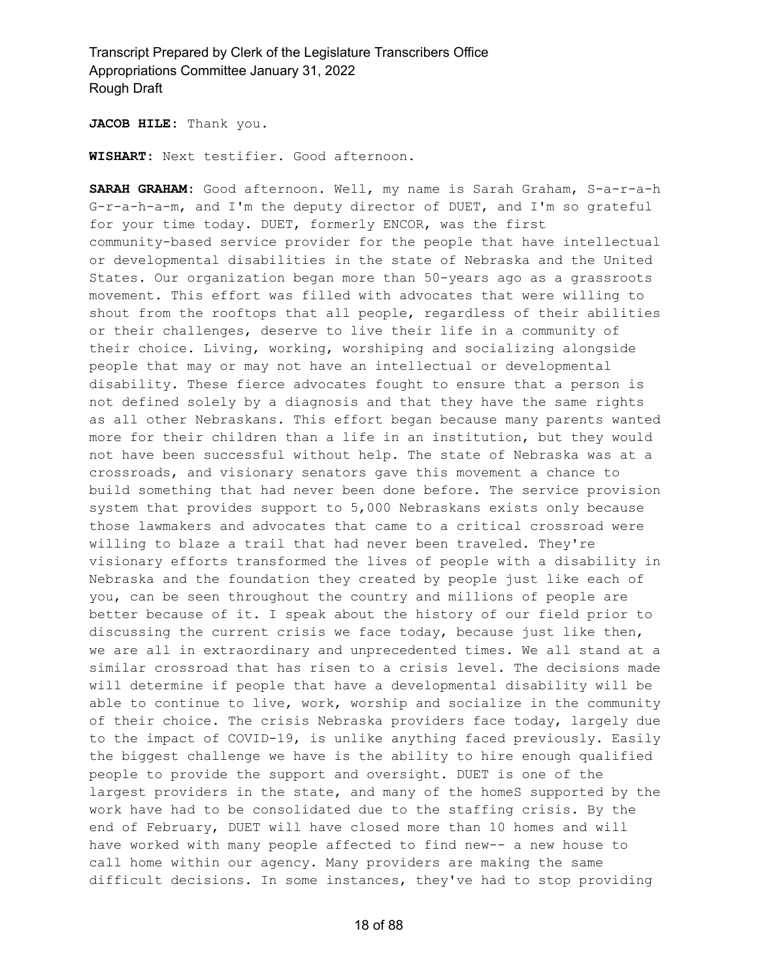**JACOB HILE:** Thank you.

**WISHART:** Next testifier. Good afternoon.

**SARAH GRAHAM:** Good afternoon. Well, my name is Sarah Graham, S-a-r-a-h G-r-a-h-a-m, and I'm the deputy director of DUET, and I'm so grateful for your time today. DUET, formerly ENCOR, was the first community-based service provider for the people that have intellectual or developmental disabilities in the state of Nebraska and the United States. Our organization began more than 50-years ago as a grassroots movement. This effort was filled with advocates that were willing to shout from the rooftops that all people, regardless of their abilities or their challenges, deserve to live their life in a community of their choice. Living, working, worshiping and socializing alongside people that may or may not have an intellectual or developmental disability. These fierce advocates fought to ensure that a person is not defined solely by a diagnosis and that they have the same rights as all other Nebraskans. This effort began because many parents wanted more for their children than a life in an institution, but they would not have been successful without help. The state of Nebraska was at a crossroads, and visionary senators gave this movement a chance to build something that had never been done before. The service provision system that provides support to 5,000 Nebraskans exists only because those lawmakers and advocates that came to a critical crossroad were willing to blaze a trail that had never been traveled. They're visionary efforts transformed the lives of people with a disability in Nebraska and the foundation they created by people just like each of you, can be seen throughout the country and millions of people are better because of it. I speak about the history of our field prior to discussing the current crisis we face today, because just like then, we are all in extraordinary and unprecedented times. We all stand at a similar crossroad that has risen to a crisis level. The decisions made will determine if people that have a developmental disability will be able to continue to live, work, worship and socialize in the community of their choice. The crisis Nebraska providers face today, largely due to the impact of COVID-19, is unlike anything faced previously. Easily the biggest challenge we have is the ability to hire enough qualified people to provide the support and oversight. DUET is one of the largest providers in the state, and many of the homeS supported by the work have had to be consolidated due to the staffing crisis. By the end of February, DUET will have closed more than 10 homes and will have worked with many people affected to find new-- a new house to call home within our agency. Many providers are making the same difficult decisions. In some instances, they've had to stop providing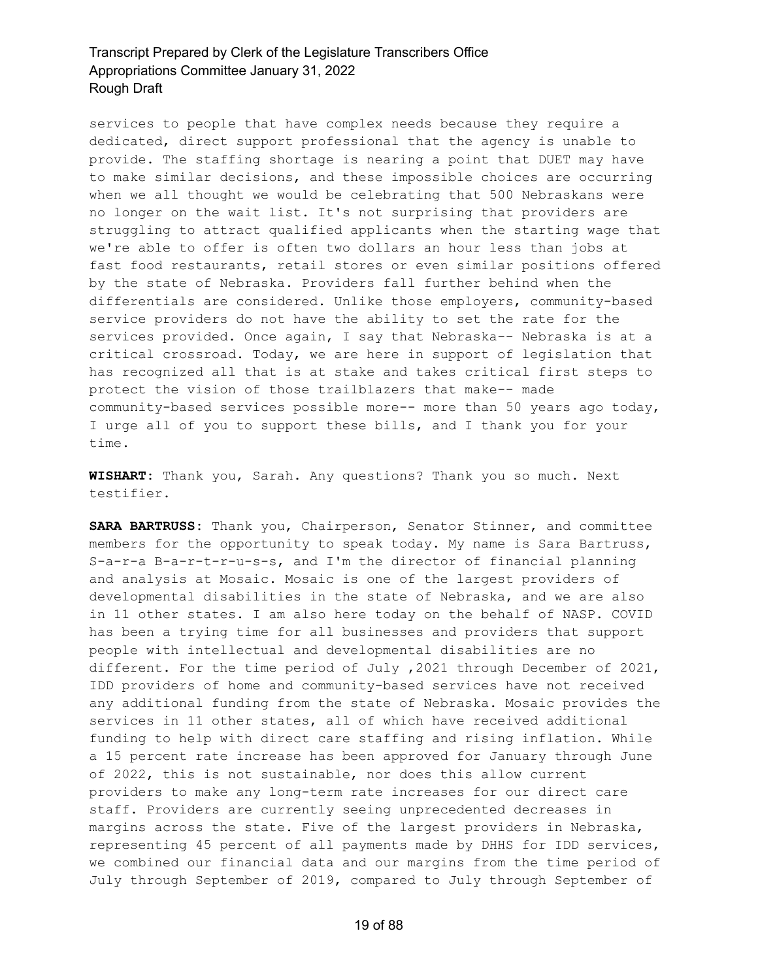services to people that have complex needs because they require a dedicated, direct support professional that the agency is unable to provide. The staffing shortage is nearing a point that DUET may have to make similar decisions, and these impossible choices are occurring when we all thought we would be celebrating that 500 Nebraskans were no longer on the wait list. It's not surprising that providers are struggling to attract qualified applicants when the starting wage that we're able to offer is often two dollars an hour less than jobs at fast food restaurants, retail stores or even similar positions offered by the state of Nebraska. Providers fall further behind when the differentials are considered. Unlike those employers, community-based service providers do not have the ability to set the rate for the services provided. Once again, I say that Nebraska-- Nebraska is at a critical crossroad. Today, we are here in support of legislation that has recognized all that is at stake and takes critical first steps to protect the vision of those trailblazers that make-- made community-based services possible more-- more than 50 years ago today, I urge all of you to support these bills, and I thank you for your time.

**WISHART:** Thank you, Sarah. Any questions? Thank you so much. Next testifier.

**SARA BARTRUSS:** Thank you, Chairperson, Senator Stinner, and committee members for the opportunity to speak today. My name is Sara Bartruss, S-a-r-a B-a-r-t-r-u-s-s, and I'm the director of financial planning and analysis at Mosaic. Mosaic is one of the largest providers of developmental disabilities in the state of Nebraska, and we are also in 11 other states. I am also here today on the behalf of NASP. COVID has been a trying time for all businesses and providers that support people with intellectual and developmental disabilities are no different. For the time period of July ,2021 through December of 2021, IDD providers of home and community-based services have not received any additional funding from the state of Nebraska. Mosaic provides the services in 11 other states, all of which have received additional funding to help with direct care staffing and rising inflation. While a 15 percent rate increase has been approved for January through June of 2022, this is not sustainable, nor does this allow current providers to make any long-term rate increases for our direct care staff. Providers are currently seeing unprecedented decreases in margins across the state. Five of the largest providers in Nebraska, representing 45 percent of all payments made by DHHS for IDD services, we combined our financial data and our margins from the time period of July through September of 2019, compared to July through September of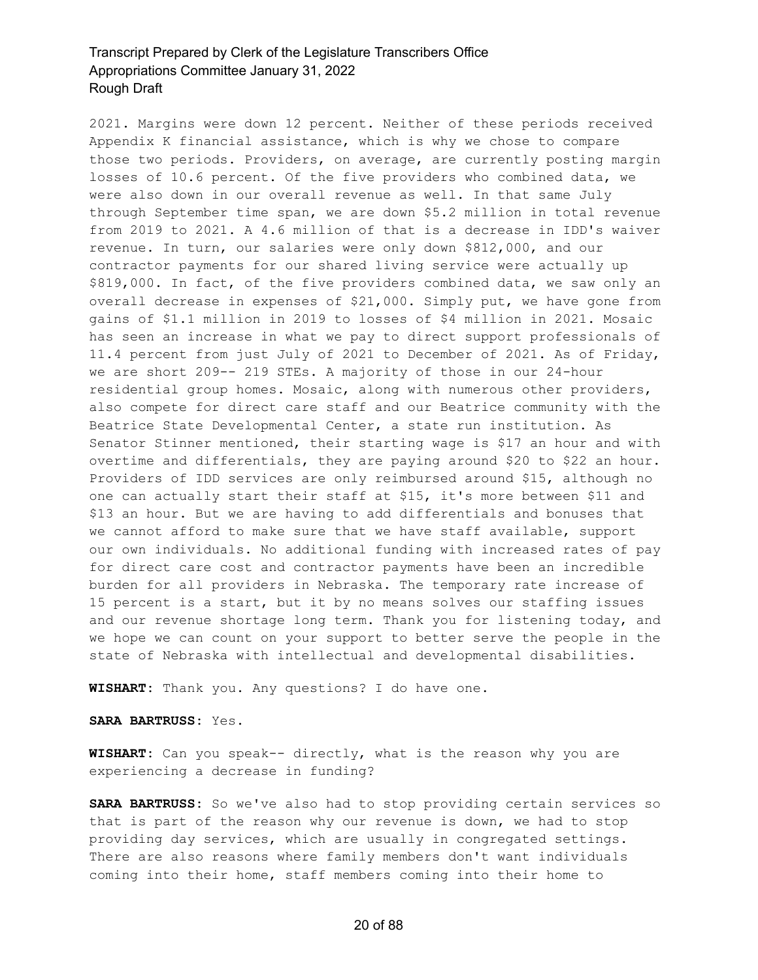2021. Margins were down 12 percent. Neither of these periods received Appendix K financial assistance, which is why we chose to compare those two periods. Providers, on average, are currently posting margin losses of 10.6 percent. Of the five providers who combined data, we were also down in our overall revenue as well. In that same July through September time span, we are down \$5.2 million in total revenue from 2019 to 2021. A 4.6 million of that is a decrease in IDD's waiver revenue. In turn, our salaries were only down \$812,000, and our contractor payments for our shared living service were actually up \$819,000. In fact, of the five providers combined data, we saw only an overall decrease in expenses of \$21,000. Simply put, we have gone from gains of \$1.1 million in 2019 to losses of \$4 million in 2021. Mosaic has seen an increase in what we pay to direct support professionals of 11.4 percent from just July of 2021 to December of 2021. As of Friday, we are short 209-- 219 STEs. A majority of those in our 24-hour residential group homes. Mosaic, along with numerous other providers, also compete for direct care staff and our Beatrice community with the Beatrice State Developmental Center, a state run institution. As Senator Stinner mentioned, their starting wage is \$17 an hour and with overtime and differentials, they are paying around \$20 to \$22 an hour. Providers of IDD services are only reimbursed around \$15, although no one can actually start their staff at \$15, it's more between \$11 and \$13 an hour. But we are having to add differentials and bonuses that we cannot afford to make sure that we have staff available, support our own individuals. No additional funding with increased rates of pay for direct care cost and contractor payments have been an incredible burden for all providers in Nebraska. The temporary rate increase of 15 percent is a start, but it by no means solves our staffing issues and our revenue shortage long term. Thank you for listening today, and we hope we can count on your support to better serve the people in the state of Nebraska with intellectual and developmental disabilities.

**WISHART:** Thank you. Any questions? I do have one.

**SARA BARTRUSS:** Yes.

**WISHART:** Can you speak-- directly, what is the reason why you are experiencing a decrease in funding?

**SARA BARTRUSS:** So we've also had to stop providing certain services so that is part of the reason why our revenue is down, we had to stop providing day services, which are usually in congregated settings. There are also reasons where family members don't want individuals coming into their home, staff members coming into their home to

#### 20 of 88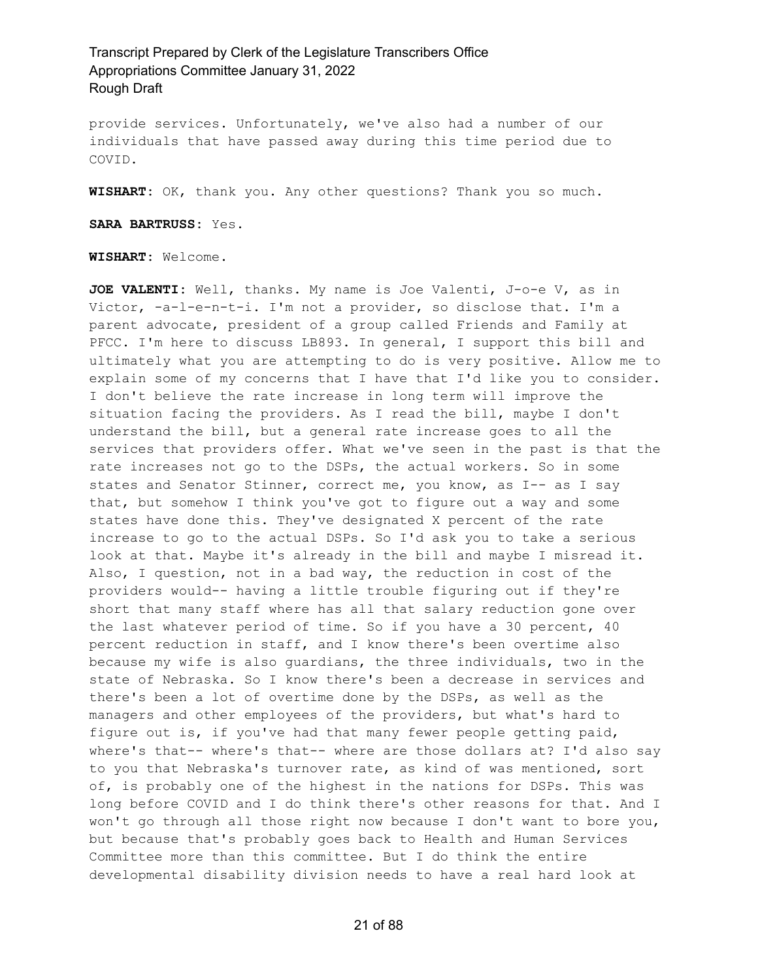provide services. Unfortunately, we've also had a number of our individuals that have passed away during this time period due to COVID.

**WISHART:** OK, thank you. Any other questions? Thank you so much.

**SARA BARTRUSS:** Yes.

**WISHART:** Welcome.

**JOE VALENTI:** Well, thanks. My name is Joe Valenti, J-o-e V, as in Victor, -a-l-e-n-t-i. I'm not a provider, so disclose that. I'm a parent advocate, president of a group called Friends and Family at PFCC. I'm here to discuss LB893. In general, I support this bill and ultimately what you are attempting to do is very positive. Allow me to explain some of my concerns that I have that I'd like you to consider. I don't believe the rate increase in long term will improve the situation facing the providers. As I read the bill, maybe I don't understand the bill, but a general rate increase goes to all the services that providers offer. What we've seen in the past is that the rate increases not go to the DSPs, the actual workers. So in some states and Senator Stinner, correct me, you know, as I-- as I say that, but somehow I think you've got to figure out a way and some states have done this. They've designated X percent of the rate increase to go to the actual DSPs. So I'd ask you to take a serious look at that. Maybe it's already in the bill and maybe I misread it. Also, I question, not in a bad way, the reduction in cost of the providers would-- having a little trouble figuring out if they're short that many staff where has all that salary reduction gone over the last whatever period of time. So if you have a 30 percent, 40 percent reduction in staff, and I know there's been overtime also because my wife is also guardians, the three individuals, two in the state of Nebraska. So I know there's been a decrease in services and there's been a lot of overtime done by the DSPs, as well as the managers and other employees of the providers, but what's hard to figure out is, if you've had that many fewer people getting paid, where's that-- where's that-- where are those dollars at? I'd also say to you that Nebraska's turnover rate, as kind of was mentioned, sort of, is probably one of the highest in the nations for DSPs. This was long before COVID and I do think there's other reasons for that. And I won't go through all those right now because I don't want to bore you, but because that's probably goes back to Health and Human Services Committee more than this committee. But I do think the entire developmental disability division needs to have a real hard look at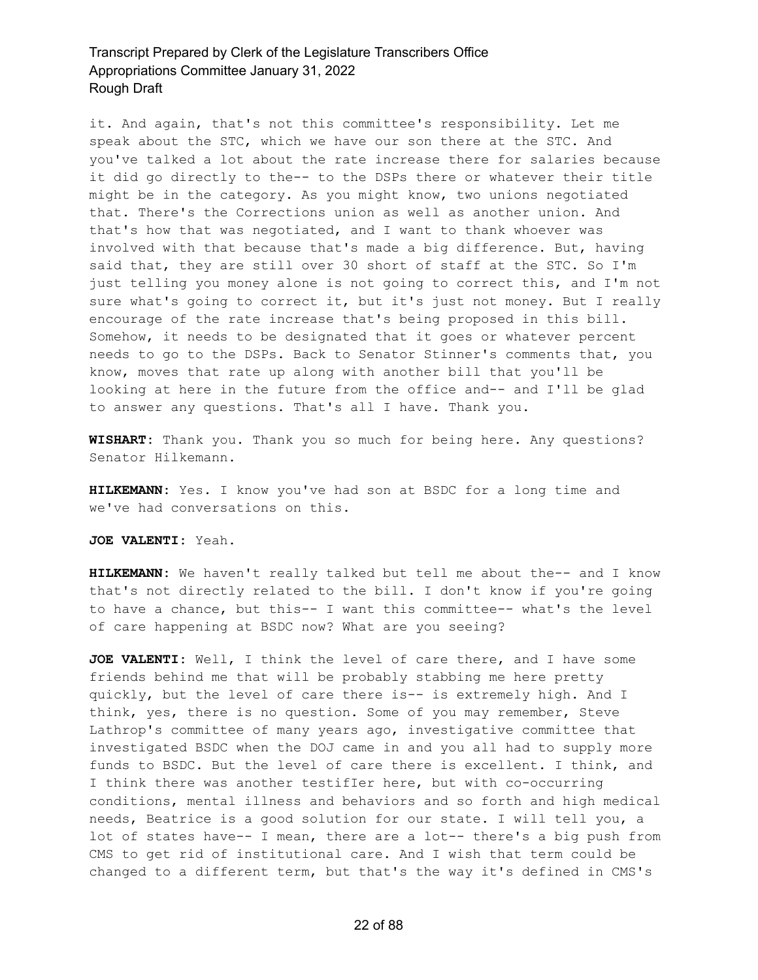it. And again, that's not this committee's responsibility. Let me speak about the STC, which we have our son there at the STC. And you've talked a lot about the rate increase there for salaries because it did go directly to the-- to the DSPs there or whatever their title might be in the category. As you might know, two unions negotiated that. There's the Corrections union as well as another union. And that's how that was negotiated, and I want to thank whoever was involved with that because that's made a big difference. But, having said that, they are still over 30 short of staff at the STC. So I'm just telling you money alone is not going to correct this, and I'm not sure what's going to correct it, but it's just not money. But I really encourage of the rate increase that's being proposed in this bill. Somehow, it needs to be designated that it goes or whatever percent needs to go to the DSPs. Back to Senator Stinner's comments that, you know, moves that rate up along with another bill that you'll be looking at here in the future from the office and-- and I'll be glad to answer any questions. That's all I have. Thank you.

**WISHART:** Thank you. Thank you so much for being here. Any questions? Senator Hilkemann.

**HILKEMANN:** Yes. I know you've had son at BSDC for a long time and we've had conversations on this.

**JOE VALENTI:** Yeah.

**HILKEMANN:** We haven't really talked but tell me about the-- and I know that's not directly related to the bill. I don't know if you're going to have a chance, but this-- I want this committee-- what's the level of care happening at BSDC now? What are you seeing?

**JOE VALENTI:** Well, I think the level of care there, and I have some friends behind me that will be probably stabbing me here pretty quickly, but the level of care there is-- is extremely high. And I think, yes, there is no question. Some of you may remember, Steve Lathrop's committee of many years ago, investigative committee that investigated BSDC when the DOJ came in and you all had to supply more funds to BSDC. But the level of care there is excellent. I think, and I think there was another testifIer here, but with co-occurring conditions, mental illness and behaviors and so forth and high medical needs, Beatrice is a good solution for our state. I will tell you, a lot of states have-- I mean, there are a lot-- there's a big push from CMS to get rid of institutional care. And I wish that term could be changed to a different term, but that's the way it's defined in CMS's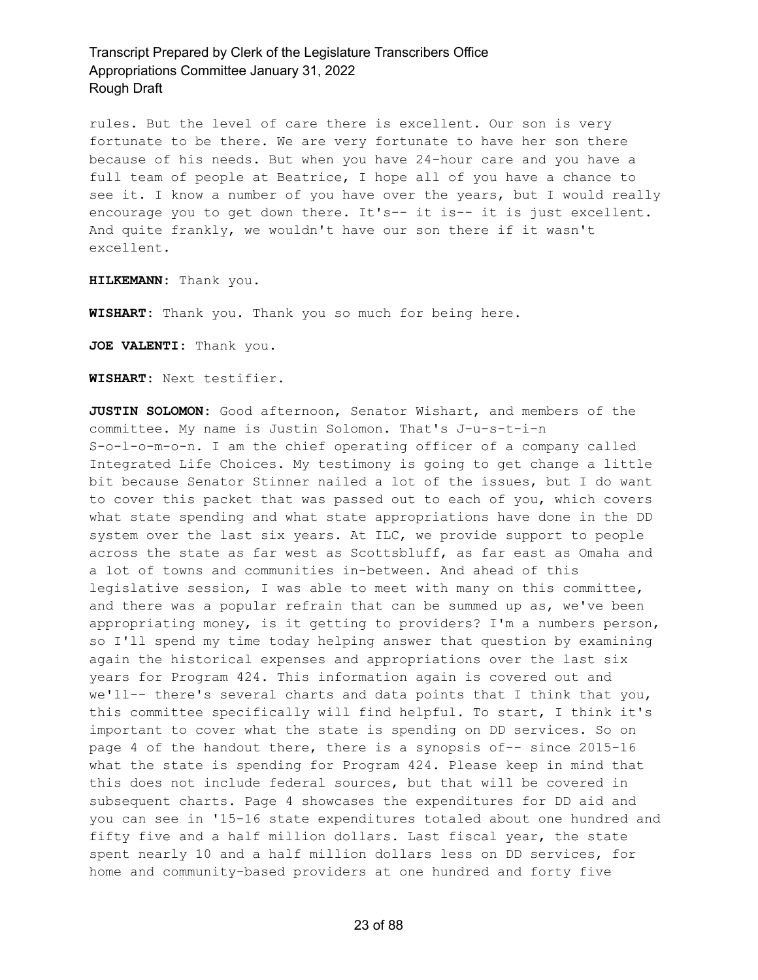rules. But the level of care there is excellent. Our son is very fortunate to be there. We are very fortunate to have her son there because of his needs. But when you have 24-hour care and you have a full team of people at Beatrice, I hope all of you have a chance to see it. I know a number of you have over the years, but I would really encourage you to get down there. It's-- it is-- it is just excellent. And quite frankly, we wouldn't have our son there if it wasn't excellent.

**HILKEMANN:** Thank you.

**WISHART:** Thank you. Thank you so much for being here.

**JOE VALENTI:** Thank you.

**WISHART:** Next testifier.

**JUSTIN SOLOMON:** Good afternoon, Senator Wishart, and members of the committee. My name is Justin Solomon. That's J-u-s-t-i-n S-o-l-o-m-o-n. I am the chief operating officer of a company called Integrated Life Choices. My testimony is going to get change a little bit because Senator Stinner nailed a lot of the issues, but I do want to cover this packet that was passed out to each of you, which covers what state spending and what state appropriations have done in the DD system over the last six years. At ILC, we provide support to people across the state as far west as Scottsbluff, as far east as Omaha and a lot of towns and communities in-between. And ahead of this legislative session, I was able to meet with many on this committee, and there was a popular refrain that can be summed up as, we've been appropriating money, is it getting to providers? I'm a numbers person, so I'll spend my time today helping answer that question by examining again the historical expenses and appropriations over the last six years for Program 424. This information again is covered out and we'll-- there's several charts and data points that I think that you, this committee specifically will find helpful. To start, I think it's important to cover what the state is spending on DD services. So on page 4 of the handout there, there is a synopsis of-- since 2015-16 what the state is spending for Program 424. Please keep in mind that this does not include federal sources, but that will be covered in subsequent charts. Page 4 showcases the expenditures for DD aid and you can see in '15-16 state expenditures totaled about one hundred and fifty five and a half million dollars. Last fiscal year, the state spent nearly 10 and a half million dollars less on DD services, for home and community-based providers at one hundred and forty five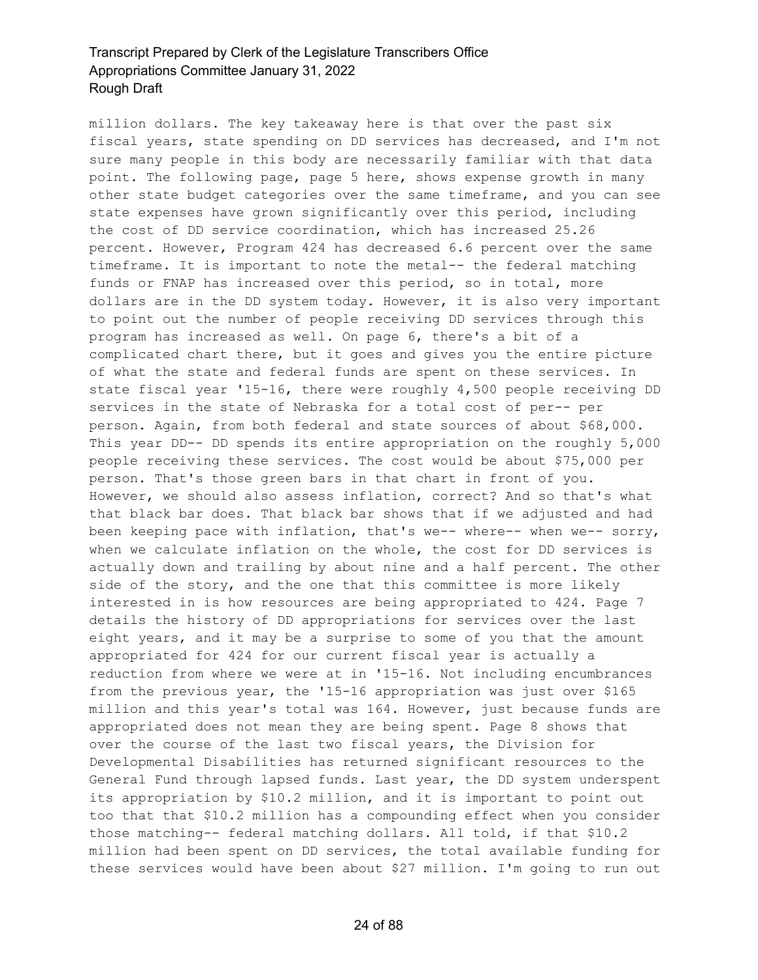million dollars. The key takeaway here is that over the past six fiscal years, state spending on DD services has decreased, and I'm not sure many people in this body are necessarily familiar with that data point. The following page, page 5 here, shows expense growth in many other state budget categories over the same timeframe, and you can see state expenses have grown significantly over this period, including the cost of DD service coordination, which has increased 25.26 percent. However, Program 424 has decreased 6.6 percent over the same timeframe. It is important to note the metal-- the federal matching funds or FNAP has increased over this period, so in total, more dollars are in the DD system today. However, it is also very important to point out the number of people receiving DD services through this program has increased as well. On page 6, there's a bit of a complicated chart there, but it goes and gives you the entire picture of what the state and federal funds are spent on these services. In state fiscal year '15-16, there were roughly 4,500 people receiving DD services in the state of Nebraska for a total cost of per-- per person. Again, from both federal and state sources of about \$68,000. This year DD-- DD spends its entire appropriation on the roughly 5,000 people receiving these services. The cost would be about \$75,000 per person. That's those green bars in that chart in front of you. However, we should also assess inflation, correct? And so that's what that black bar does. That black bar shows that if we adjusted and had been keeping pace with inflation, that's we-- where-- when we-- sorry, when we calculate inflation on the whole, the cost for DD services is actually down and trailing by about nine and a half percent. The other side of the story, and the one that this committee is more likely interested in is how resources are being appropriated to 424. Page 7 details the history of DD appropriations for services over the last eight years, and it may be a surprise to some of you that the amount appropriated for 424 for our current fiscal year is actually a reduction from where we were at in '15-16. Not including encumbrances from the previous year, the '15-16 appropriation was just over \$165 million and this year's total was 164. However, just because funds are appropriated does not mean they are being spent. Page 8 shows that over the course of the last two fiscal years, the Division for Developmental Disabilities has returned significant resources to the General Fund through lapsed funds. Last year, the DD system underspent its appropriation by \$10.2 million, and it is important to point out too that that \$10.2 million has a compounding effect when you consider those matching-- federal matching dollars. All told, if that \$10.2 million had been spent on DD services, the total available funding for these services would have been about \$27 million. I'm going to run out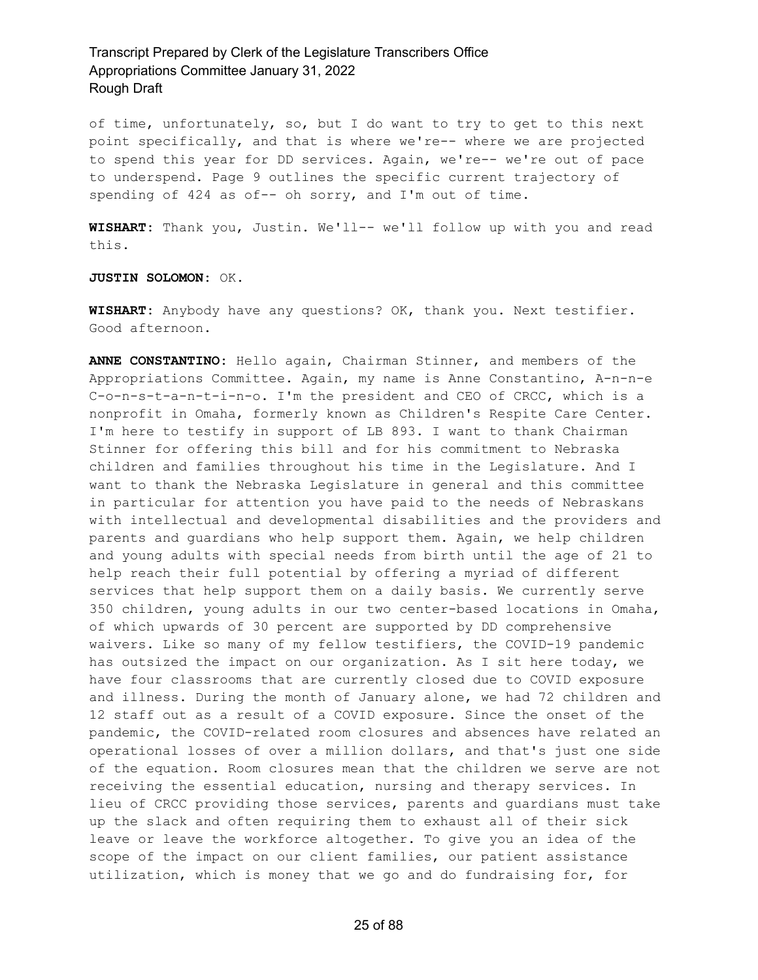of time, unfortunately, so, but I do want to try to get to this next point specifically, and that is where we're-- where we are projected to spend this year for DD services. Again, we're-- we're out of pace to underspend. Page 9 outlines the specific current trajectory of spending of 424 as of-- oh sorry, and I'm out of time.

**WISHART:** Thank you, Justin. We'll-- we'll follow up with you and read this.

**JUSTIN SOLOMON:** OK.

**WISHART:** Anybody have any questions? OK, thank you. Next testifier. Good afternoon.

**ANNE CONSTANTINO:** Hello again, Chairman Stinner, and members of the Appropriations Committee. Again, my name is Anne Constantino, A-n-n-e C-o-n-s-t-a-n-t-i-n-o. I'm the president and CEO of CRCC, which is a nonprofit in Omaha, formerly known as Children's Respite Care Center. I'm here to testify in support of LB 893. I want to thank Chairman Stinner for offering this bill and for his commitment to Nebraska children and families throughout his time in the Legislature. And I want to thank the Nebraska Legislature in general and this committee in particular for attention you have paid to the needs of Nebraskans with intellectual and developmental disabilities and the providers and parents and guardians who help support them. Again, we help children and young adults with special needs from birth until the age of 21 to help reach their full potential by offering a myriad of different services that help support them on a daily basis. We currently serve 350 children, young adults in our two center-based locations in Omaha, of which upwards of 30 percent are supported by DD comprehensive waivers. Like so many of my fellow testifiers, the COVID-19 pandemic has outsized the impact on our organization. As I sit here today, we have four classrooms that are currently closed due to COVID exposure and illness. During the month of January alone, we had 72 children and 12 staff out as a result of a COVID exposure. Since the onset of the pandemic, the COVID-related room closures and absences have related an operational losses of over a million dollars, and that's just one side of the equation. Room closures mean that the children we serve are not receiving the essential education, nursing and therapy services. In lieu of CRCC providing those services, parents and guardians must take up the slack and often requiring them to exhaust all of their sick leave or leave the workforce altogether. To give you an idea of the scope of the impact on our client families, our patient assistance utilization, which is money that we go and do fundraising for, for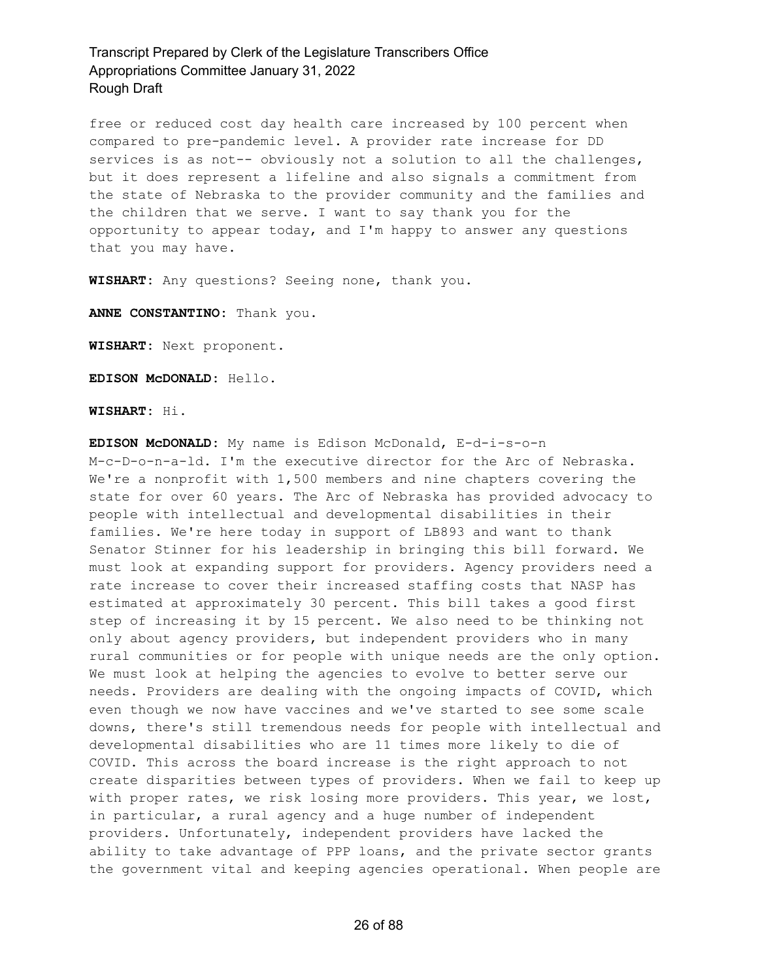free or reduced cost day health care increased by 100 percent when compared to pre-pandemic level. A provider rate increase for DD services is as not-- obviously not a solution to all the challenges, but it does represent a lifeline and also signals a commitment from the state of Nebraska to the provider community and the families and the children that we serve. I want to say thank you for the opportunity to appear today, and I'm happy to answer any questions that you may have.

**WISHART:** Any questions? Seeing none, thank you.

**ANNE CONSTANTINO:** Thank you.

**WISHART:** Next proponent.

**EDISON McDONALD:** Hello.

**WISHART:** Hi.

**EDISON McDONALD:** My name is Edison McDonald, E-d-i-s-o-n M-c-D-o-n-a-ld. I'm the executive director for the Arc of Nebraska. We're a nonprofit with 1,500 members and nine chapters covering the state for over 60 years. The Arc of Nebraska has provided advocacy to people with intellectual and developmental disabilities in their families. We're here today in support of LB893 and want to thank Senator Stinner for his leadership in bringing this bill forward. We must look at expanding support for providers. Agency providers need a rate increase to cover their increased staffing costs that NASP has estimated at approximately 30 percent. This bill takes a good first step of increasing it by 15 percent. We also need to be thinking not only about agency providers, but independent providers who in many rural communities or for people with unique needs are the only option. We must look at helping the agencies to evolve to better serve our needs. Providers are dealing with the ongoing impacts of COVID, which even though we now have vaccines and we've started to see some scale downs, there's still tremendous needs for people with intellectual and developmental disabilities who are 11 times more likely to die of COVID. This across the board increase is the right approach to not create disparities between types of providers. When we fail to keep up with proper rates, we risk losing more providers. This year, we lost, in particular, a rural agency and a huge number of independent providers. Unfortunately, independent providers have lacked the ability to take advantage of PPP loans, and the private sector grants the government vital and keeping agencies operational. When people are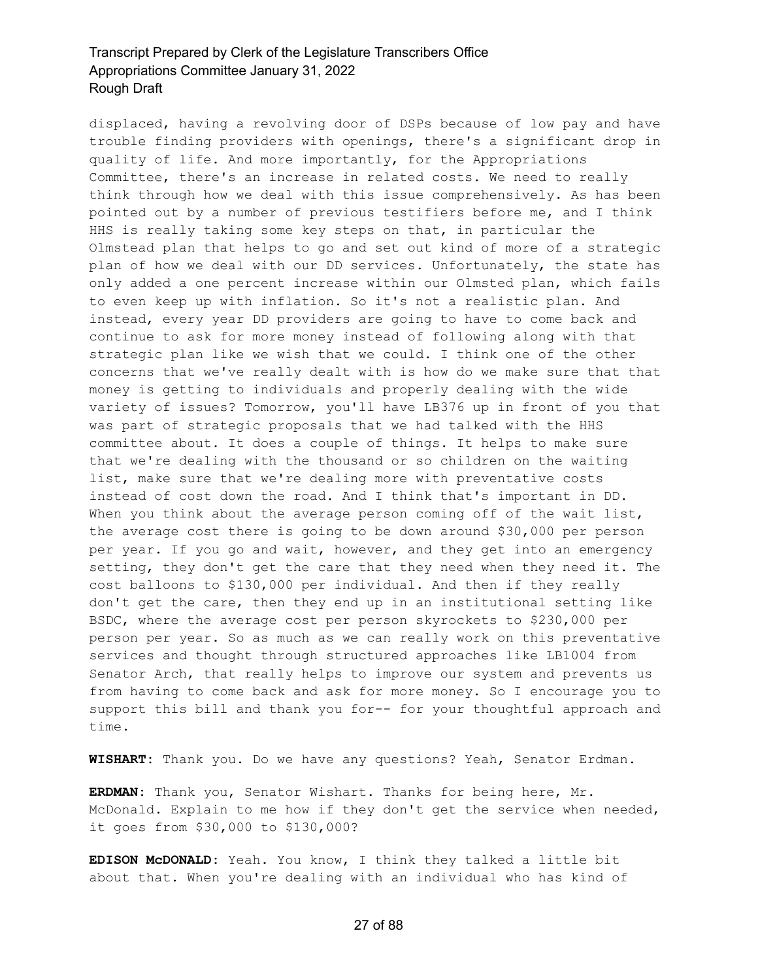displaced, having a revolving door of DSPs because of low pay and have trouble finding providers with openings, there's a significant drop in quality of life. And more importantly, for the Appropriations Committee, there's an increase in related costs. We need to really think through how we deal with this issue comprehensively. As has been pointed out by a number of previous testifiers before me, and I think HHS is really taking some key steps on that, in particular the Olmstead plan that helps to go and set out kind of more of a strategic plan of how we deal with our DD services. Unfortunately, the state has only added a one percent increase within our Olmsted plan, which fails to even keep up with inflation. So it's not a realistic plan. And instead, every year DD providers are going to have to come back and continue to ask for more money instead of following along with that strategic plan like we wish that we could. I think one of the other concerns that we've really dealt with is how do we make sure that that money is getting to individuals and properly dealing with the wide variety of issues? Tomorrow, you'll have LB376 up in front of you that was part of strategic proposals that we had talked with the HHS committee about. It does a couple of things. It helps to make sure that we're dealing with the thousand or so children on the waiting list, make sure that we're dealing more with preventative costs instead of cost down the road. And I think that's important in DD. When you think about the average person coming off of the wait list, the average cost there is going to be down around \$30,000 per person per year. If you go and wait, however, and they get into an emergency setting, they don't get the care that they need when they need it. The cost balloons to \$130,000 per individual. And then if they really don't get the care, then they end up in an institutional setting like BSDC, where the average cost per person skyrockets to \$230,000 per person per year. So as much as we can really work on this preventative services and thought through structured approaches like LB1004 from Senator Arch, that really helps to improve our system and prevents us from having to come back and ask for more money. So I encourage you to support this bill and thank you for-- for your thoughtful approach and time.

**WISHART:** Thank you. Do we have any questions? Yeah, Senator Erdman.

**ERDMAN:** Thank you, Senator Wishart. Thanks for being here, Mr. McDonald. Explain to me how if they don't get the service when needed, it goes from \$30,000 to \$130,000?

**EDISON McDONALD:** Yeah. You know, I think they talked a little bit about that. When you're dealing with an individual who has kind of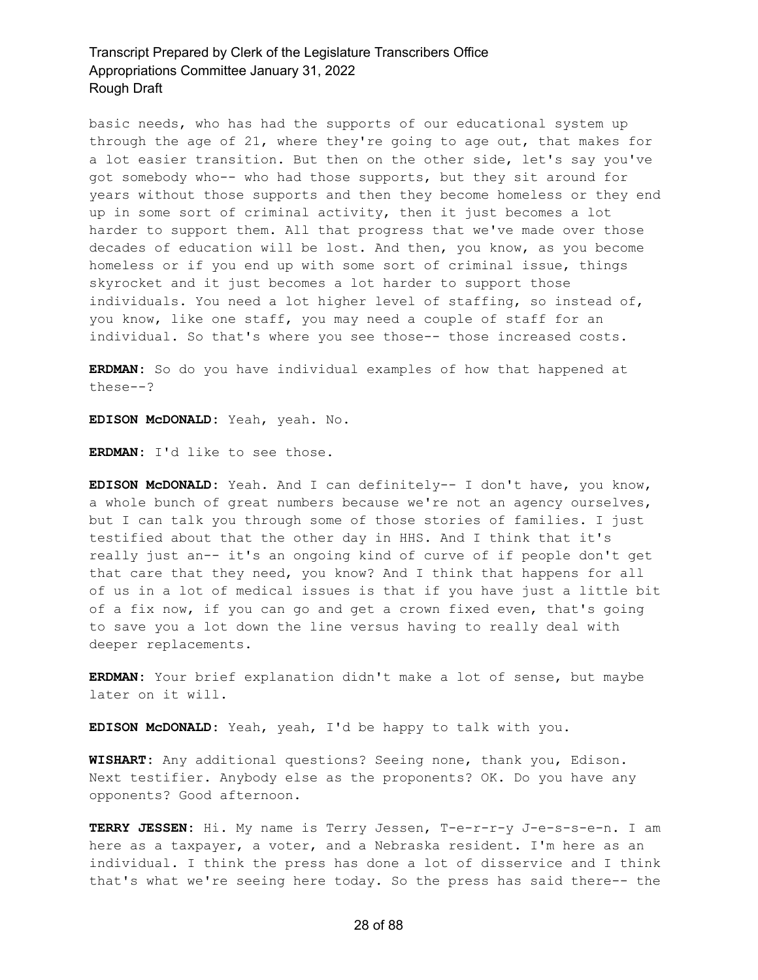basic needs, who has had the supports of our educational system up through the age of 21, where they're going to age out, that makes for a lot easier transition. But then on the other side, let's say you've got somebody who-- who had those supports, but they sit around for years without those supports and then they become homeless or they end up in some sort of criminal activity, then it just becomes a lot harder to support them. All that progress that we've made over those decades of education will be lost. And then, you know, as you become homeless or if you end up with some sort of criminal issue, things skyrocket and it just becomes a lot harder to support those individuals. You need a lot higher level of staffing, so instead of, you know, like one staff, you may need a couple of staff for an individual. So that's where you see those-- those increased costs.

**ERDMAN:** So do you have individual examples of how that happened at these--?

**EDISON McDONALD:** Yeah, yeah. No.

**ERDMAN:** I'd like to see those.

**EDISON McDONALD:** Yeah. And I can definitely-- I don't have, you know, a whole bunch of great numbers because we're not an agency ourselves, but I can talk you through some of those stories of families. I just testified about that the other day in HHS. And I think that it's really just an-- it's an ongoing kind of curve of if people don't get that care that they need, you know? And I think that happens for all of us in a lot of medical issues is that if you have just a little bit of a fix now, if you can go and get a crown fixed even, that's going to save you a lot down the line versus having to really deal with deeper replacements.

**ERDMAN:** Your brief explanation didn't make a lot of sense, but maybe later on it will.

**EDISON McDONALD:** Yeah, yeah, I'd be happy to talk with you.

**WISHART:** Any additional questions? Seeing none, thank you, Edison. Next testifier. Anybody else as the proponents? OK. Do you have any opponents? Good afternoon.

**TERRY JESSEN:** Hi. My name is Terry Jessen, T-e-r-r-y J-e-s-s-e-n. I am here as a taxpayer, a voter, and a Nebraska resident. I'm here as an individual. I think the press has done a lot of disservice and I think that's what we're seeing here today. So the press has said there-- the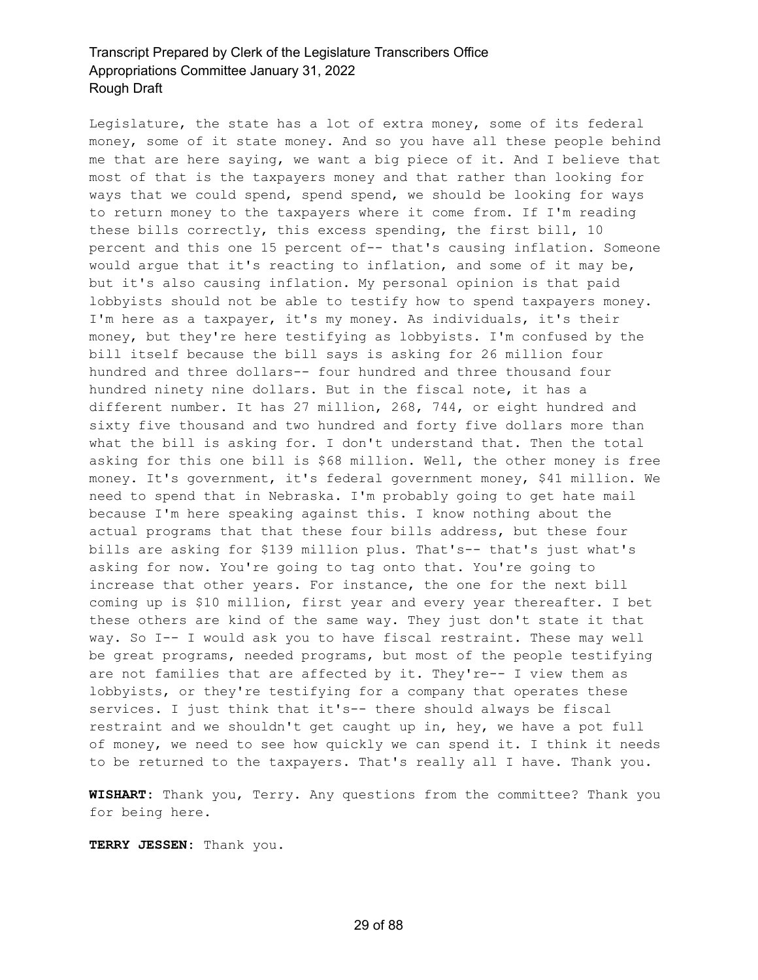Legislature, the state has a lot of extra money, some of its federal money, some of it state money. And so you have all these people behind me that are here saying, we want a big piece of it. And I believe that most of that is the taxpayers money and that rather than looking for ways that we could spend, spend spend, we should be looking for ways to return money to the taxpayers where it come from. If I'm reading these bills correctly, this excess spending, the first bill, 10 percent and this one 15 percent of-- that's causing inflation. Someone would argue that it's reacting to inflation, and some of it may be, but it's also causing inflation. My personal opinion is that paid lobbyists should not be able to testify how to spend taxpayers money. I'm here as a taxpayer, it's my money. As individuals, it's their money, but they're here testifying as lobbyists. I'm confused by the bill itself because the bill says is asking for 26 million four hundred and three dollars-- four hundred and three thousand four hundred ninety nine dollars. But in the fiscal note, it has a different number. It has 27 million, 268, 744, or eight hundred and sixty five thousand and two hundred and forty five dollars more than what the bill is asking for. I don't understand that. Then the total asking for this one bill is \$68 million. Well, the other money is free money. It's government, it's federal government money, \$41 million. We need to spend that in Nebraska. I'm probably going to get hate mail because I'm here speaking against this. I know nothing about the actual programs that that these four bills address, but these four bills are asking for \$139 million plus. That's-- that's just what's asking for now. You're going to tag onto that. You're going to increase that other years. For instance, the one for the next bill coming up is \$10 million, first year and every year thereafter. I bet these others are kind of the same way. They just don't state it that way. So I-- I would ask you to have fiscal restraint. These may well be great programs, needed programs, but most of the people testifying are not families that are affected by it. They're-- I view them as lobbyists, or they're testifying for a company that operates these services. I just think that it's-- there should always be fiscal restraint and we shouldn't get caught up in, hey, we have a pot full of money, we need to see how quickly we can spend it. I think it needs to be returned to the taxpayers. That's really all I have. Thank you.

**WISHART:** Thank you, Terry. Any questions from the committee? Thank you for being here.

**TERRY JESSEN:** Thank you.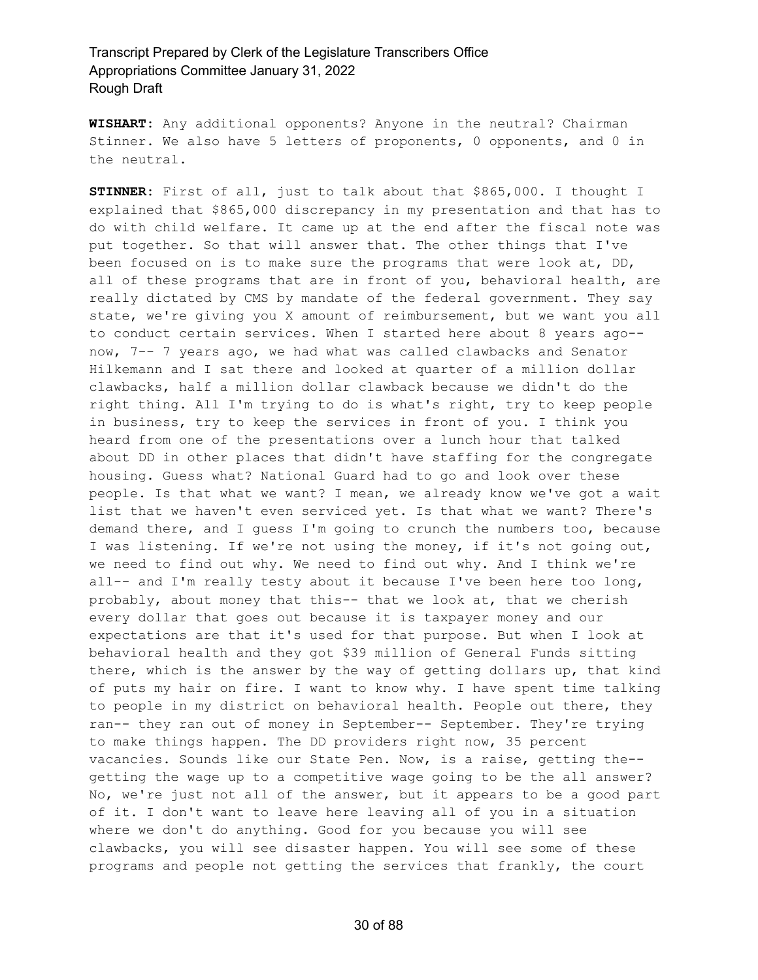**WISHART:** Any additional opponents? Anyone in the neutral? Chairman Stinner. We also have 5 letters of proponents, 0 opponents, and 0 in the neutral.

**STINNER:** First of all, just to talk about that \$865,000. I thought I explained that \$865,000 discrepancy in my presentation and that has to do with child welfare. It came up at the end after the fiscal note was put together. So that will answer that. The other things that I've been focused on is to make sure the programs that were look at, DD, all of these programs that are in front of you, behavioral health, are really dictated by CMS by mandate of the federal government. They say state, we're giving you X amount of reimbursement, but we want you all to conduct certain services. When I started here about 8 years ago- now, 7-- 7 years ago, we had what was called clawbacks and Senator Hilkemann and I sat there and looked at quarter of a million dollar clawbacks, half a million dollar clawback because we didn't do the right thing. All I'm trying to do is what's right, try to keep people in business, try to keep the services in front of you. I think you heard from one of the presentations over a lunch hour that talked about DD in other places that didn't have staffing for the congregate housing. Guess what? National Guard had to go and look over these people. Is that what we want? I mean, we already know we've got a wait list that we haven't even serviced yet. Is that what we want? There's demand there, and I guess I'm going to crunch the numbers too, because I was listening. If we're not using the money, if it's not going out, we need to find out why. We need to find out why. And I think we're all-- and I'm really testy about it because I've been here too long, probably, about money that this-- that we look at, that we cherish every dollar that goes out because it is taxpayer money and our expectations are that it's used for that purpose. But when I look at behavioral health and they got \$39 million of General Funds sitting there, which is the answer by the way of getting dollars up, that kind of puts my hair on fire. I want to know why. I have spent time talking to people in my district on behavioral health. People out there, they ran-- they ran out of money in September-- September. They're trying to make things happen. The DD providers right now, 35 percent vacancies. Sounds like our State Pen. Now, is a raise, getting the- getting the wage up to a competitive wage going to be the all answer? No, we're just not all of the answer, but it appears to be a good part of it. I don't want to leave here leaving all of you in a situation where we don't do anything. Good for you because you will see clawbacks, you will see disaster happen. You will see some of these programs and people not getting the services that frankly, the court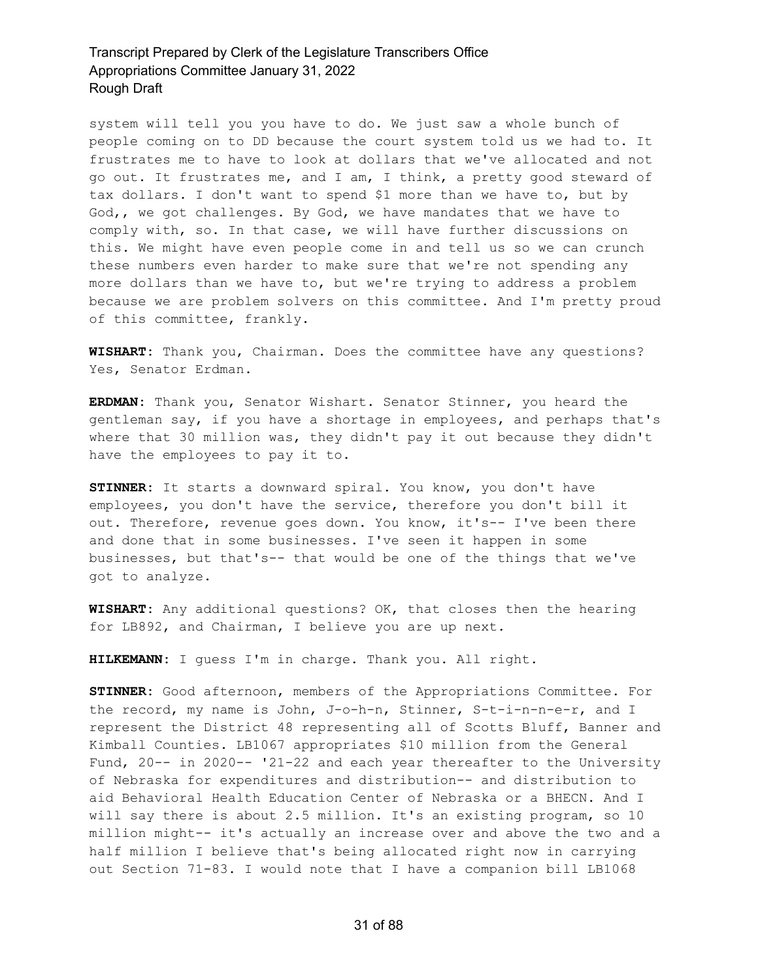system will tell you you have to do. We just saw a whole bunch of people coming on to DD because the court system told us we had to. It frustrates me to have to look at dollars that we've allocated and not go out. It frustrates me, and I am, I think, a pretty good steward of tax dollars. I don't want to spend \$1 more than we have to, but by God,, we got challenges. By God, we have mandates that we have to comply with, so. In that case, we will have further discussions on this. We might have even people come in and tell us so we can crunch these numbers even harder to make sure that we're not spending any more dollars than we have to, but we're trying to address a problem because we are problem solvers on this committee. And I'm pretty proud of this committee, frankly.

**WISHART:** Thank you, Chairman. Does the committee have any questions? Yes, Senator Erdman.

**ERDMAN:** Thank you, Senator Wishart. Senator Stinner, you heard the gentleman say, if you have a shortage in employees, and perhaps that's where that 30 million was, they didn't pay it out because they didn't have the employees to pay it to.

**STINNER:** It starts a downward spiral. You know, you don't have employees, you don't have the service, therefore you don't bill it out. Therefore, revenue goes down. You know, it's-- I've been there and done that in some businesses. I've seen it happen in some businesses, but that's-- that would be one of the things that we've got to analyze.

**WISHART:** Any additional questions? OK, that closes then the hearing for LB892, and Chairman, I believe you are up next.

**HILKEMANN:** I guess I'm in charge. Thank you. All right.

**STINNER:** Good afternoon, members of the Appropriations Committee. For the record, my name is John, J-o-h-n, Stinner, S-t-i-n-n-e-r, and I represent the District 48 representing all of Scotts Bluff, Banner and Kimball Counties. LB1067 appropriates \$10 million from the General Fund, 20-- in 2020-- '21-22 and each year thereafter to the University of Nebraska for expenditures and distribution-- and distribution to aid Behavioral Health Education Center of Nebraska or a BHECN. And I will say there is about 2.5 million. It's an existing program, so 10 million might-- it's actually an increase over and above the two and a half million I believe that's being allocated right now in carrying out Section 71-83. I would note that I have a companion bill LB1068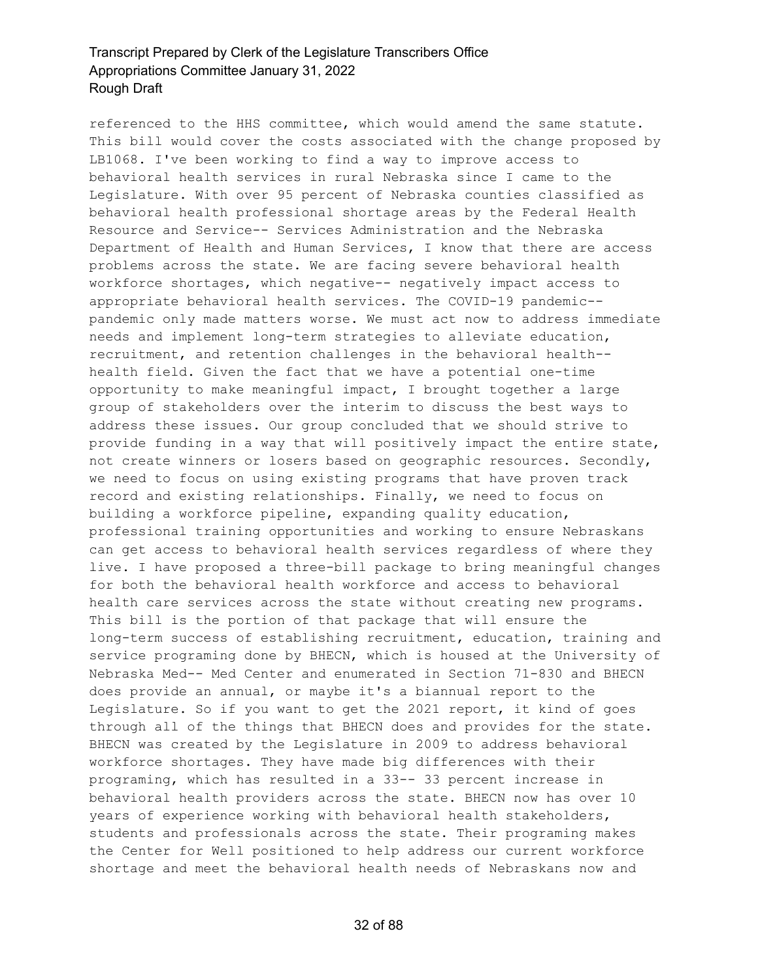referenced to the HHS committee, which would amend the same statute. This bill would cover the costs associated with the change proposed by LB1068. I've been working to find a way to improve access to behavioral health services in rural Nebraska since I came to the Legislature. With over 95 percent of Nebraska counties classified as behavioral health professional shortage areas by the Federal Health Resource and Service-- Services Administration and the Nebraska Department of Health and Human Services, I know that there are access problems across the state. We are facing severe behavioral health workforce shortages, which negative-- negatively impact access to appropriate behavioral health services. The COVID-19 pandemic- pandemic only made matters worse. We must act now to address immediate needs and implement long-term strategies to alleviate education, recruitment, and retention challenges in the behavioral health- health field. Given the fact that we have a potential one-time opportunity to make meaningful impact, I brought together a large group of stakeholders over the interim to discuss the best ways to address these issues. Our group concluded that we should strive to provide funding in a way that will positively impact the entire state, not create winners or losers based on geographic resources. Secondly, we need to focus on using existing programs that have proven track record and existing relationships. Finally, we need to focus on building a workforce pipeline, expanding quality education, professional training opportunities and working to ensure Nebraskans can get access to behavioral health services regardless of where they live. I have proposed a three-bill package to bring meaningful changes for both the behavioral health workforce and access to behavioral health care services across the state without creating new programs. This bill is the portion of that package that will ensure the long-term success of establishing recruitment, education, training and service programing done by BHECN, which is housed at the University of Nebraska Med-- Med Center and enumerated in Section 71-830 and BHECN does provide an annual, or maybe it's a biannual report to the Legislature. So if you want to get the 2021 report, it kind of goes through all of the things that BHECN does and provides for the state. BHECN was created by the Legislature in 2009 to address behavioral workforce shortages. They have made big differences with their programing, which has resulted in a 33-- 33 percent increase in behavioral health providers across the state. BHECN now has over 10 years of experience working with behavioral health stakeholders, students and professionals across the state. Their programing makes the Center for Well positioned to help address our current workforce shortage and meet the behavioral health needs of Nebraskans now and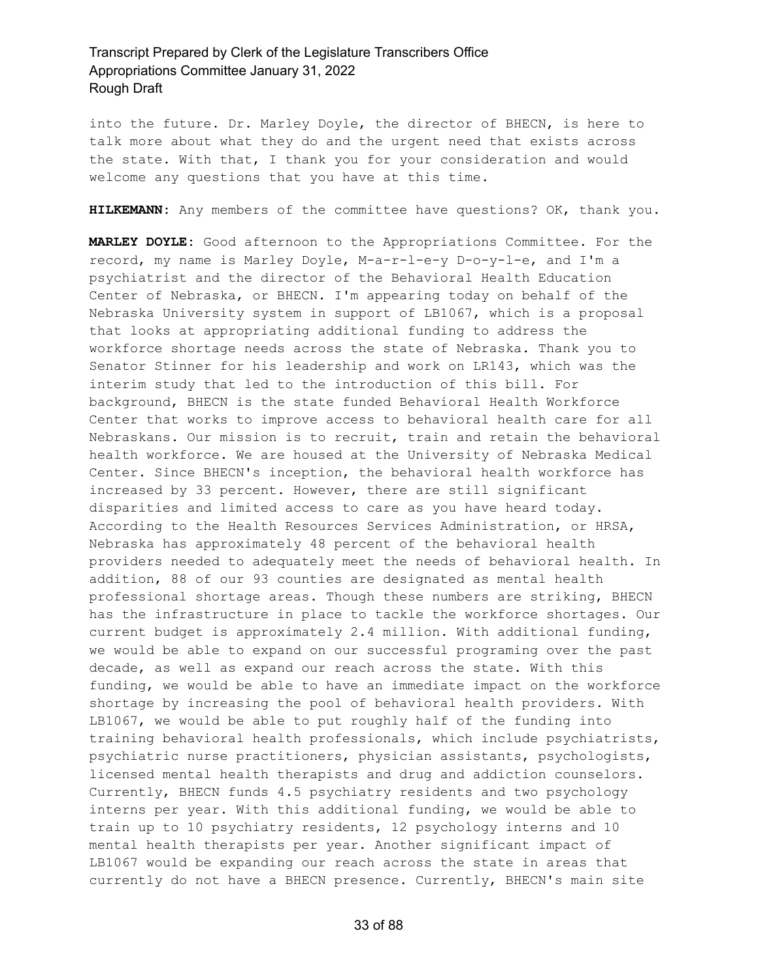into the future. Dr. Marley Doyle, the director of BHECN, is here to talk more about what they do and the urgent need that exists across the state. With that, I thank you for your consideration and would welcome any questions that you have at this time.

**HILKEMANN:** Any members of the committee have questions? OK, thank you.

**MARLEY DOYLE:** Good afternoon to the Appropriations Committee. For the record, my name is Marley Doyle, M-a-r-l-e-y D-o-y-l-e, and I'm a psychiatrist and the director of the Behavioral Health Education Center of Nebraska, or BHECN. I'm appearing today on behalf of the Nebraska University system in support of LB1067, which is a proposal that looks at appropriating additional funding to address the workforce shortage needs across the state of Nebraska. Thank you to Senator Stinner for his leadership and work on LR143, which was the interim study that led to the introduction of this bill. For background, BHECN is the state funded Behavioral Health Workforce Center that works to improve access to behavioral health care for all Nebraskans. Our mission is to recruit, train and retain the behavioral health workforce. We are housed at the University of Nebraska Medical Center. Since BHECN's inception, the behavioral health workforce has increased by 33 percent. However, there are still significant disparities and limited access to care as you have heard today. According to the Health Resources Services Administration, or HRSA, Nebraska has approximately 48 percent of the behavioral health providers needed to adequately meet the needs of behavioral health. In addition, 88 of our 93 counties are designated as mental health professional shortage areas. Though these numbers are striking, BHECN has the infrastructure in place to tackle the workforce shortages. Our current budget is approximately 2.4 million. With additional funding, we would be able to expand on our successful programing over the past decade, as well as expand our reach across the state. With this funding, we would be able to have an immediate impact on the workforce shortage by increasing the pool of behavioral health providers. With LB1067, we would be able to put roughly half of the funding into training behavioral health professionals, which include psychiatrists, psychiatric nurse practitioners, physician assistants, psychologists, licensed mental health therapists and drug and addiction counselors. Currently, BHECN funds 4.5 psychiatry residents and two psychology interns per year. With this additional funding, we would be able to train up to 10 psychiatry residents, 12 psychology interns and 10 mental health therapists per year. Another significant impact of LB1067 would be expanding our reach across the state in areas that currently do not have a BHECN presence. Currently, BHECN's main site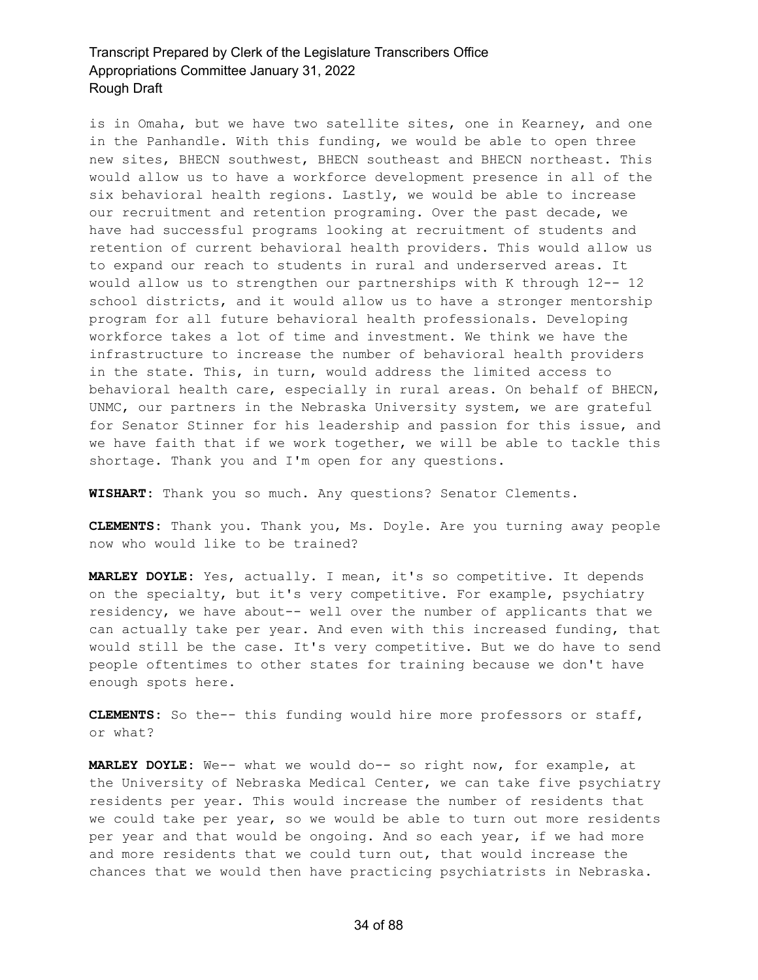is in Omaha, but we have two satellite sites, one in Kearney, and one in the Panhandle. With this funding, we would be able to open three new sites, BHECN southwest, BHECN southeast and BHECN northeast. This would allow us to have a workforce development presence in all of the six behavioral health regions. Lastly, we would be able to increase our recruitment and retention programing. Over the past decade, we have had successful programs looking at recruitment of students and retention of current behavioral health providers. This would allow us to expand our reach to students in rural and underserved areas. It would allow us to strengthen our partnerships with K through 12-- 12 school districts, and it would allow us to have a stronger mentorship program for all future behavioral health professionals. Developing workforce takes a lot of time and investment. We think we have the infrastructure to increase the number of behavioral health providers in the state. This, in turn, would address the limited access to behavioral health care, especially in rural areas. On behalf of BHECN, UNMC, our partners in the Nebraska University system, we are grateful for Senator Stinner for his leadership and passion for this issue, and we have faith that if we work together, we will be able to tackle this shortage. Thank you and I'm open for any questions.

**WISHART:** Thank you so much. Any questions? Senator Clements.

**CLEMENTS:** Thank you. Thank you, Ms. Doyle. Are you turning away people now who would like to be trained?

**MARLEY DOYLE:** Yes, actually. I mean, it's so competitive. It depends on the specialty, but it's very competitive. For example, psychiatry residency, we have about-- well over the number of applicants that we can actually take per year. And even with this increased funding, that would still be the case. It's very competitive. But we do have to send people oftentimes to other states for training because we don't have enough spots here.

**CLEMENTS:** So the-- this funding would hire more professors or staff, or what?

**MARLEY DOYLE:** We-- what we would do-- so right now, for example, at the University of Nebraska Medical Center, we can take five psychiatry residents per year. This would increase the number of residents that we could take per year, so we would be able to turn out more residents per year and that would be ongoing. And so each year, if we had more and more residents that we could turn out, that would increase the chances that we would then have practicing psychiatrists in Nebraska.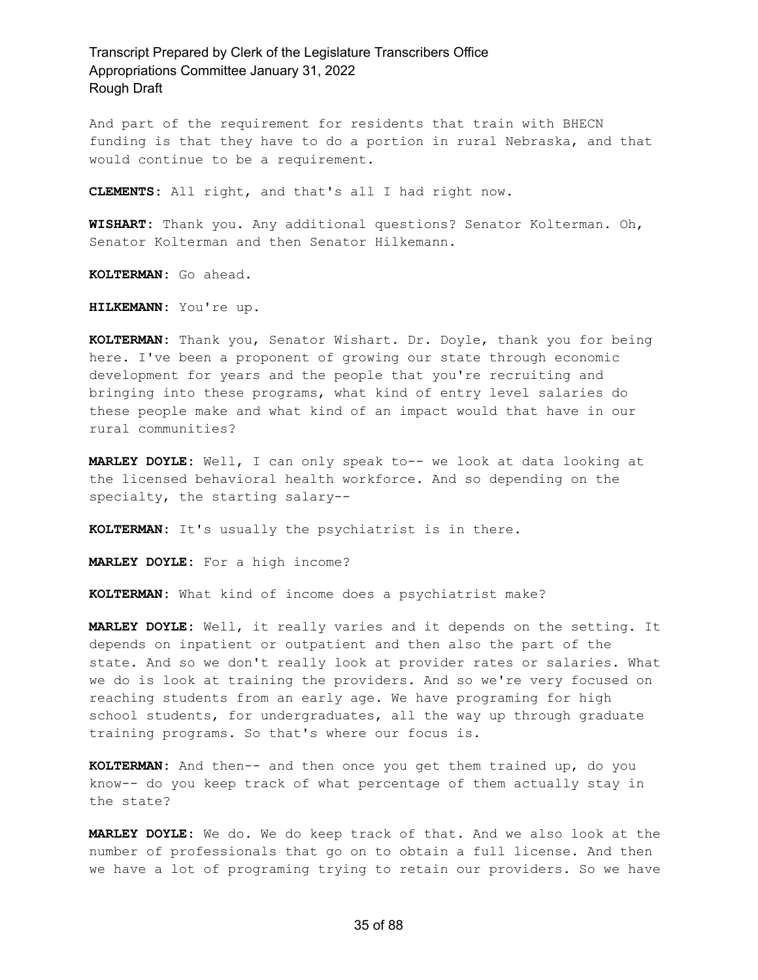And part of the requirement for residents that train with BHECN funding is that they have to do a portion in rural Nebraska, and that would continue to be a requirement.

**CLEMENTS:** All right, and that's all I had right now.

**WISHART:** Thank you. Any additional questions? Senator Kolterman. Oh, Senator Kolterman and then Senator Hilkemann.

**KOLTERMAN:** Go ahead.

**HILKEMANN:** You're up.

**KOLTERMAN:** Thank you, Senator Wishart. Dr. Doyle, thank you for being here. I've been a proponent of growing our state through economic development for years and the people that you're recruiting and bringing into these programs, what kind of entry level salaries do these people make and what kind of an impact would that have in our rural communities?

**MARLEY DOYLE:** Well, I can only speak to-- we look at data looking at the licensed behavioral health workforce. And so depending on the specialty, the starting salary--

**KOLTERMAN:** It's usually the psychiatrist is in there.

**MARLEY DOYLE:** For a high income?

**KOLTERMAN:** What kind of income does a psychiatrist make?

**MARLEY DOYLE:** Well, it really varies and it depends on the setting. It depends on inpatient or outpatient and then also the part of the state. And so we don't really look at provider rates or salaries. What we do is look at training the providers. And so we're very focused on reaching students from an early age. We have programing for high school students, for undergraduates, all the way up through graduate training programs. So that's where our focus is.

**KOLTERMAN:** And then-- and then once you get them trained up, do you know-- do you keep track of what percentage of them actually stay in the state?

**MARLEY DOYLE:** We do. We do keep track of that. And we also look at the number of professionals that go on to obtain a full license. And then we have a lot of programing trying to retain our providers. So we have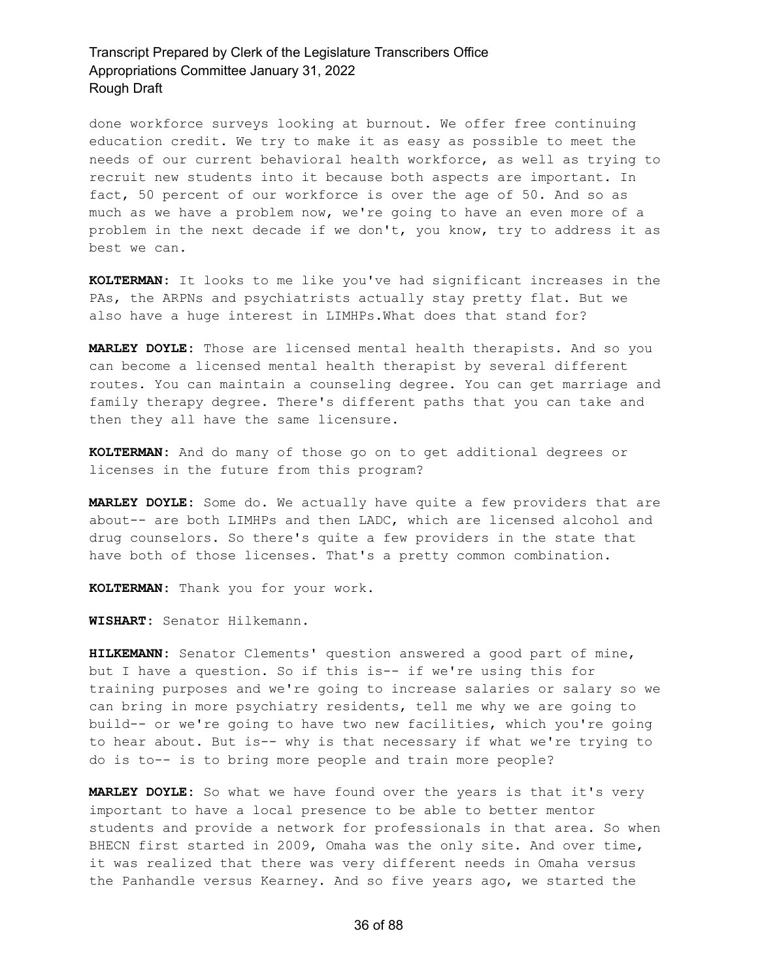done workforce surveys looking at burnout. We offer free continuing education credit. We try to make it as easy as possible to meet the needs of our current behavioral health workforce, as well as trying to recruit new students into it because both aspects are important. In fact, 50 percent of our workforce is over the age of 50. And so as much as we have a problem now, we're going to have an even more of a problem in the next decade if we don't, you know, try to address it as best we can.

**KOLTERMAN:** It looks to me like you've had significant increases in the PAs, the ARPNs and psychiatrists actually stay pretty flat. But we also have a huge interest in LIMHPs.What does that stand for?

**MARLEY DOYLE:** Those are licensed mental health therapists. And so you can become a licensed mental health therapist by several different routes. You can maintain a counseling degree. You can get marriage and family therapy degree. There's different paths that you can take and then they all have the same licensure.

**KOLTERMAN:** And do many of those go on to get additional degrees or licenses in the future from this program?

**MARLEY DOYLE:** Some do. We actually have quite a few providers that are about-- are both LIMHPs and then LADC, which are licensed alcohol and drug counselors. So there's quite a few providers in the state that have both of those licenses. That's a pretty common combination.

**KOLTERMAN:** Thank you for your work.

**WISHART:** Senator Hilkemann.

**HILKEMANN:** Senator Clements' question answered a good part of mine, but I have a question. So if this is-- if we're using this for training purposes and we're going to increase salaries or salary so we can bring in more psychiatry residents, tell me why we are going to build-- or we're going to have two new facilities, which you're going to hear about. But is-- why is that necessary if what we're trying to do is to-- is to bring more people and train more people?

**MARLEY DOYLE:** So what we have found over the years is that it's very important to have a local presence to be able to better mentor students and provide a network for professionals in that area. So when BHECN first started in 2009, Omaha was the only site. And over time, it was realized that there was very different needs in Omaha versus the Panhandle versus Kearney. And so five years ago, we started the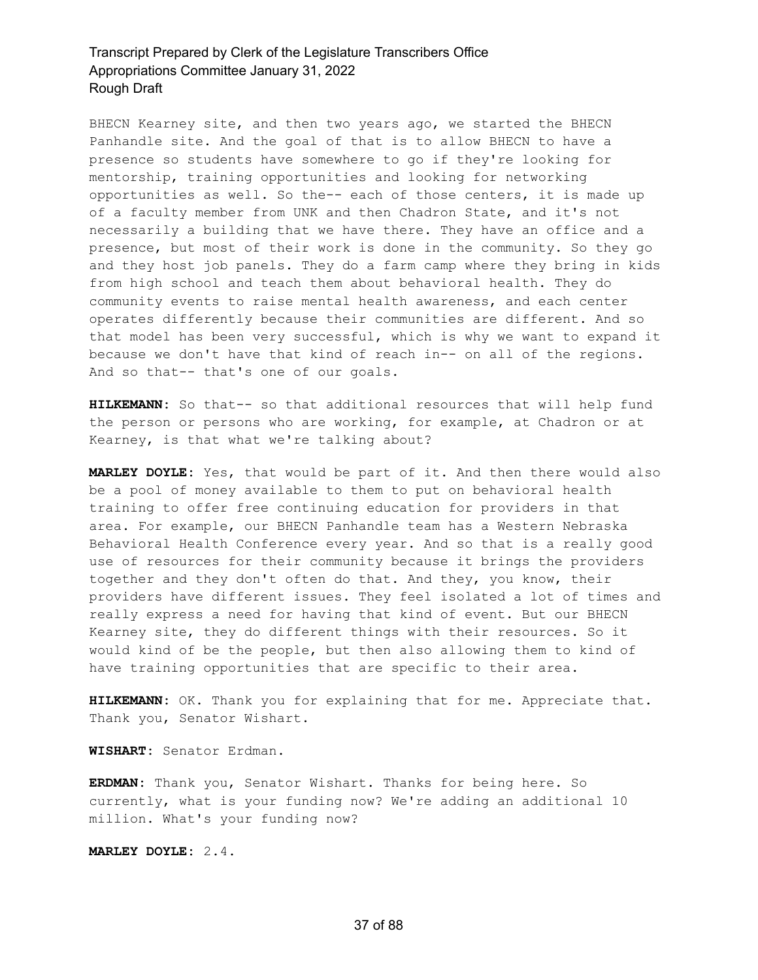BHECN Kearney site, and then two years ago, we started the BHECN Panhandle site. And the goal of that is to allow BHECN to have a presence so students have somewhere to go if they're looking for mentorship, training opportunities and looking for networking opportunities as well. So the-- each of those centers, it is made up of a faculty member from UNK and then Chadron State, and it's not necessarily a building that we have there. They have an office and a presence, but most of their work is done in the community. So they go and they host job panels. They do a farm camp where they bring in kids from high school and teach them about behavioral health. They do community events to raise mental health awareness, and each center operates differently because their communities are different. And so that model has been very successful, which is why we want to expand it because we don't have that kind of reach in-- on all of the regions. And so that-- that's one of our goals.

**HILKEMANN:** So that-- so that additional resources that will help fund the person or persons who are working, for example, at Chadron or at Kearney, is that what we're talking about?

**MARLEY DOYLE:** Yes, that would be part of it. And then there would also be a pool of money available to them to put on behavioral health training to offer free continuing education for providers in that area. For example, our BHECN Panhandle team has a Western Nebraska Behavioral Health Conference every year. And so that is a really good use of resources for their community because it brings the providers together and they don't often do that. And they, you know, their providers have different issues. They feel isolated a lot of times and really express a need for having that kind of event. But our BHECN Kearney site, they do different things with their resources. So it would kind of be the people, but then also allowing them to kind of have training opportunities that are specific to their area.

**HILKEMANN:** OK. Thank you for explaining that for me. Appreciate that. Thank you, Senator Wishart.

**WISHART:** Senator Erdman.

**ERDMAN:** Thank you, Senator Wishart. Thanks for being here. So currently, what is your funding now? We're adding an additional 10 million. What's your funding now?

**MARLEY DOYLE:** 2.4.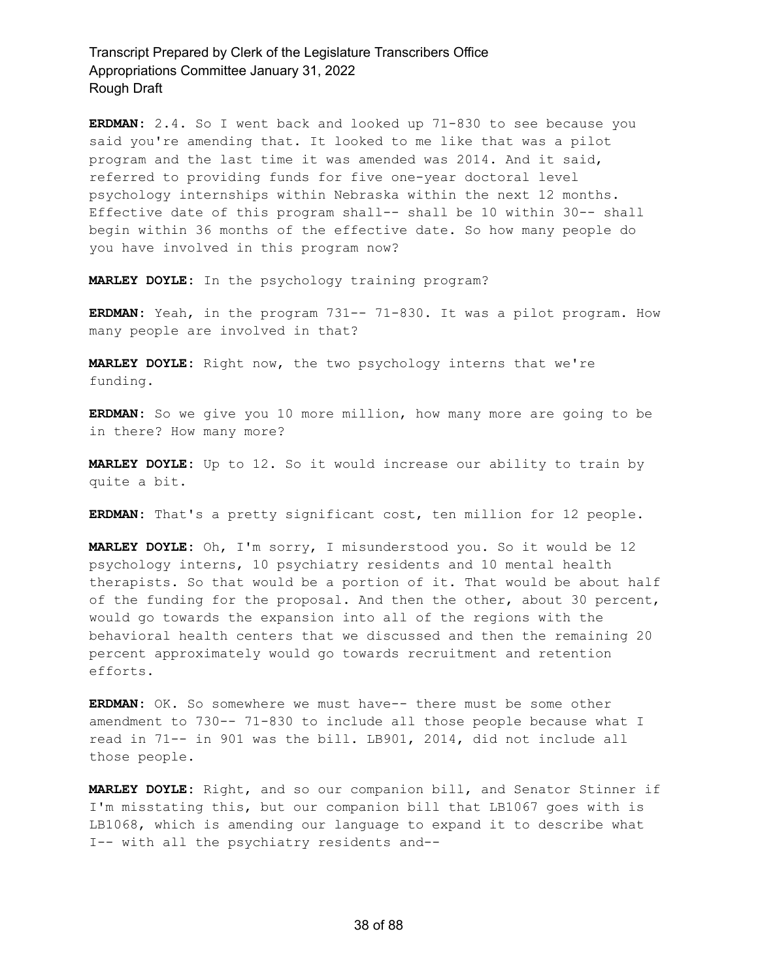**ERDMAN:** 2.4. So I went back and looked up 71-830 to see because you said you're amending that. It looked to me like that was a pilot program and the last time it was amended was 2014. And it said, referred to providing funds for five one-year doctoral level psychology internships within Nebraska within the next 12 months. Effective date of this program shall-- shall be 10 within 30-- shall begin within 36 months of the effective date. So how many people do you have involved in this program now?

**MARLEY DOYLE:** In the psychology training program?

**ERDMAN:** Yeah, in the program 731-- 71-830. It was a pilot program. How many people are involved in that?

**MARLEY DOYLE:** Right now, the two psychology interns that we're funding.

**ERDMAN:** So we give you 10 more million, how many more are going to be in there? How many more?

**MARLEY DOYLE:** Up to 12. So it would increase our ability to train by quite a bit.

**ERDMAN:** That's a pretty significant cost, ten million for 12 people.

**MARLEY DOYLE:** Oh, I'm sorry, I misunderstood you. So it would be 12 psychology interns, 10 psychiatry residents and 10 mental health therapists. So that would be a portion of it. That would be about half of the funding for the proposal. And then the other, about 30 percent, would go towards the expansion into all of the regions with the behavioral health centers that we discussed and then the remaining 20 percent approximately would go towards recruitment and retention efforts.

**ERDMAN:** OK. So somewhere we must have-- there must be some other amendment to 730-- 71-830 to include all those people because what I read in 71-- in 901 was the bill. LB901, 2014, did not include all those people.

**MARLEY DOYLE:** Right, and so our companion bill, and Senator Stinner if I'm misstating this, but our companion bill that LB1067 goes with is LB1068, which is amending our language to expand it to describe what I-- with all the psychiatry residents and--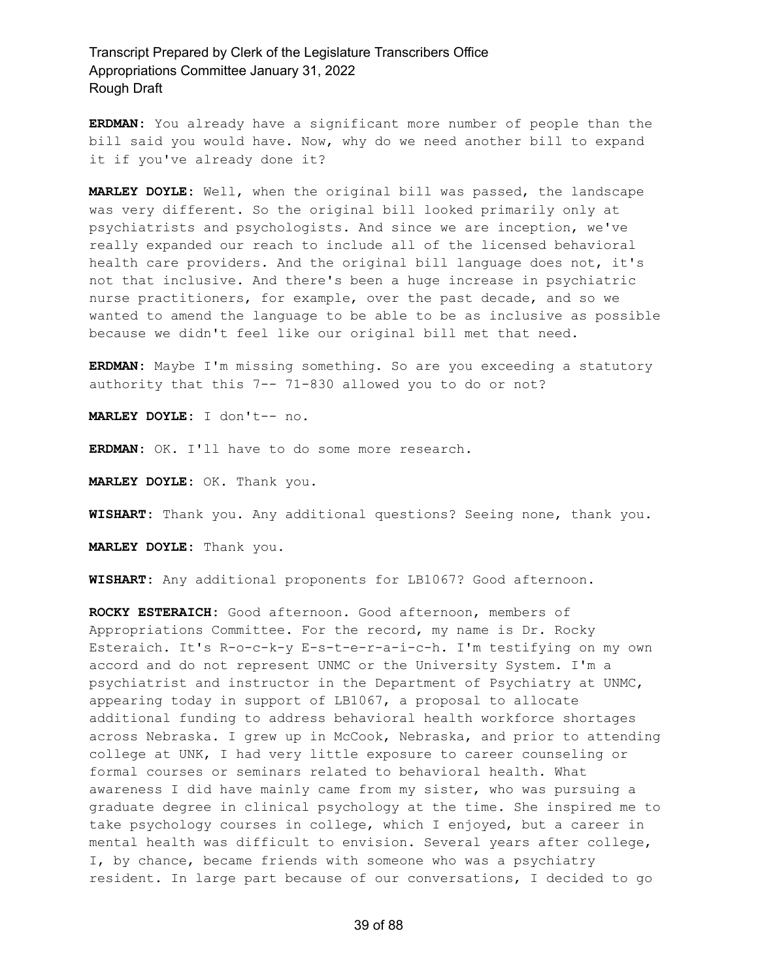**ERDMAN:** You already have a significant more number of people than the bill said you would have. Now, why do we need another bill to expand it if you've already done it?

**MARLEY DOYLE:** Well, when the original bill was passed, the landscape was very different. So the original bill looked primarily only at psychiatrists and psychologists. And since we are inception, we've really expanded our reach to include all of the licensed behavioral health care providers. And the original bill language does not, it's not that inclusive. And there's been a huge increase in psychiatric nurse practitioners, for example, over the past decade, and so we wanted to amend the language to be able to be as inclusive as possible because we didn't feel like our original bill met that need.

**ERDMAN:** Maybe I'm missing something. So are you exceeding a statutory authority that this 7-- 71-830 allowed you to do or not?

**MARLEY DOYLE:** I don't-- no.

**ERDMAN:** OK. I'll have to do some more research.

**MARLEY DOYLE:** OK. Thank you.

**WISHART:** Thank you. Any additional questions? Seeing none, thank you.

**MARLEY DOYLE:** Thank you.

**WISHART:** Any additional proponents for LB1067? Good afternoon.

**ROCKY ESTERAICH:** Good afternoon. Good afternoon, members of Appropriations Committee. For the record, my name is Dr. Rocky Esteraich. It's R-o-c-k-y E-s-t-e-r-a-i-c-h. I'm testifying on my own accord and do not represent UNMC or the University System. I'm a psychiatrist and instructor in the Department of Psychiatry at UNMC, appearing today in support of LB1067, a proposal to allocate additional funding to address behavioral health workforce shortages across Nebraska. I grew up in McCook, Nebraska, and prior to attending college at UNK, I had very little exposure to career counseling or formal courses or seminars related to behavioral health. What awareness I did have mainly came from my sister, who was pursuing a graduate degree in clinical psychology at the time. She inspired me to take psychology courses in college, which I enjoyed, but a career in mental health was difficult to envision. Several years after college, I, by chance, became friends with someone who was a psychiatry resident. In large part because of our conversations, I decided to go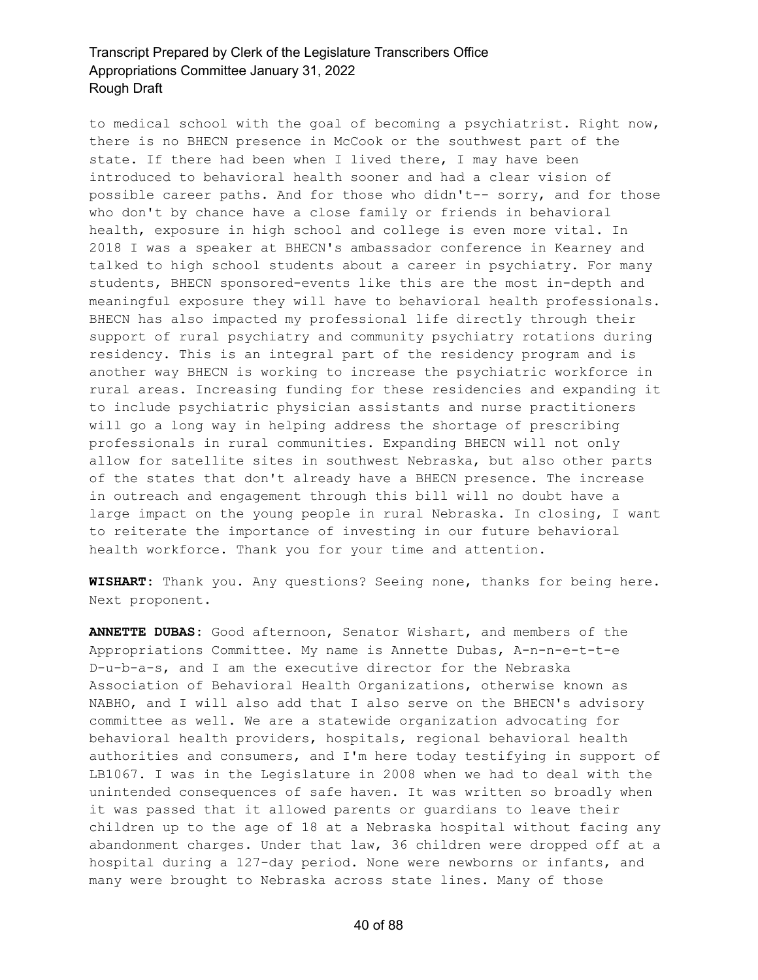to medical school with the goal of becoming a psychiatrist. Right now, there is no BHECN presence in McCook or the southwest part of the state. If there had been when I lived there, I may have been introduced to behavioral health sooner and had a clear vision of possible career paths. And for those who didn't-- sorry, and for those who don't by chance have a close family or friends in behavioral health, exposure in high school and college is even more vital. In 2018 I was a speaker at BHECN's ambassador conference in Kearney and talked to high school students about a career in psychiatry. For many students, BHECN sponsored-events like this are the most in-depth and meaningful exposure they will have to behavioral health professionals. BHECN has also impacted my professional life directly through their support of rural psychiatry and community psychiatry rotations during residency. This is an integral part of the residency program and is another way BHECN is working to increase the psychiatric workforce in rural areas. Increasing funding for these residencies and expanding it to include psychiatric physician assistants and nurse practitioners will go a long way in helping address the shortage of prescribing professionals in rural communities. Expanding BHECN will not only allow for satellite sites in southwest Nebraska, but also other parts of the states that don't already have a BHECN presence. The increase in outreach and engagement through this bill will no doubt have a large impact on the young people in rural Nebraska. In closing, I want to reiterate the importance of investing in our future behavioral health workforce. Thank you for your time and attention.

**WISHART:** Thank you. Any questions? Seeing none, thanks for being here. Next proponent.

**ANNETTE DUBAS:** Good afternoon, Senator Wishart, and members of the Appropriations Committee. My name is Annette Dubas, A-n-n-e-t-t-e D-u-b-a-s, and I am the executive director for the Nebraska Association of Behavioral Health Organizations, otherwise known as NABHO, and I will also add that I also serve on the BHECN's advisory committee as well. We are a statewide organization advocating for behavioral health providers, hospitals, regional behavioral health authorities and consumers, and I'm here today testifying in support of LB1067. I was in the Legislature in 2008 when we had to deal with the unintended consequences of safe haven. It was written so broadly when it was passed that it allowed parents or guardians to leave their children up to the age of 18 at a Nebraska hospital without facing any abandonment charges. Under that law, 36 children were dropped off at a hospital during a 127-day period. None were newborns or infants, and many were brought to Nebraska across state lines. Many of those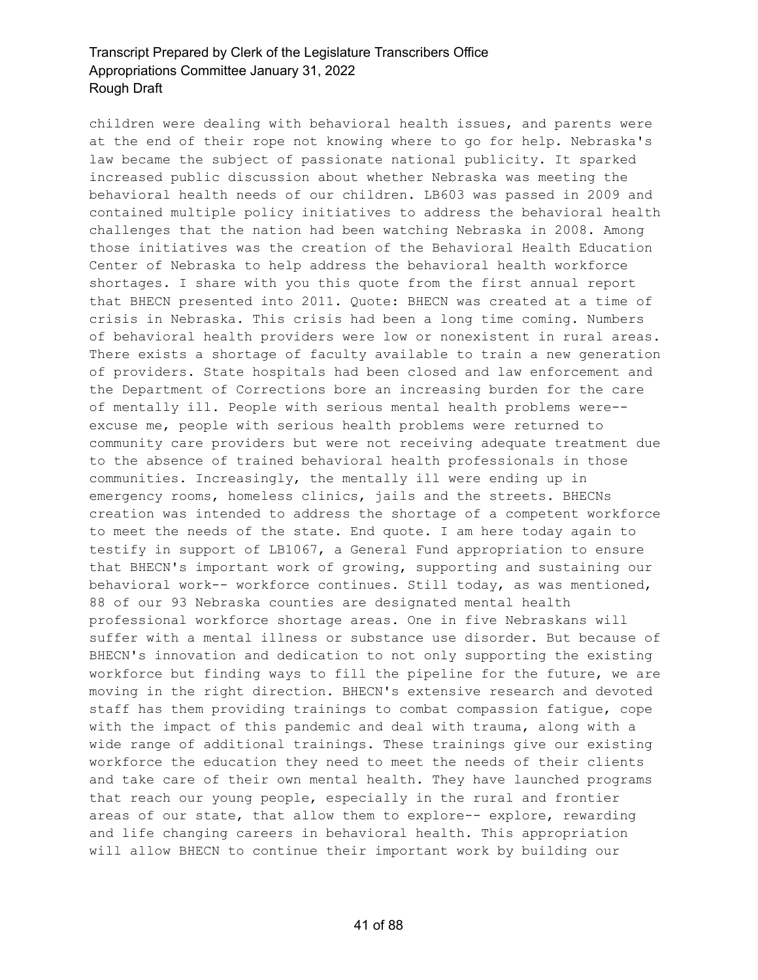children were dealing with behavioral health issues, and parents were at the end of their rope not knowing where to go for help. Nebraska's law became the subject of passionate national publicity. It sparked increased public discussion about whether Nebraska was meeting the behavioral health needs of our children. LB603 was passed in 2009 and contained multiple policy initiatives to address the behavioral health challenges that the nation had been watching Nebraska in 2008. Among those initiatives was the creation of the Behavioral Health Education Center of Nebraska to help address the behavioral health workforce shortages. I share with you this quote from the first annual report that BHECN presented into 2011. Quote: BHECN was created at a time of crisis in Nebraska. This crisis had been a long time coming. Numbers of behavioral health providers were low or nonexistent in rural areas. There exists a shortage of faculty available to train a new generation of providers. State hospitals had been closed and law enforcement and the Department of Corrections bore an increasing burden for the care of mentally ill. People with serious mental health problems were- excuse me, people with serious health problems were returned to community care providers but were not receiving adequate treatment due to the absence of trained behavioral health professionals in those communities. Increasingly, the mentally ill were ending up in emergency rooms, homeless clinics, jails and the streets. BHECNs creation was intended to address the shortage of a competent workforce to meet the needs of the state. End quote. I am here today again to testify in support of LB1067, a General Fund appropriation to ensure that BHECN's important work of growing, supporting and sustaining our behavioral work-- workforce continues. Still today, as was mentioned, 88 of our 93 Nebraska counties are designated mental health professional workforce shortage areas. One in five Nebraskans will suffer with a mental illness or substance use disorder. But because of BHECN's innovation and dedication to not only supporting the existing workforce but finding ways to fill the pipeline for the future, we are moving in the right direction. BHECN's extensive research and devoted staff has them providing trainings to combat compassion fatigue, cope with the impact of this pandemic and deal with trauma, along with a wide range of additional trainings. These trainings give our existing workforce the education they need to meet the needs of their clients and take care of their own mental health. They have launched programs that reach our young people, especially in the rural and frontier areas of our state, that allow them to explore-- explore, rewarding and life changing careers in behavioral health. This appropriation will allow BHECN to continue their important work by building our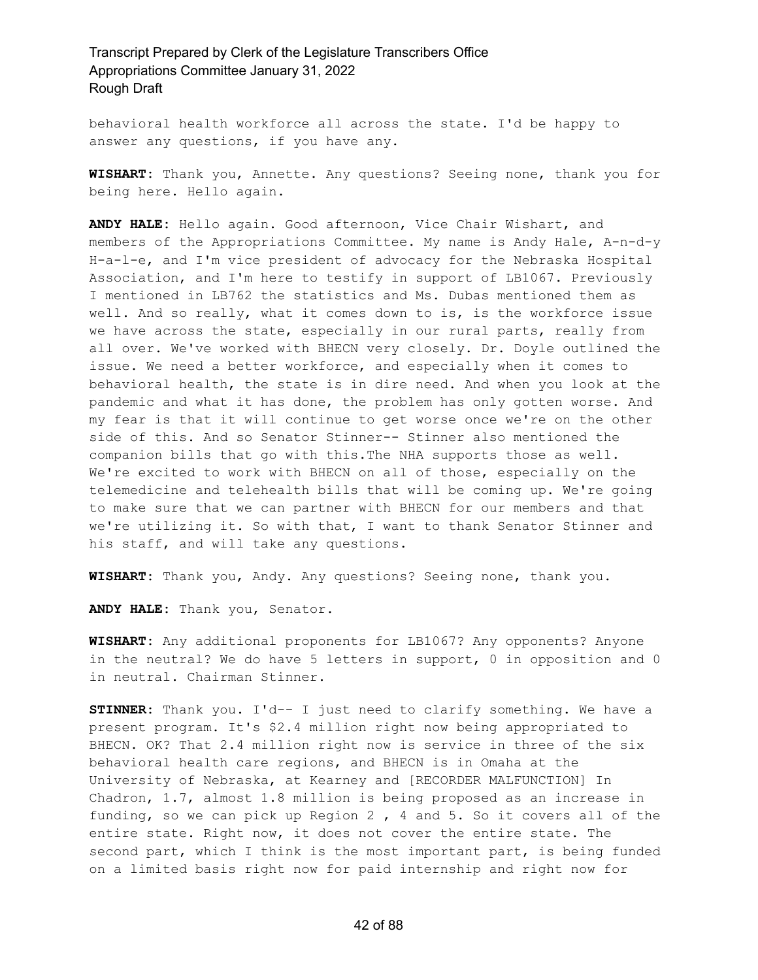behavioral health workforce all across the state. I'd be happy to answer any questions, if you have any.

**WISHART:** Thank you, Annette. Any questions? Seeing none, thank you for being here. Hello again.

**ANDY HALE:** Hello again. Good afternoon, Vice Chair Wishart, and members of the Appropriations Committee. My name is Andy Hale, A-n-d-y H-a-l-e, and I'm vice president of advocacy for the Nebraska Hospital Association, and I'm here to testify in support of LB1067. Previously I mentioned in LB762 the statistics and Ms. Dubas mentioned them as well. And so really, what it comes down to is, is the workforce issue we have across the state, especially in our rural parts, really from all over. We've worked with BHECN very closely. Dr. Doyle outlined the issue. We need a better workforce, and especially when it comes to behavioral health, the state is in dire need. And when you look at the pandemic and what it has done, the problem has only gotten worse. And my fear is that it will continue to get worse once we're on the other side of this. And so Senator Stinner-- Stinner also mentioned the companion bills that go with this.The NHA supports those as well. We're excited to work with BHECN on all of those, especially on the telemedicine and telehealth bills that will be coming up. We're going to make sure that we can partner with BHECN for our members and that we're utilizing it. So with that, I want to thank Senator Stinner and his staff, and will take any questions.

**WISHART:** Thank you, Andy. Any questions? Seeing none, thank you.

**ANDY HALE:** Thank you, Senator.

**WISHART:** Any additional proponents for LB1067? Any opponents? Anyone in the neutral? We do have 5 letters in support, 0 in opposition and 0 in neutral. Chairman Stinner.

**STINNER:** Thank you. I'd-- I just need to clarify something. We have a present program. It's \$2.4 million right now being appropriated to BHECN. OK? That 2.4 million right now is service in three of the six behavioral health care regions, and BHECN is in Omaha at the University of Nebraska, at Kearney and [RECORDER MALFUNCTION] In Chadron, 1.7, almost 1.8 million is being proposed as an increase in funding, so we can pick up Region 2 , 4 and 5. So it covers all of the entire state. Right now, it does not cover the entire state. The second part, which I think is the most important part, is being funded on a limited basis right now for paid internship and right now for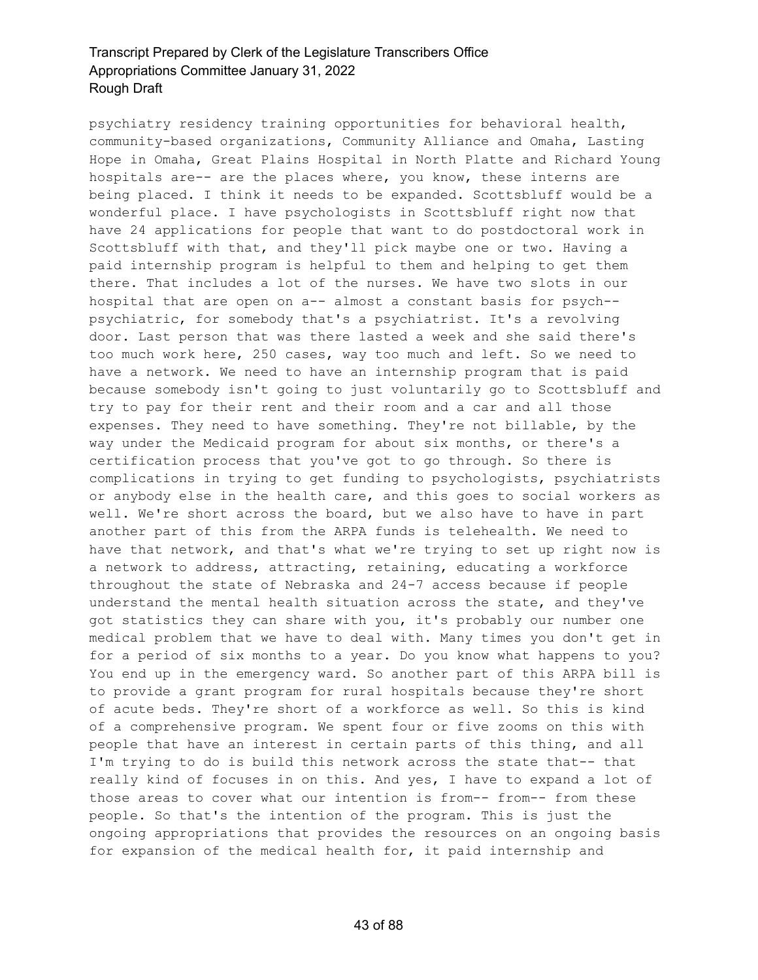psychiatry residency training opportunities for behavioral health, community-based organizations, Community Alliance and Omaha, Lasting Hope in Omaha, Great Plains Hospital in North Platte and Richard Young hospitals are-- are the places where, you know, these interns are being placed. I think it needs to be expanded. Scottsbluff would be a wonderful place. I have psychologists in Scottsbluff right now that have 24 applications for people that want to do postdoctoral work in Scottsbluff with that, and they'll pick maybe one or two. Having a paid internship program is helpful to them and helping to get them there. That includes a lot of the nurses. We have two slots in our hospital that are open on a-- almost a constant basis for psych- psychiatric, for somebody that's a psychiatrist. It's a revolving door. Last person that was there lasted a week and she said there's too much work here, 250 cases, way too much and left. So we need to have a network. We need to have an internship program that is paid because somebody isn't going to just voluntarily go to Scottsbluff and try to pay for their rent and their room and a car and all those expenses. They need to have something. They're not billable, by the way under the Medicaid program for about six months, or there's a certification process that you've got to go through. So there is complications in trying to get funding to psychologists, psychiatrists or anybody else in the health care, and this goes to social workers as well. We're short across the board, but we also have to have in part another part of this from the ARPA funds is telehealth. We need to have that network, and that's what we're trying to set up right now is a network to address, attracting, retaining, educating a workforce throughout the state of Nebraska and 24-7 access because if people understand the mental health situation across the state, and they've got statistics they can share with you, it's probably our number one medical problem that we have to deal with. Many times you don't get in for a period of six months to a year. Do you know what happens to you? You end up in the emergency ward. So another part of this ARPA bill is to provide a grant program for rural hospitals because they're short of acute beds. They're short of a workforce as well. So this is kind of a comprehensive program. We spent four or five zooms on this with people that have an interest in certain parts of this thing, and all I'm trying to do is build this network across the state that-- that really kind of focuses in on this. And yes, I have to expand a lot of those areas to cover what our intention is from-- from-- from these people. So that's the intention of the program. This is just the ongoing appropriations that provides the resources on an ongoing basis for expansion of the medical health for, it paid internship and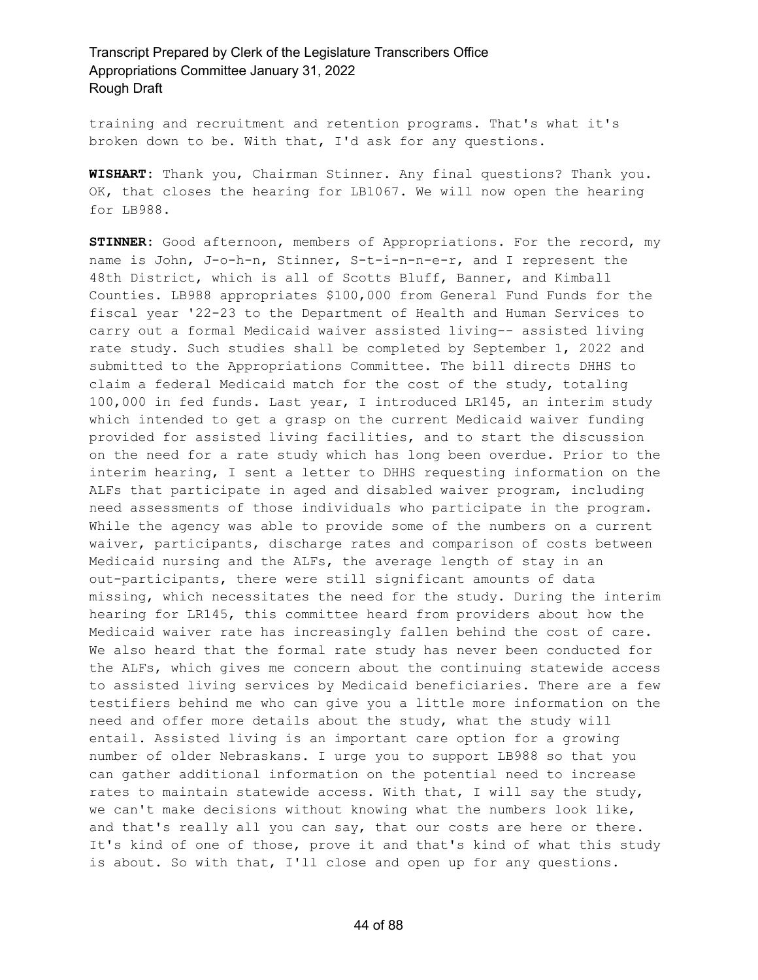training and recruitment and retention programs. That's what it's broken down to be. With that, I'd ask for any questions.

**WISHART:** Thank you, Chairman Stinner. Any final questions? Thank you. OK, that closes the hearing for LB1067. We will now open the hearing for LB988.

**STINNER:** Good afternoon, members of Appropriations. For the record, my name is John, J-o-h-n, Stinner, S-t-i-n-n-e-r, and I represent the 48th District, which is all of Scotts Bluff, Banner, and Kimball Counties. LB988 appropriates \$100,000 from General Fund Funds for the fiscal year '22-23 to the Department of Health and Human Services to carry out a formal Medicaid waiver assisted living-- assisted living rate study. Such studies shall be completed by September 1, 2022 and submitted to the Appropriations Committee. The bill directs DHHS to claim a federal Medicaid match for the cost of the study, totaling 100,000 in fed funds. Last year, I introduced LR145, an interim study which intended to get a grasp on the current Medicaid waiver funding provided for assisted living facilities, and to start the discussion on the need for a rate study which has long been overdue. Prior to the interim hearing, I sent a letter to DHHS requesting information on the ALFs that participate in aged and disabled waiver program, including need assessments of those individuals who participate in the program. While the agency was able to provide some of the numbers on a current waiver, participants, discharge rates and comparison of costs between Medicaid nursing and the ALFs, the average length of stay in an out-participants, there were still significant amounts of data missing, which necessitates the need for the study. During the interim hearing for LR145, this committee heard from providers about how the Medicaid waiver rate has increasingly fallen behind the cost of care. We also heard that the formal rate study has never been conducted for the ALFs, which gives me concern about the continuing statewide access to assisted living services by Medicaid beneficiaries. There are a few testifiers behind me who can give you a little more information on the need and offer more details about the study, what the study will entail. Assisted living is an important care option for a growing number of older Nebraskans. I urge you to support LB988 so that you can gather additional information on the potential need to increase rates to maintain statewide access. With that, I will say the study, we can't make decisions without knowing what the numbers look like, and that's really all you can say, that our costs are here or there. It's kind of one of those, prove it and that's kind of what this study is about. So with that, I'll close and open up for any questions.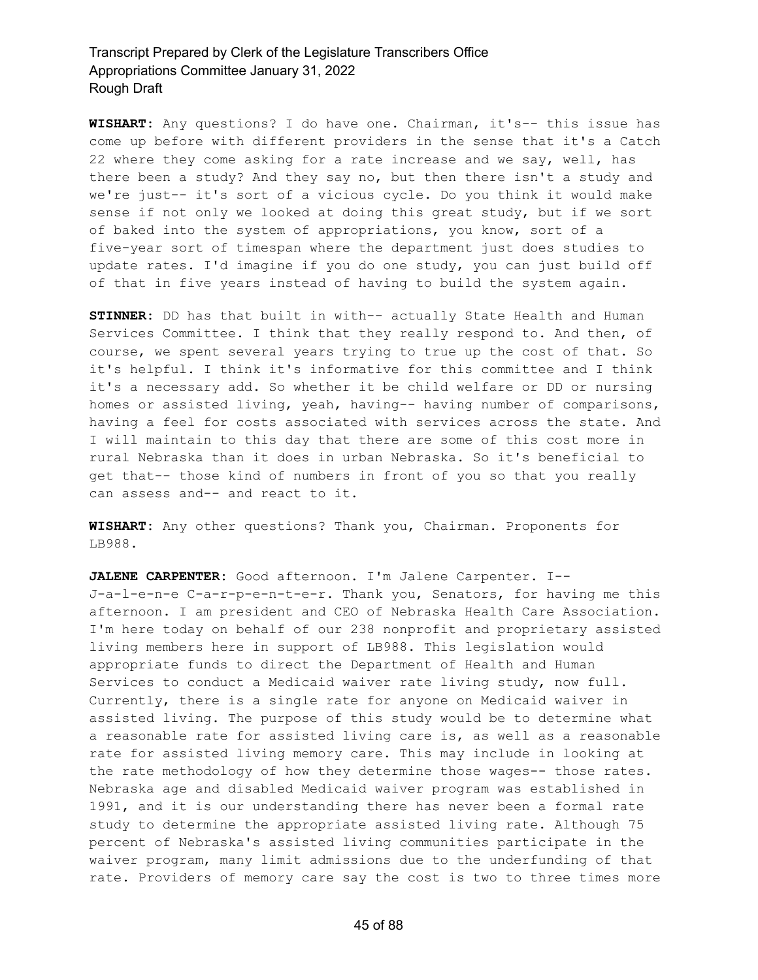**WISHART:** Any questions? I do have one. Chairman, it's-- this issue has come up before with different providers in the sense that it's a Catch 22 where they come asking for a rate increase and we say, well, has there been a study? And they say no, but then there isn't a study and we're just-- it's sort of a vicious cycle. Do you think it would make sense if not only we looked at doing this great study, but if we sort of baked into the system of appropriations, you know, sort of a five-year sort of timespan where the department just does studies to update rates. I'd imagine if you do one study, you can just build off of that in five years instead of having to build the system again.

**STINNER:** DD has that built in with-- actually State Health and Human Services Committee. I think that they really respond to. And then, of course, we spent several years trying to true up the cost of that. So it's helpful. I think it's informative for this committee and I think it's a necessary add. So whether it be child welfare or DD or nursing homes or assisted living, yeah, having-- having number of comparisons, having a feel for costs associated with services across the state. And I will maintain to this day that there are some of this cost more in rural Nebraska than it does in urban Nebraska. So it's beneficial to get that-- those kind of numbers in front of you so that you really can assess and-- and react to it.

**WISHART:** Any other questions? Thank you, Chairman. Proponents for LB988.

**JALENE CARPENTER:** Good afternoon. I'm Jalene Carpenter. I-- J-a-l-e-n-e C-a-r-p-e-n-t-e-r. Thank you, Senators, for having me this afternoon. I am president and CEO of Nebraska Health Care Association. I'm here today on behalf of our 238 nonprofit and proprietary assisted living members here in support of LB988. This legislation would appropriate funds to direct the Department of Health and Human Services to conduct a Medicaid waiver rate living study, now full. Currently, there is a single rate for anyone on Medicaid waiver in assisted living. The purpose of this study would be to determine what a reasonable rate for assisted living care is, as well as a reasonable rate for assisted living memory care. This may include in looking at the rate methodology of how they determine those wages-- those rates. Nebraska age and disabled Medicaid waiver program was established in 1991, and it is our understanding there has never been a formal rate study to determine the appropriate assisted living rate. Although 75 percent of Nebraska's assisted living communities participate in the waiver program, many limit admissions due to the underfunding of that rate. Providers of memory care say the cost is two to three times more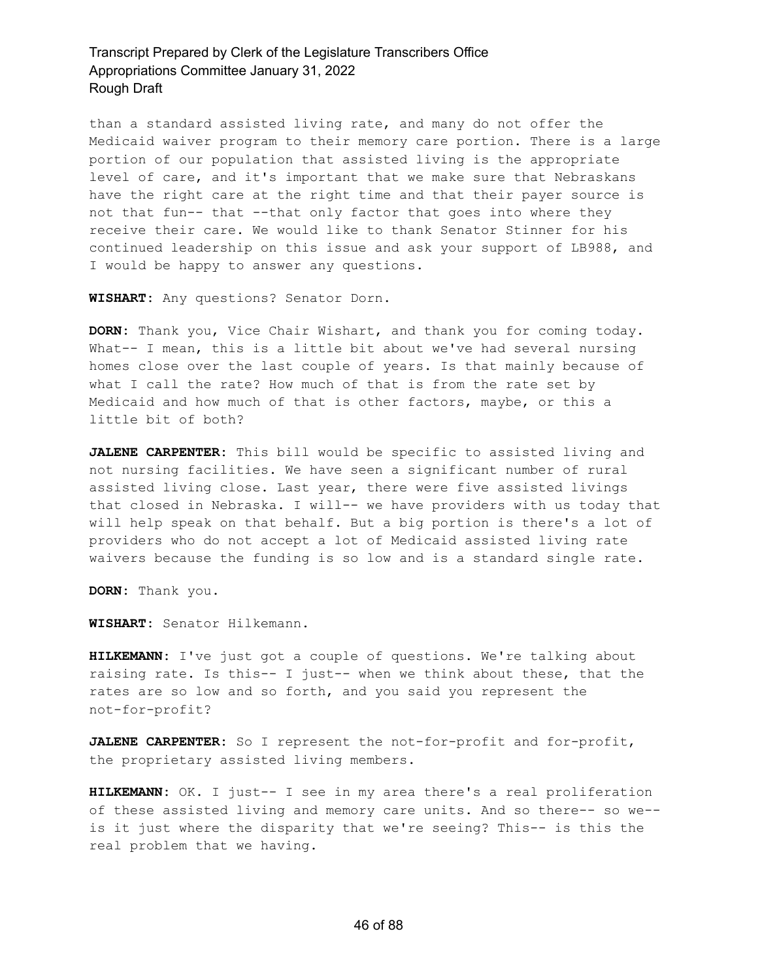than a standard assisted living rate, and many do not offer the Medicaid waiver program to their memory care portion. There is a large portion of our population that assisted living is the appropriate level of care, and it's important that we make sure that Nebraskans have the right care at the right time and that their payer source is not that fun-- that --that only factor that goes into where they receive their care. We would like to thank Senator Stinner for his continued leadership on this issue and ask your support of LB988, and I would be happy to answer any questions.

**WISHART:** Any questions? Senator Dorn.

**DORN:** Thank you, Vice Chair Wishart, and thank you for coming today. What-- I mean, this is a little bit about we've had several nursing homes close over the last couple of years. Is that mainly because of what I call the rate? How much of that is from the rate set by Medicaid and how much of that is other factors, maybe, or this a little bit of both?

**JALENE CARPENTER:** This bill would be specific to assisted living and not nursing facilities. We have seen a significant number of rural assisted living close. Last year, there were five assisted livings that closed in Nebraska. I will-- we have providers with us today that will help speak on that behalf. But a big portion is there's a lot of providers who do not accept a lot of Medicaid assisted living rate waivers because the funding is so low and is a standard single rate.

**DORN:** Thank you.

**WISHART:** Senator Hilkemann.

**HILKEMANN:** I've just got a couple of questions. We're talking about raising rate. Is this-- I just-- when we think about these, that the rates are so low and so forth, and you said you represent the not-for-profit?

**JALENE CARPENTER:** So I represent the not-for-profit and for-profit, the proprietary assisted living members.

**HILKEMANN:** OK. I just-- I see in my area there's a real proliferation of these assisted living and memory care units. And so there-- so we- is it just where the disparity that we're seeing? This-- is this the real problem that we having.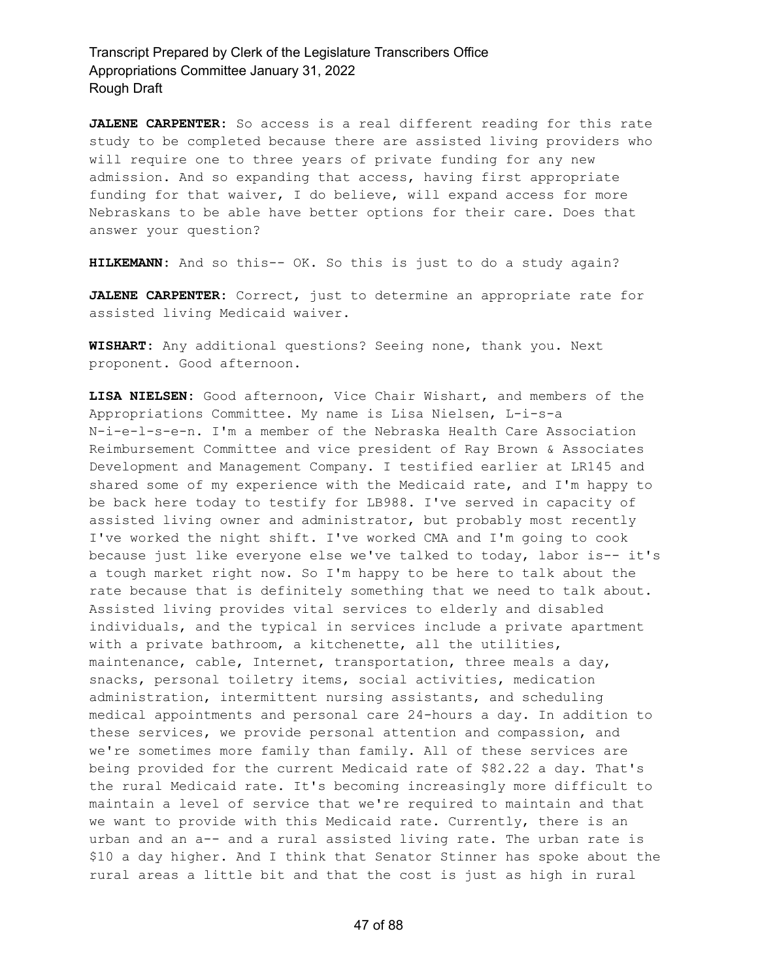**JALENE CARPENTER:** So access is a real different reading for this rate study to be completed because there are assisted living providers who will require one to three years of private funding for any new admission. And so expanding that access, having first appropriate funding for that waiver, I do believe, will expand access for more Nebraskans to be able have better options for their care. Does that answer your question?

**HILKEMANN:** And so this-- OK. So this is just to do a study again?

**JALENE CARPENTER:** Correct, just to determine an appropriate rate for assisted living Medicaid waiver.

**WISHART:** Any additional questions? Seeing none, thank you. Next proponent. Good afternoon.

**LISA NIELSEN:** Good afternoon, Vice Chair Wishart, and members of the Appropriations Committee. My name is Lisa Nielsen, L-i-s-a N-i-e-l-s-e-n. I'm a member of the Nebraska Health Care Association Reimbursement Committee and vice president of Ray Brown & Associates Development and Management Company. I testified earlier at LR145 and shared some of my experience with the Medicaid rate, and I'm happy to be back here today to testify for LB988. I've served in capacity of assisted living owner and administrator, but probably most recently I've worked the night shift. I've worked CMA and I'm going to cook because just like everyone else we've talked to today, labor is-- it's a tough market right now. So I'm happy to be here to talk about the rate because that is definitely something that we need to talk about. Assisted living provides vital services to elderly and disabled individuals, and the typical in services include a private apartment with a private bathroom, a kitchenette, all the utilities, maintenance, cable, Internet, transportation, three meals a day, snacks, personal toiletry items, social activities, medication administration, intermittent nursing assistants, and scheduling medical appointments and personal care 24-hours a day. In addition to these services, we provide personal attention and compassion, and we're sometimes more family than family. All of these services are being provided for the current Medicaid rate of \$82.22 a day. That's the rural Medicaid rate. It's becoming increasingly more difficult to maintain a level of service that we're required to maintain and that we want to provide with this Medicaid rate. Currently, there is an urban and an a-- and a rural assisted living rate. The urban rate is \$10 a day higher. And I think that Senator Stinner has spoke about the rural areas a little bit and that the cost is just as high in rural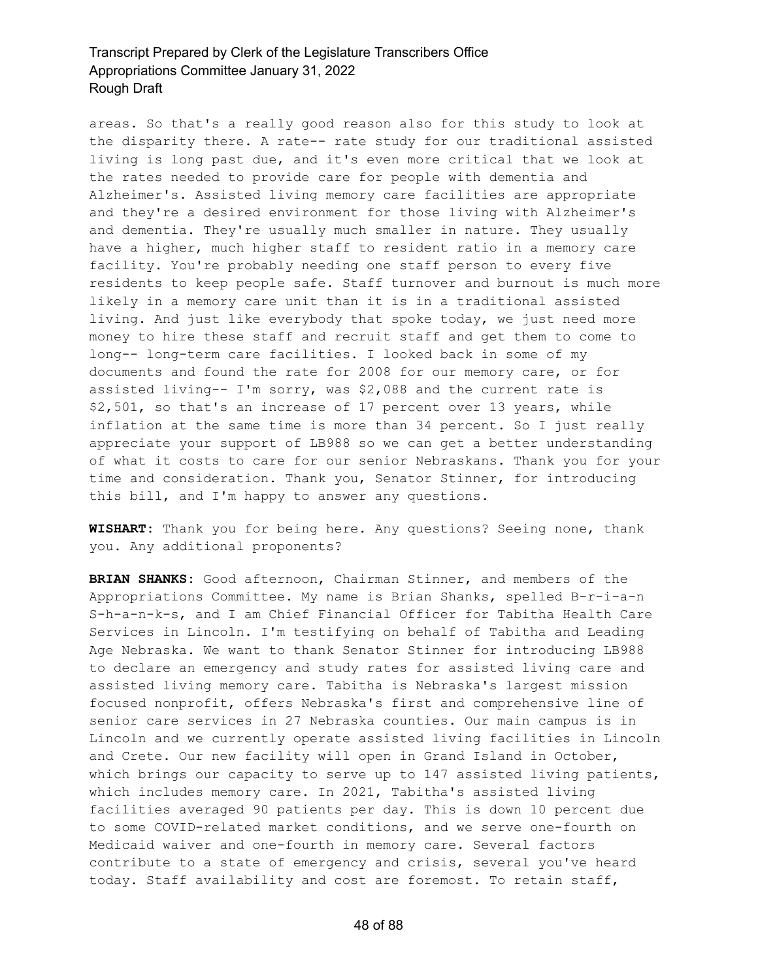areas. So that's a really good reason also for this study to look at the disparity there. A rate-- rate study for our traditional assisted living is long past due, and it's even more critical that we look at the rates needed to provide care for people with dementia and Alzheimer's. Assisted living memory care facilities are appropriate and they're a desired environment for those living with Alzheimer's and dementia. They're usually much smaller in nature. They usually have a higher, much higher staff to resident ratio in a memory care facility. You're probably needing one staff person to every five residents to keep people safe. Staff turnover and burnout is much more likely in a memory care unit than it is in a traditional assisted living. And just like everybody that spoke today, we just need more money to hire these staff and recruit staff and get them to come to long-- long-term care facilities. I looked back in some of my documents and found the rate for 2008 for our memory care, or for assisted living-- I'm sorry, was \$2,088 and the current rate is \$2,501, so that's an increase of 17 percent over 13 years, while inflation at the same time is more than 34 percent. So I just really appreciate your support of LB988 so we can get a better understanding of what it costs to care for our senior Nebraskans. Thank you for your time and consideration. Thank you, Senator Stinner, for introducing this bill, and I'm happy to answer any questions.

**WISHART:** Thank you for being here. Any questions? Seeing none, thank you. Any additional proponents?

**BRIAN SHANKS:** Good afternoon, Chairman Stinner, and members of the Appropriations Committee. My name is Brian Shanks, spelled B-r-i-a-n S-h-a-n-k-s, and I am Chief Financial Officer for Tabitha Health Care Services in Lincoln. I'm testifying on behalf of Tabitha and Leading Age Nebraska. We want to thank Senator Stinner for introducing LB988 to declare an emergency and study rates for assisted living care and assisted living memory care. Tabitha is Nebraska's largest mission focused nonprofit, offers Nebraska's first and comprehensive line of senior care services in 27 Nebraska counties. Our main campus is in Lincoln and we currently operate assisted living facilities in Lincoln and Crete. Our new facility will open in Grand Island in October, which brings our capacity to serve up to 147 assisted living patients, which includes memory care. In 2021, Tabitha's assisted living facilities averaged 90 patients per day. This is down 10 percent due to some COVID-related market conditions, and we serve one-fourth on Medicaid waiver and one-fourth in memory care. Several factors contribute to a state of emergency and crisis, several you've heard today. Staff availability and cost are foremost. To retain staff,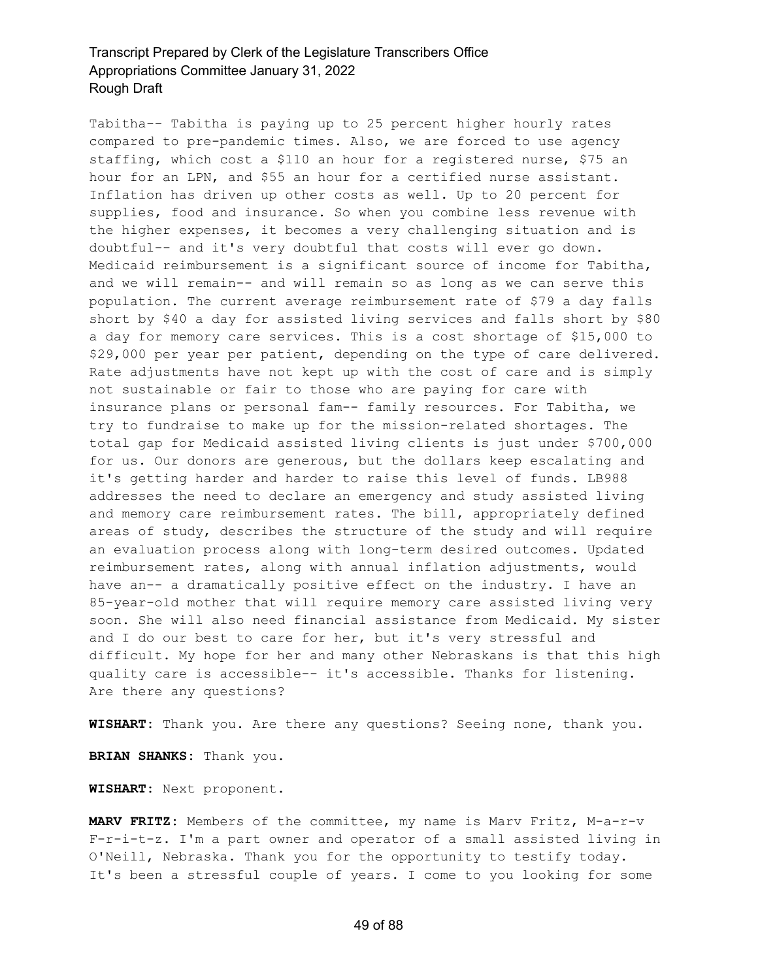Tabitha-- Tabitha is paying up to 25 percent higher hourly rates compared to pre-pandemic times. Also, we are forced to use agency staffing, which cost a \$110 an hour for a registered nurse, \$75 an hour for an LPN, and \$55 an hour for a certified nurse assistant. Inflation has driven up other costs as well. Up to 20 percent for supplies, food and insurance. So when you combine less revenue with the higher expenses, it becomes a very challenging situation and is doubtful-- and it's very doubtful that costs will ever go down. Medicaid reimbursement is a significant source of income for Tabitha, and we will remain-- and will remain so as long as we can serve this population. The current average reimbursement rate of \$79 a day falls short by \$40 a day for assisted living services and falls short by \$80 a day for memory care services. This is a cost shortage of \$15,000 to \$29,000 per year per patient, depending on the type of care delivered. Rate adjustments have not kept up with the cost of care and is simply not sustainable or fair to those who are paying for care with insurance plans or personal fam-- family resources. For Tabitha, we try to fundraise to make up for the mission-related shortages. The total gap for Medicaid assisted living clients is just under \$700,000 for us. Our donors are generous, but the dollars keep escalating and it's getting harder and harder to raise this level of funds. LB988 addresses the need to declare an emergency and study assisted living and memory care reimbursement rates. The bill, appropriately defined areas of study, describes the structure of the study and will require an evaluation process along with long-term desired outcomes. Updated reimbursement rates, along with annual inflation adjustments, would have an-- a dramatically positive effect on the industry. I have an 85-year-old mother that will require memory care assisted living very soon. She will also need financial assistance from Medicaid. My sister and I do our best to care for her, but it's very stressful and difficult. My hope for her and many other Nebraskans is that this high quality care is accessible-- it's accessible. Thanks for listening. Are there any questions?

**WISHART:** Thank you. Are there any questions? Seeing none, thank you.

**BRIAN SHANKS:** Thank you.

**WISHART:** Next proponent.

**MARV FRITZ:** Members of the committee, my name is Marv Fritz, M-a-r-v F-r-i-t-z. I'm a part owner and operator of a small assisted living in O'Neill, Nebraska. Thank you for the opportunity to testify today. It's been a stressful couple of years. I come to you looking for some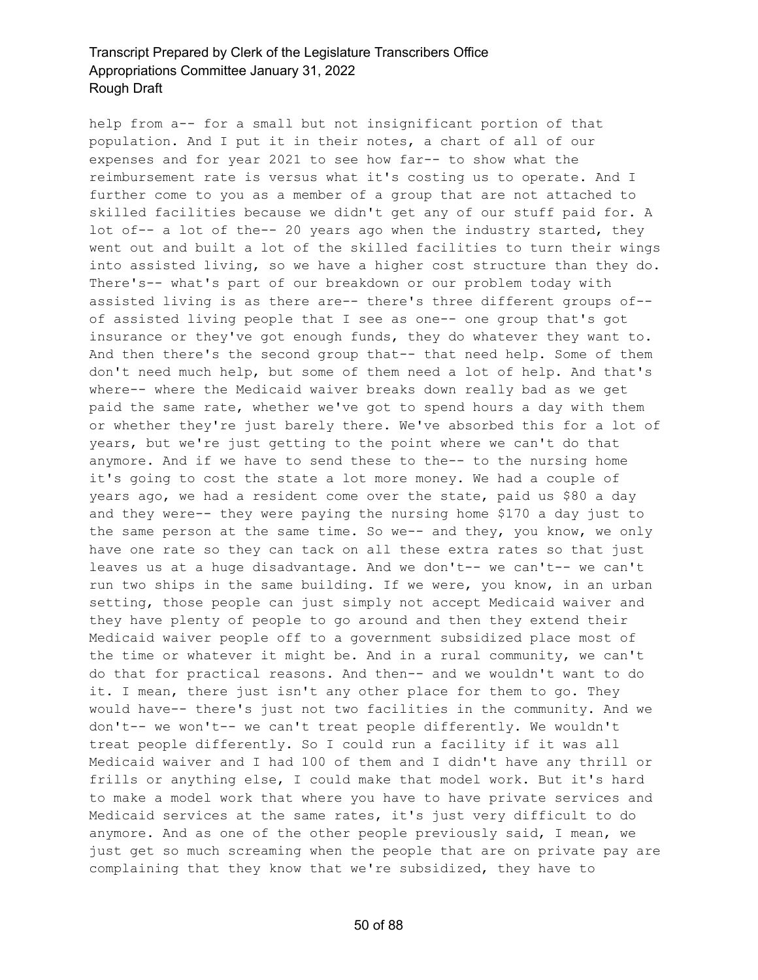help from a-- for a small but not insignificant portion of that population. And I put it in their notes, a chart of all of our expenses and for year 2021 to see how far-- to show what the reimbursement rate is versus what it's costing us to operate. And I further come to you as a member of a group that are not attached to skilled facilities because we didn't get any of our stuff paid for. A lot of-- a lot of the-- 20 years ago when the industry started, they went out and built a lot of the skilled facilities to turn their wings into assisted living, so we have a higher cost structure than they do. There's-- what's part of our breakdown or our problem today with assisted living is as there are-- there's three different groups of- of assisted living people that I see as one-- one group that's got insurance or they've got enough funds, they do whatever they want to. And then there's the second group that-- that need help. Some of them don't need much help, but some of them need a lot of help. And that's where-- where the Medicaid waiver breaks down really bad as we get paid the same rate, whether we've got to spend hours a day with them or whether they're just barely there. We've absorbed this for a lot of years, but we're just getting to the point where we can't do that anymore. And if we have to send these to the-- to the nursing home it's going to cost the state a lot more money. We had a couple of years ago, we had a resident come over the state, paid us \$80 a day and they were-- they were paying the nursing home \$170 a day just to the same person at the same time. So we-- and they, you know, we only have one rate so they can tack on all these extra rates so that just leaves us at a huge disadvantage. And we don't-- we can't-- we can't run two ships in the same building. If we were, you know, in an urban setting, those people can just simply not accept Medicaid waiver and they have plenty of people to go around and then they extend their Medicaid waiver people off to a government subsidized place most of the time or whatever it might be. And in a rural community, we can't do that for practical reasons. And then-- and we wouldn't want to do it. I mean, there just isn't any other place for them to go. They would have-- there's just not two facilities in the community. And we don't-- we won't-- we can't treat people differently. We wouldn't treat people differently. So I could run a facility if it was all Medicaid waiver and I had 100 of them and I didn't have any thrill or frills or anything else, I could make that model work. But it's hard to make a model work that where you have to have private services and Medicaid services at the same rates, it's just very difficult to do anymore. And as one of the other people previously said, I mean, we just get so much screaming when the people that are on private pay are complaining that they know that we're subsidized, they have to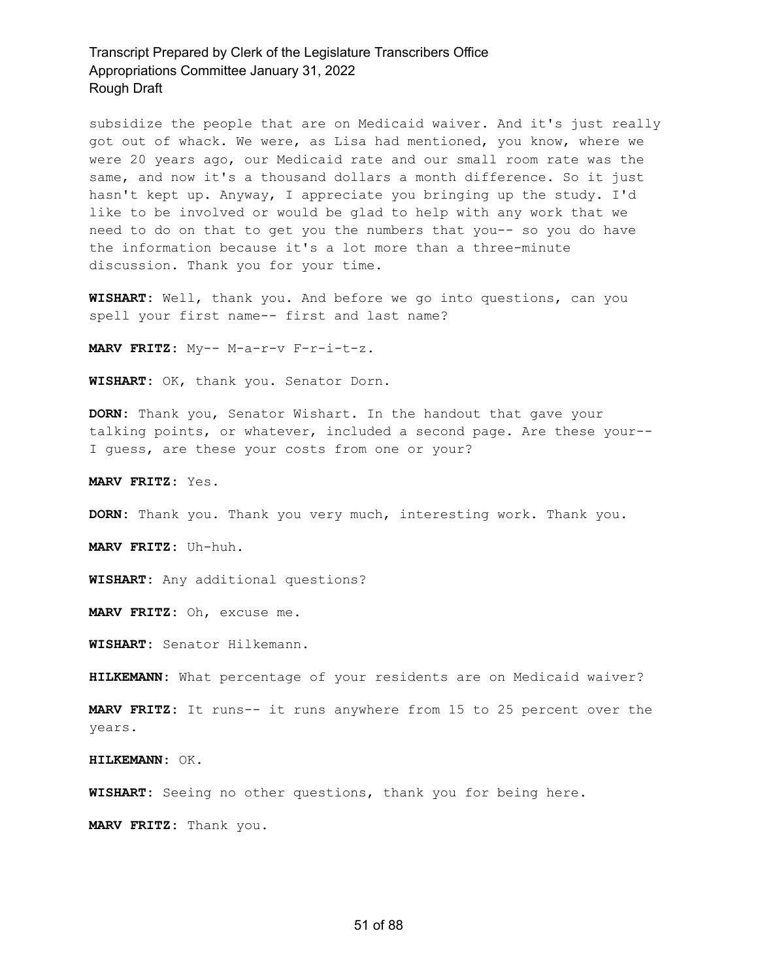subsidize the people that are on Medicaid waiver. And it's just really got out of whack. We were, as Lisa had mentioned, you know, where we were 20 years ago, our Medicaid rate and our small room rate was the same, and now it's a thousand dollars a month difference. So it just hasn't kept up. Anyway, I appreciate you bringing up the study. I'd like to be involved or would be glad to help with any work that we need to do on that to get you the numbers that you-- so you do have the information because it's a lot more than a three-minute discussion. Thank you for your time.

**WISHART:** Well, thank you. And before we go into questions, can you spell your first name-- first and last name?

**MARV FRITZ:** My-- M-a-r-v F-r-i-t-z.

**WISHART:** OK, thank you. Senator Dorn.

**DORN:** Thank you, Senator Wishart. In the handout that gave your talking points, or whatever, included a second page. Are these your-- I guess, are these your costs from one or your?

**MARV FRITZ:** Yes.

**DORN:** Thank you. Thank you very much, interesting work. Thank you.

**MARV FRITZ:** Uh-huh.

**WISHART:** Any additional questions?

**MARV FRITZ:** Oh, excuse me.

**WISHART:** Senator Hilkemann.

**HILKEMANN:** What percentage of your residents are on Medicaid waiver?

**MARV FRITZ:** It runs-- it runs anywhere from 15 to 25 percent over the years.

**HILKEMANN:** OK.

**WISHART:** Seeing no other questions, thank you for being here.

**MARV FRITZ:** Thank you.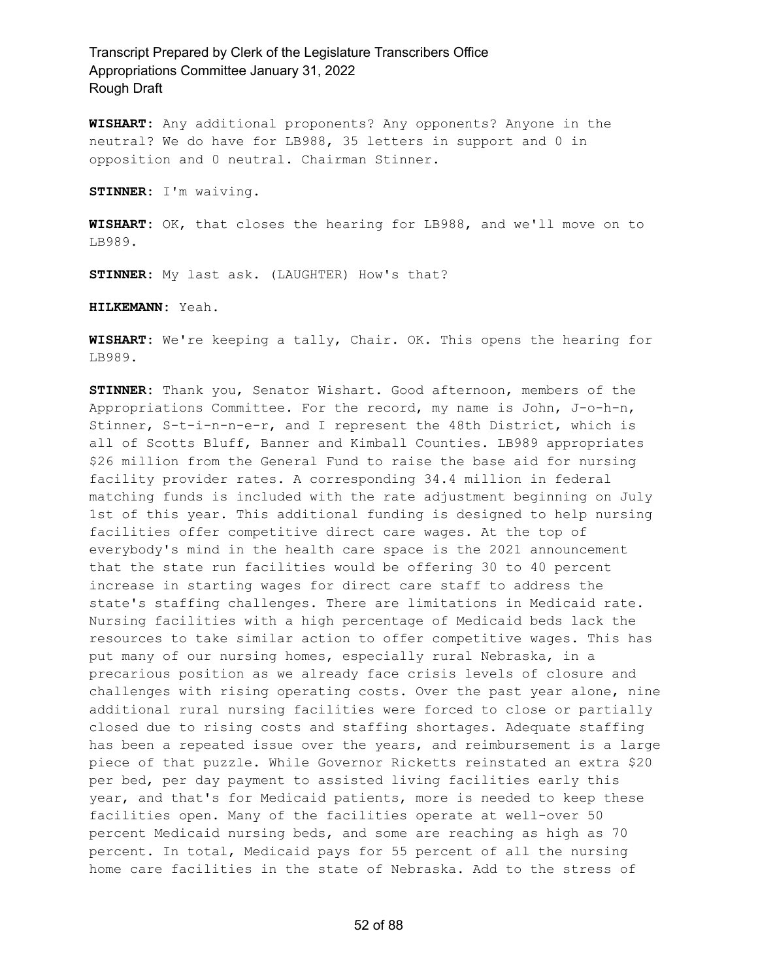**WISHART:** Any additional proponents? Any opponents? Anyone in the neutral? We do have for LB988, 35 letters in support and 0 in opposition and 0 neutral. Chairman Stinner.

**STINNER:** I'm waiving.

**WISHART:** OK, that closes the hearing for LB988, and we'll move on to LB989.

**STINNER:** My last ask. (LAUGHTER) How's that?

**HILKEMANN:** Yeah.

**WISHART:** We're keeping a tally, Chair. OK. This opens the hearing for LB989.

**STINNER:** Thank you, Senator Wishart. Good afternoon, members of the Appropriations Committee. For the record, my name is John, J-o-h-n, Stinner, S-t-i-n-n-e-r, and I represent the 48th District, which is all of Scotts Bluff, Banner and Kimball Counties. LB989 appropriates \$26 million from the General Fund to raise the base aid for nursing facility provider rates. A corresponding 34.4 million in federal matching funds is included with the rate adjustment beginning on July 1st of this year. This additional funding is designed to help nursing facilities offer competitive direct care wages. At the top of everybody's mind in the health care space is the 2021 announcement that the state run facilities would be offering 30 to 40 percent increase in starting wages for direct care staff to address the state's staffing challenges. There are limitations in Medicaid rate. Nursing facilities with a high percentage of Medicaid beds lack the resources to take similar action to offer competitive wages. This has put many of our nursing homes, especially rural Nebraska, in a precarious position as we already face crisis levels of closure and challenges with rising operating costs. Over the past year alone, nine additional rural nursing facilities were forced to close or partially closed due to rising costs and staffing shortages. Adequate staffing has been a repeated issue over the years, and reimbursement is a large piece of that puzzle. While Governor Ricketts reinstated an extra \$20 per bed, per day payment to assisted living facilities early this year, and that's for Medicaid patients, more is needed to keep these facilities open. Many of the facilities operate at well-over 50 percent Medicaid nursing beds, and some are reaching as high as 70 percent. In total, Medicaid pays for 55 percent of all the nursing home care facilities in the state of Nebraska. Add to the stress of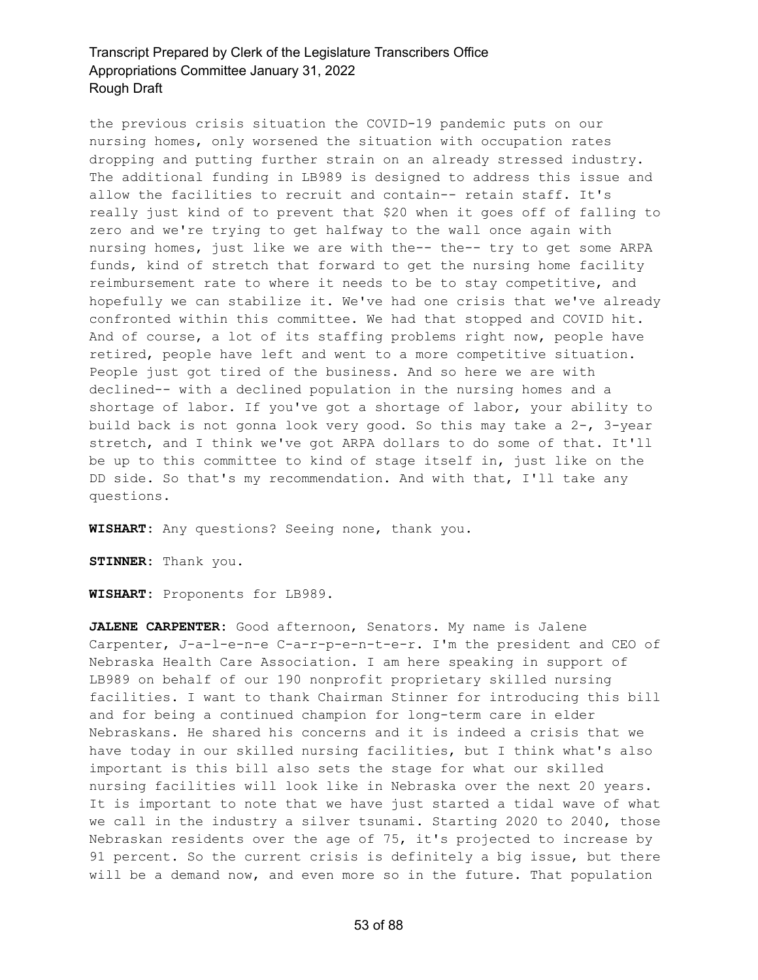the previous crisis situation the COVID-19 pandemic puts on our nursing homes, only worsened the situation with occupation rates dropping and putting further strain on an already stressed industry. The additional funding in LB989 is designed to address this issue and allow the facilities to recruit and contain-- retain staff. It's really just kind of to prevent that \$20 when it goes off of falling to zero and we're trying to get halfway to the wall once again with nursing homes, just like we are with the-- the-- try to get some ARPA funds, kind of stretch that forward to get the nursing home facility reimbursement rate to where it needs to be to stay competitive, and hopefully we can stabilize it. We've had one crisis that we've already confronted within this committee. We had that stopped and COVID hit. And of course, a lot of its staffing problems right now, people have retired, people have left and went to a more competitive situation. People just got tired of the business. And so here we are with declined-- with a declined population in the nursing homes and a shortage of labor. If you've got a shortage of labor, your ability to build back is not gonna look very good. So this may take a 2-, 3-year stretch, and I think we've got ARPA dollars to do some of that. It'll be up to this committee to kind of stage itself in, just like on the DD side. So that's my recommendation. And with that, I'll take any questions.

**WISHART:** Any questions? Seeing none, thank you.

**STINNER:** Thank you.

**WISHART:** Proponents for LB989.

**JALENE CARPENTER:** Good afternoon, Senators. My name is Jalene Carpenter, J-a-l-e-n-e C-a-r-p-e-n-t-e-r. I'm the president and CEO of Nebraska Health Care Association. I am here speaking in support of LB989 on behalf of our 190 nonprofit proprietary skilled nursing facilities. I want to thank Chairman Stinner for introducing this bill and for being a continued champion for long-term care in elder Nebraskans. He shared his concerns and it is indeed a crisis that we have today in our skilled nursing facilities, but I think what's also important is this bill also sets the stage for what our skilled nursing facilities will look like in Nebraska over the next 20 years. It is important to note that we have just started a tidal wave of what we call in the industry a silver tsunami. Starting 2020 to 2040, those Nebraskan residents over the age of 75, it's projected to increase by 91 percent. So the current crisis is definitely a big issue, but there will be a demand now, and even more so in the future. That population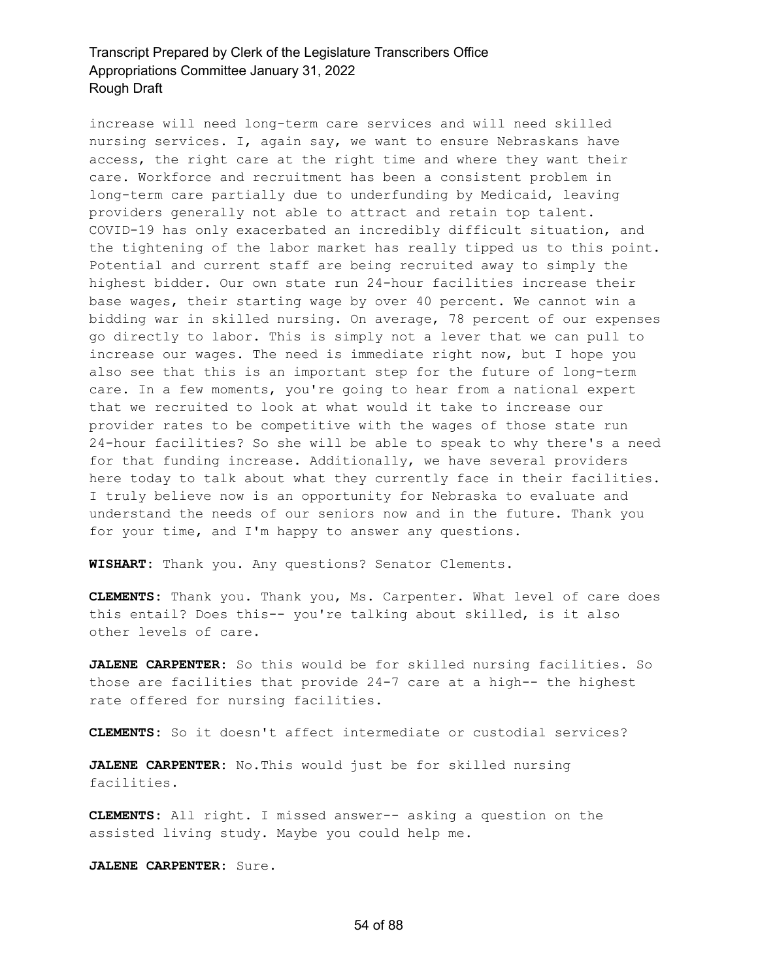increase will need long-term care services and will need skilled nursing services. I, again say, we want to ensure Nebraskans have access, the right care at the right time and where they want their care. Workforce and recruitment has been a consistent problem in long-term care partially due to underfunding by Medicaid, leaving providers generally not able to attract and retain top talent. COVID-19 has only exacerbated an incredibly difficult situation, and the tightening of the labor market has really tipped us to this point. Potential and current staff are being recruited away to simply the highest bidder. Our own state run 24-hour facilities increase their base wages, their starting wage by over 40 percent. We cannot win a bidding war in skilled nursing. On average, 78 percent of our expenses go directly to labor. This is simply not a lever that we can pull to increase our wages. The need is immediate right now, but I hope you also see that this is an important step for the future of long-term care. In a few moments, you're going to hear from a national expert that we recruited to look at what would it take to increase our provider rates to be competitive with the wages of those state run 24-hour facilities? So she will be able to speak to why there's a need for that funding increase. Additionally, we have several providers here today to talk about what they currently face in their facilities. I truly believe now is an opportunity for Nebraska to evaluate and understand the needs of our seniors now and in the future. Thank you for your time, and I'm happy to answer any questions.

**WISHART:** Thank you. Any questions? Senator Clements.

**CLEMENTS:** Thank you. Thank you, Ms. Carpenter. What level of care does this entail? Does this-- you're talking about skilled, is it also other levels of care.

**JALENE CARPENTER:** So this would be for skilled nursing facilities. So those are facilities that provide 24-7 care at a high-- the highest rate offered for nursing facilities.

**CLEMENTS:** So it doesn't affect intermediate or custodial services?

**JALENE CARPENTER:** No.This would just be for skilled nursing facilities.

**CLEMENTS:** All right. I missed answer-- asking a question on the assisted living study. Maybe you could help me.

**JALENE CARPENTER:** Sure.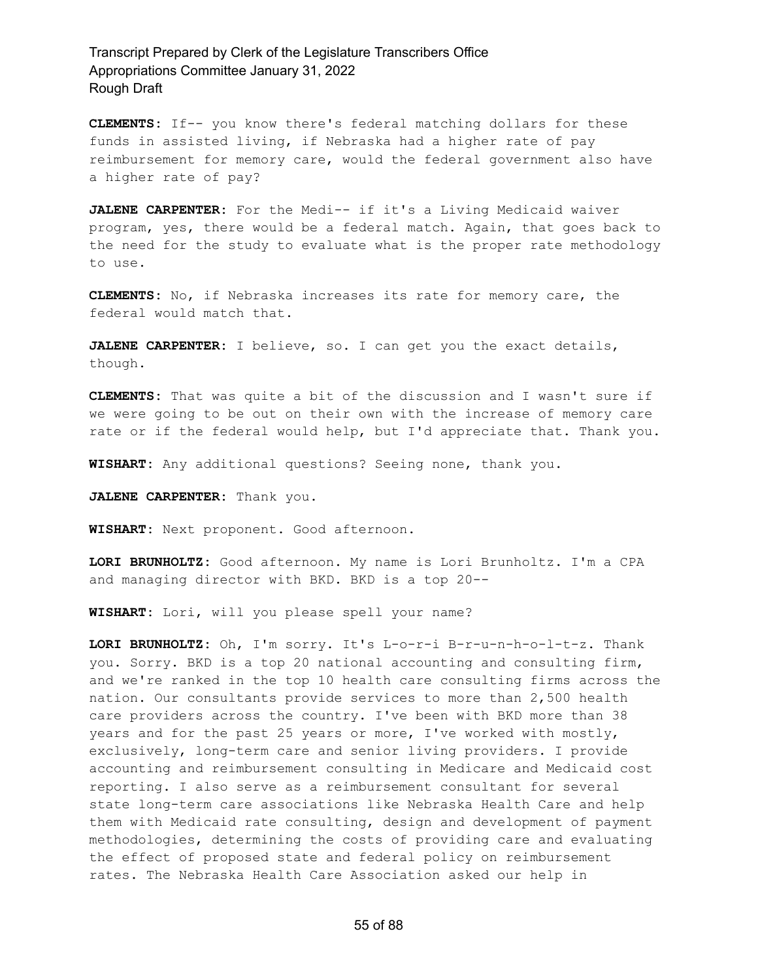**CLEMENTS:** If-- you know there's federal matching dollars for these funds in assisted living, if Nebraska had a higher rate of pay reimbursement for memory care, would the federal government also have a higher rate of pay?

**JALENE CARPENTER:** For the Medi-- if it's a Living Medicaid waiver program, yes, there would be a federal match. Again, that goes back to the need for the study to evaluate what is the proper rate methodology to use.

**CLEMENTS:** No, if Nebraska increases its rate for memory care, the federal would match that.

**JALENE CARPENTER:** I believe, so. I can get you the exact details, though.

**CLEMENTS:** That was quite a bit of the discussion and I wasn't sure if we were going to be out on their own with the increase of memory care rate or if the federal would help, but I'd appreciate that. Thank you.

**WISHART:** Any additional questions? Seeing none, thank you.

**JALENE CARPENTER:** Thank you.

**WISHART:** Next proponent. Good afternoon.

**LORI BRUNHOLTZ:** Good afternoon. My name is Lori Brunholtz. I'm a CPA and managing director with BKD. BKD is a top 20--

**WISHART:** Lori, will you please spell your name?

**LORI BRUNHOLTZ:** Oh, I'm sorry. It's L-o-r-i B-r-u-n-h-o-l-t-z. Thank you. Sorry. BKD is a top 20 national accounting and consulting firm, and we're ranked in the top 10 health care consulting firms across the nation. Our consultants provide services to more than 2,500 health care providers across the country. I've been with BKD more than 38 years and for the past 25 years or more, I've worked with mostly, exclusively, long-term care and senior living providers. I provide accounting and reimbursement consulting in Medicare and Medicaid cost reporting. I also serve as a reimbursement consultant for several state long-term care associations like Nebraska Health Care and help them with Medicaid rate consulting, design and development of payment methodologies, determining the costs of providing care and evaluating the effect of proposed state and federal policy on reimbursement rates. The Nebraska Health Care Association asked our help in

55 of 88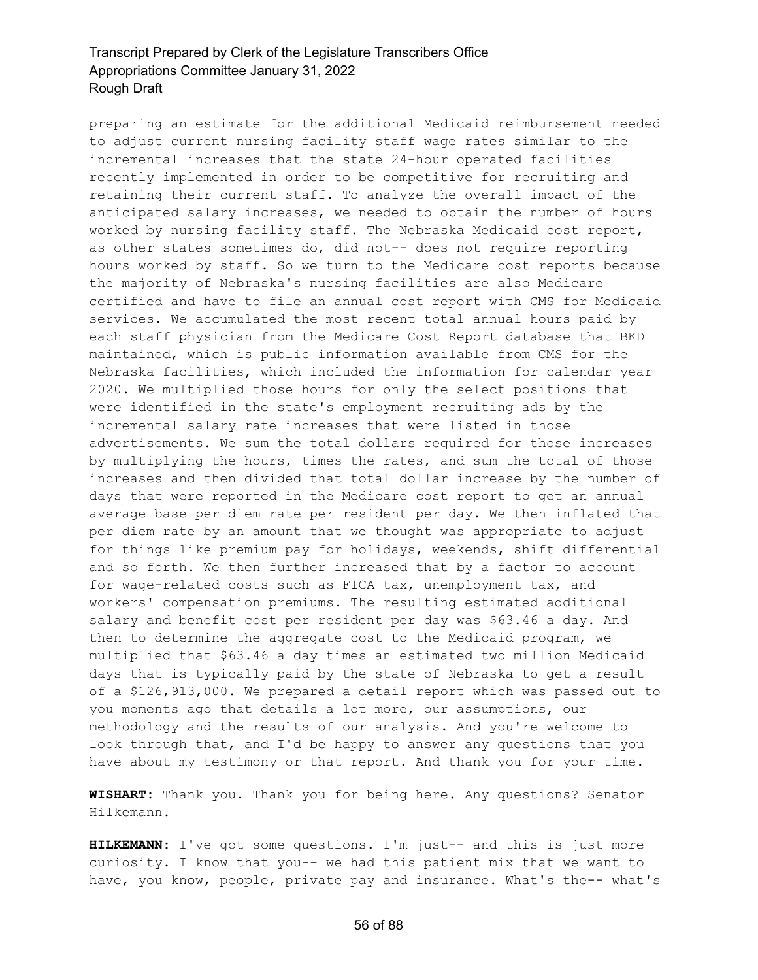preparing an estimate for the additional Medicaid reimbursement needed to adjust current nursing facility staff wage rates similar to the incremental increases that the state 24-hour operated facilities recently implemented in order to be competitive for recruiting and retaining their current staff. To analyze the overall impact of the anticipated salary increases, we needed to obtain the number of hours worked by nursing facility staff. The Nebraska Medicaid cost report, as other states sometimes do, did not-- does not require reporting hours worked by staff. So we turn to the Medicare cost reports because the majority of Nebraska's nursing facilities are also Medicare certified and have to file an annual cost report with CMS for Medicaid services. We accumulated the most recent total annual hours paid by each staff physician from the Medicare Cost Report database that BKD maintained, which is public information available from CMS for the Nebraska facilities, which included the information for calendar year 2020. We multiplied those hours for only the select positions that were identified in the state's employment recruiting ads by the incremental salary rate increases that were listed in those advertisements. We sum the total dollars required for those increases by multiplying the hours, times the rates, and sum the total of those increases and then divided that total dollar increase by the number of days that were reported in the Medicare cost report to get an annual average base per diem rate per resident per day. We then inflated that per diem rate by an amount that we thought was appropriate to adjust for things like premium pay for holidays, weekends, shift differential and so forth. We then further increased that by a factor to account for wage-related costs such as FICA tax, unemployment tax, and workers' compensation premiums. The resulting estimated additional salary and benefit cost per resident per day was \$63.46 a day. And then to determine the aggregate cost to the Medicaid program, we multiplied that \$63.46 a day times an estimated two million Medicaid days that is typically paid by the state of Nebraska to get a result of a \$126,913,000. We prepared a detail report which was passed out to you moments ago that details a lot more, our assumptions, our methodology and the results of our analysis. And you're welcome to look through that, and I'd be happy to answer any questions that you have about my testimony or that report. And thank you for your time.

**WISHART:** Thank you. Thank you for being here. Any questions? Senator Hilkemann.

**HILKEMANN:** I've got some questions. I'm just-- and this is just more curiosity. I know that you-- we had this patient mix that we want to have, you know, people, private pay and insurance. What's the-- what's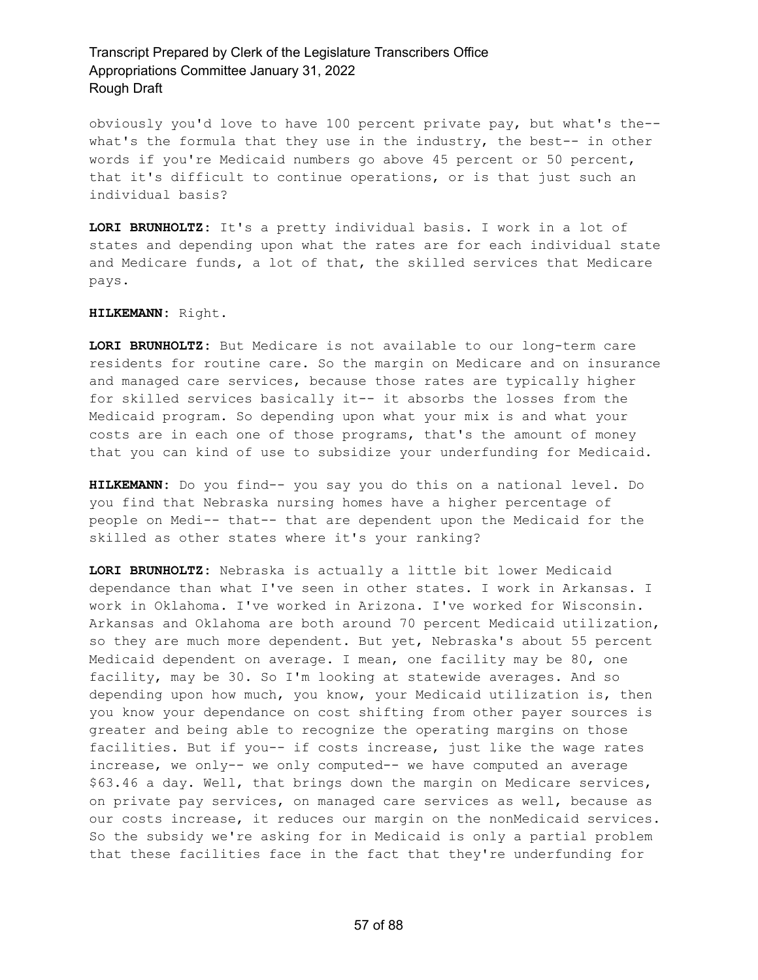obviously you'd love to have 100 percent private pay, but what's the- what's the formula that they use in the industry, the best-- in other words if you're Medicaid numbers go above 45 percent or 50 percent, that it's difficult to continue operations, or is that just such an individual basis?

**LORI BRUNHOLTZ:** It's a pretty individual basis. I work in a lot of states and depending upon what the rates are for each individual state and Medicare funds, a lot of that, the skilled services that Medicare pays.

#### **HILKEMANN:** Right.

**LORI BRUNHOLTZ:** But Medicare is not available to our long-term care residents for routine care. So the margin on Medicare and on insurance and managed care services, because those rates are typically higher for skilled services basically it-- it absorbs the losses from the Medicaid program. So depending upon what your mix is and what your costs are in each one of those programs, that's the amount of money that you can kind of use to subsidize your underfunding for Medicaid.

**HILKEMANN:** Do you find-- you say you do this on a national level. Do you find that Nebraska nursing homes have a higher percentage of people on Medi-- that-- that are dependent upon the Medicaid for the skilled as other states where it's your ranking?

**LORI BRUNHOLTZ:** Nebraska is actually a little bit lower Medicaid dependance than what I've seen in other states. I work in Arkansas. I work in Oklahoma. I've worked in Arizona. I've worked for Wisconsin. Arkansas and Oklahoma are both around 70 percent Medicaid utilization, so they are much more dependent. But yet, Nebraska's about 55 percent Medicaid dependent on average. I mean, one facility may be 80, one facility, may be 30. So I'm looking at statewide averages. And so depending upon how much, you know, your Medicaid utilization is, then you know your dependance on cost shifting from other payer sources is greater and being able to recognize the operating margins on those facilities. But if you-- if costs increase, just like the wage rates increase, we only-- we only computed-- we have computed an average \$63.46 a day. Well, that brings down the margin on Medicare services, on private pay services, on managed care services as well, because as our costs increase, it reduces our margin on the nonMedicaid services. So the subsidy we're asking for in Medicaid is only a partial problem that these facilities face in the fact that they're underfunding for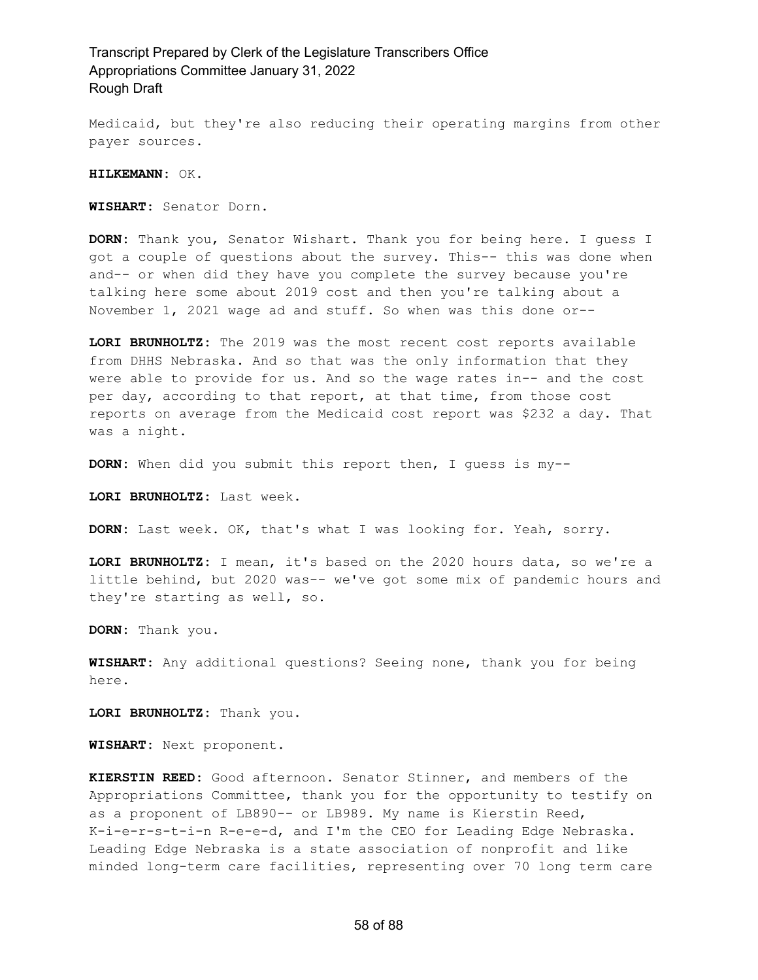Medicaid, but they're also reducing their operating margins from other payer sources.

**HILKEMANN:** OK.

**WISHART:** Senator Dorn.

**DORN:** Thank you, Senator Wishart. Thank you for being here. I guess I got a couple of questions about the survey. This-- this was done when and-- or when did they have you complete the survey because you're talking here some about 2019 cost and then you're talking about a November 1, 2021 wage ad and stuff. So when was this done or--

**LORI BRUNHOLTZ:** The 2019 was the most recent cost reports available from DHHS Nebraska. And so that was the only information that they were able to provide for us. And so the wage rates in-- and the cost per day, according to that report, at that time, from those cost reports on average from the Medicaid cost report was \$232 a day. That was a night.

**DORN:** When did you submit this report then, I guess is my--

**LORI BRUNHOLTZ:** Last week.

**DORN:** Last week. OK, that's what I was looking for. Yeah, sorry.

**LORI BRUNHOLTZ:** I mean, it's based on the 2020 hours data, so we're a little behind, but 2020 was-- we've got some mix of pandemic hours and they're starting as well, so.

**DORN:** Thank you.

**WISHART:** Any additional questions? Seeing none, thank you for being here.

**LORI BRUNHOLTZ:** Thank you.

**WISHART:** Next proponent.

**KIERSTIN REED:** Good afternoon. Senator Stinner, and members of the Appropriations Committee, thank you for the opportunity to testify on as a proponent of LB890-- or LB989. My name is Kierstin Reed, K-i-e-r-s-t-i-n R-e-e-d, and I'm the CEO for Leading Edge Nebraska. Leading Edge Nebraska is a state association of nonprofit and like minded long-term care facilities, representing over 70 long term care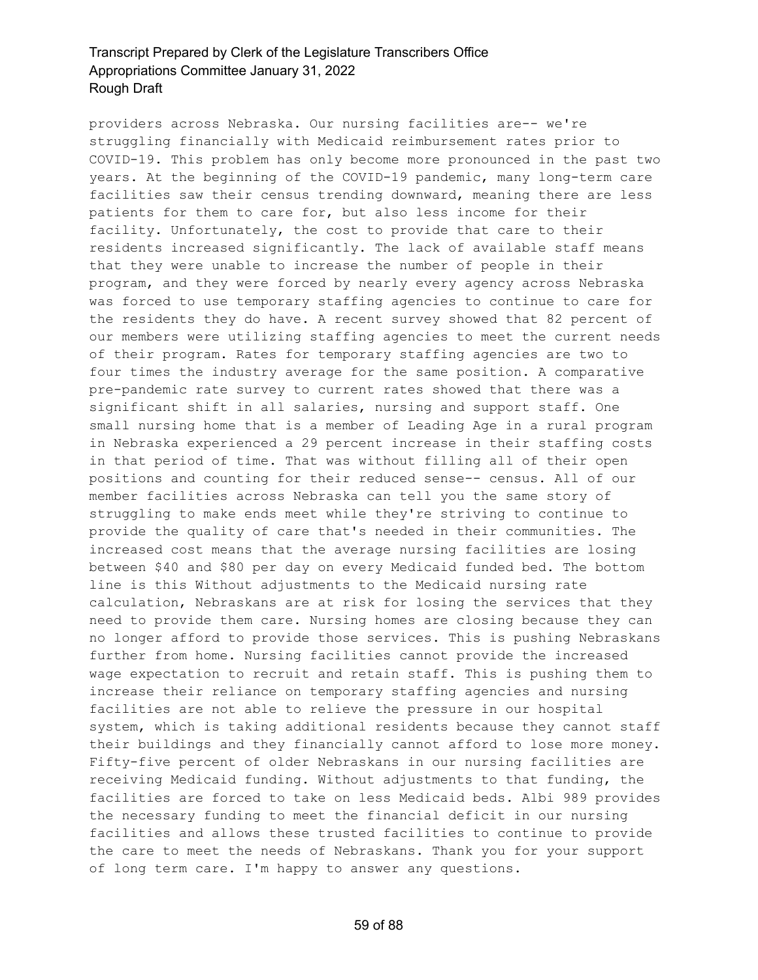providers across Nebraska. Our nursing facilities are-- we're struggling financially with Medicaid reimbursement rates prior to COVID-19. This problem has only become more pronounced in the past two years. At the beginning of the COVID-19 pandemic, many long-term care facilities saw their census trending downward, meaning there are less patients for them to care for, but also less income for their facility. Unfortunately, the cost to provide that care to their residents increased significantly. The lack of available staff means that they were unable to increase the number of people in their program, and they were forced by nearly every agency across Nebraska was forced to use temporary staffing agencies to continue to care for the residents they do have. A recent survey showed that 82 percent of our members were utilizing staffing agencies to meet the current needs of their program. Rates for temporary staffing agencies are two to four times the industry average for the same position. A comparative pre-pandemic rate survey to current rates showed that there was a significant shift in all salaries, nursing and support staff. One small nursing home that is a member of Leading Age in a rural program in Nebraska experienced a 29 percent increase in their staffing costs in that period of time. That was without filling all of their open positions and counting for their reduced sense-- census. All of our member facilities across Nebraska can tell you the same story of struggling to make ends meet while they're striving to continue to provide the quality of care that's needed in their communities. The increased cost means that the average nursing facilities are losing between \$40 and \$80 per day on every Medicaid funded bed. The bottom line is this Without adjustments to the Medicaid nursing rate calculation, Nebraskans are at risk for losing the services that they need to provide them care. Nursing homes are closing because they can no longer afford to provide those services. This is pushing Nebraskans further from home. Nursing facilities cannot provide the increased wage expectation to recruit and retain staff. This is pushing them to increase their reliance on temporary staffing agencies and nursing facilities are not able to relieve the pressure in our hospital system, which is taking additional residents because they cannot staff their buildings and they financially cannot afford to lose more money. Fifty-five percent of older Nebraskans in our nursing facilities are receiving Medicaid funding. Without adjustments to that funding, the facilities are forced to take on less Medicaid beds. Albi 989 provides the necessary funding to meet the financial deficit in our nursing facilities and allows these trusted facilities to continue to provide the care to meet the needs of Nebraskans. Thank you for your support of long term care. I'm happy to answer any questions.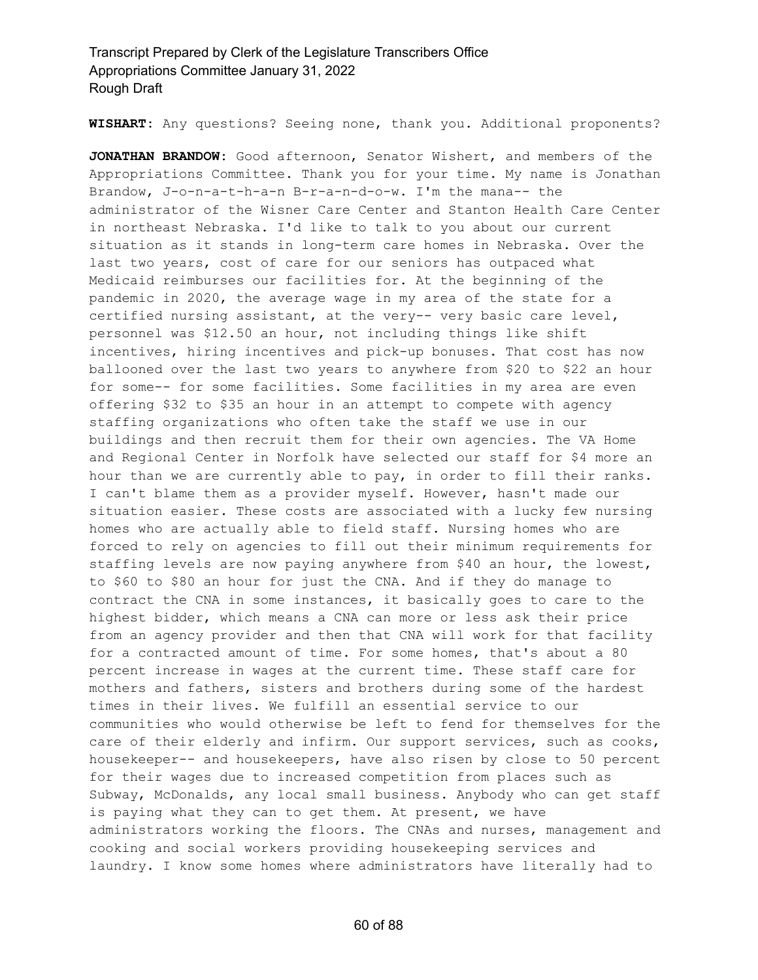**WISHART:** Any questions? Seeing none, thank you. Additional proponents?

**JONATHAN BRANDOW:** Good afternoon, Senator Wishert, and members of the Appropriations Committee. Thank you for your time. My name is Jonathan Brandow, J-o-n-a-t-h-a-n B-r-a-n-d-o-w. I'm the mana-- the administrator of the Wisner Care Center and Stanton Health Care Center in northeast Nebraska. I'd like to talk to you about our current situation as it stands in long-term care homes in Nebraska. Over the last two years, cost of care for our seniors has outpaced what Medicaid reimburses our facilities for. At the beginning of the pandemic in 2020, the average wage in my area of the state for a certified nursing assistant, at the very-- very basic care level, personnel was \$12.50 an hour, not including things like shift incentives, hiring incentives and pick-up bonuses. That cost has now ballooned over the last two years to anywhere from \$20 to \$22 an hour for some-- for some facilities. Some facilities in my area are even offering \$32 to \$35 an hour in an attempt to compete with agency staffing organizations who often take the staff we use in our buildings and then recruit them for their own agencies. The VA Home and Regional Center in Norfolk have selected our staff for \$4 more an hour than we are currently able to pay, in order to fill their ranks. I can't blame them as a provider myself. However, hasn't made our situation easier. These costs are associated with a lucky few nursing homes who are actually able to field staff. Nursing homes who are forced to rely on agencies to fill out their minimum requirements for staffing levels are now paying anywhere from \$40 an hour, the lowest, to \$60 to \$80 an hour for just the CNA. And if they do manage to contract the CNA in some instances, it basically goes to care to the highest bidder, which means a CNA can more or less ask their price from an agency provider and then that CNA will work for that facility for a contracted amount of time. For some homes, that's about a 80 percent increase in wages at the current time. These staff care for mothers and fathers, sisters and brothers during some of the hardest times in their lives. We fulfill an essential service to our communities who would otherwise be left to fend for themselves for the care of their elderly and infirm. Our support services, such as cooks, housekeeper-- and housekeepers, have also risen by close to 50 percent for their wages due to increased competition from places such as Subway, McDonalds, any local small business. Anybody who can get staff is paying what they can to get them. At present, we have administrators working the floors. The CNAs and nurses, management and cooking and social workers providing housekeeping services and laundry. I know some homes where administrators have literally had to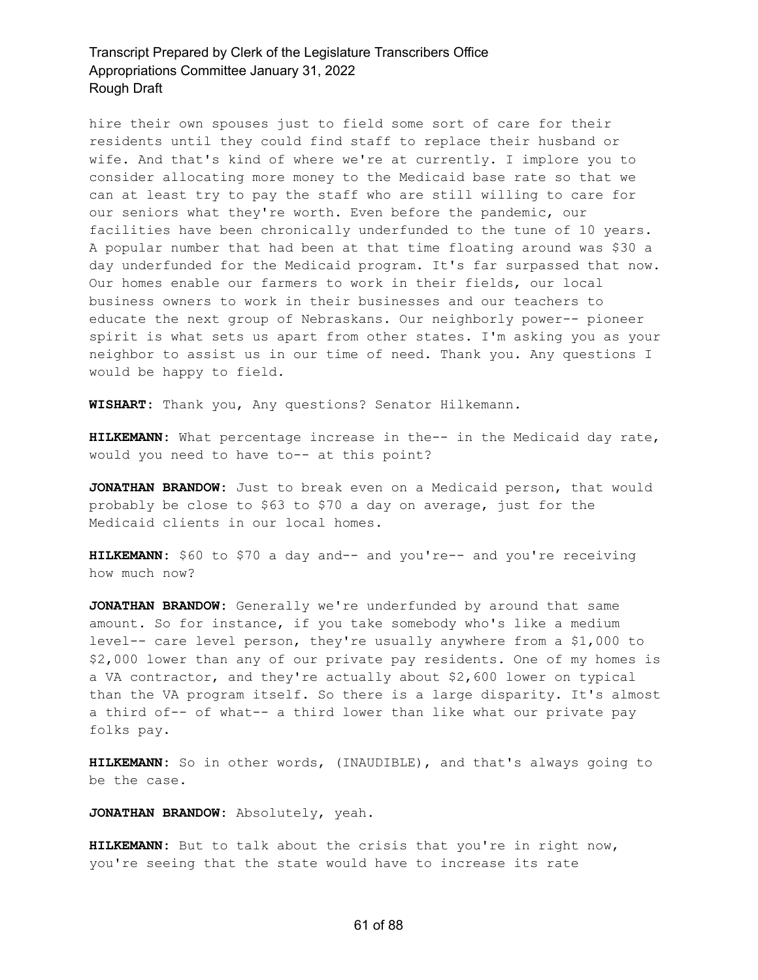hire their own spouses just to field some sort of care for their residents until they could find staff to replace their husband or wife. And that's kind of where we're at currently. I implore you to consider allocating more money to the Medicaid base rate so that we can at least try to pay the staff who are still willing to care for our seniors what they're worth. Even before the pandemic, our facilities have been chronically underfunded to the tune of 10 years. A popular number that had been at that time floating around was \$30 a day underfunded for the Medicaid program. It's far surpassed that now. Our homes enable our farmers to work in their fields, our local business owners to work in their businesses and our teachers to educate the next group of Nebraskans. Our neighborly power-- pioneer spirit is what sets us apart from other states. I'm asking you as your neighbor to assist us in our time of need. Thank you. Any questions I would be happy to field.

**WISHART:** Thank you, Any questions? Senator Hilkemann.

**HILKEMANN:** What percentage increase in the-- in the Medicaid day rate, would you need to have to-- at this point?

**JONATHAN BRANDOW:** Just to break even on a Medicaid person, that would probably be close to \$63 to \$70 a day on average, just for the Medicaid clients in our local homes.

**HILKEMANN:** \$60 to \$70 a day and-- and you're-- and you're receiving how much now?

**JONATHAN BRANDOW:** Generally we're underfunded by around that same amount. So for instance, if you take somebody who's like a medium level-- care level person, they're usually anywhere from a \$1,000 to \$2,000 lower than any of our private pay residents. One of my homes is a VA contractor, and they're actually about \$2,600 lower on typical than the VA program itself. So there is a large disparity. It's almost a third of-- of what-- a third lower than like what our private pay folks pay.

**HILKEMANN:** So in other words, (INAUDIBLE), and that's always going to be the case.

**JONATHAN BRANDOW:** Absolutely, yeah.

**HILKEMANN:** But to talk about the crisis that you're in right now, you're seeing that the state would have to increase its rate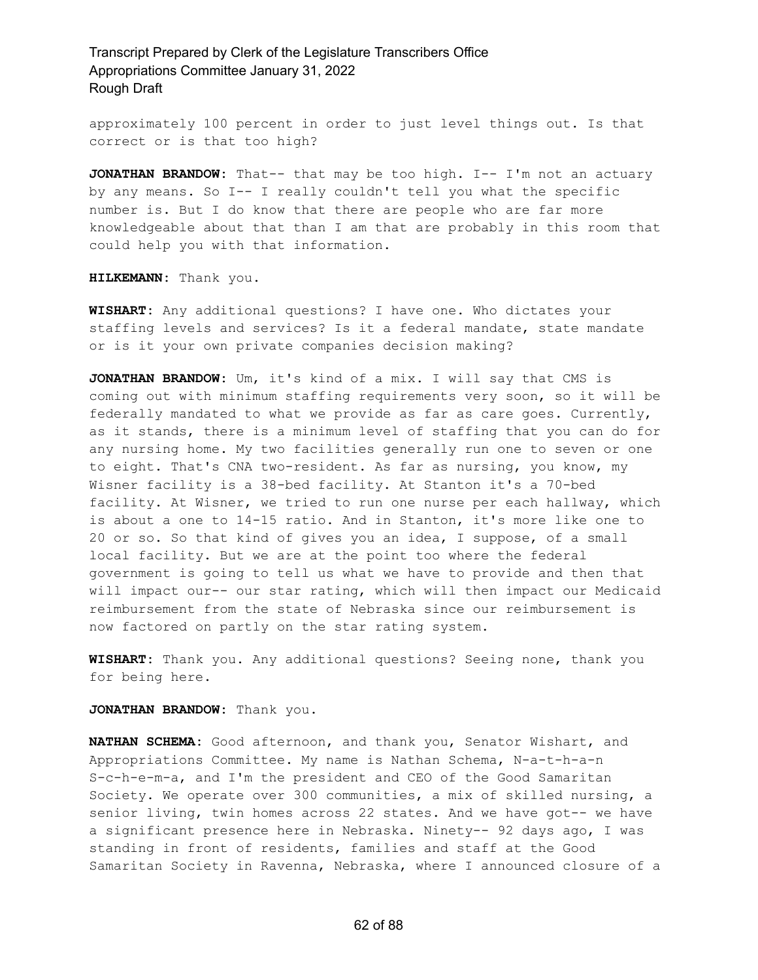approximately 100 percent in order to just level things out. Is that correct or is that too high?

**JONATHAN BRANDOW:** That-- that may be too high. I-- I'm not an actuary by any means. So I-- I really couldn't tell you what the specific number is. But I do know that there are people who are far more knowledgeable about that than I am that are probably in this room that could help you with that information.

**HILKEMANN:** Thank you.

**WISHART:** Any additional questions? I have one. Who dictates your staffing levels and services? Is it a federal mandate, state mandate or is it your own private companies decision making?

**JONATHAN BRANDOW:** Um, it's kind of a mix. I will say that CMS is coming out with minimum staffing requirements very soon, so it will be federally mandated to what we provide as far as care goes. Currently, as it stands, there is a minimum level of staffing that you can do for any nursing home. My two facilities generally run one to seven or one to eight. That's CNA two-resident. As far as nursing, you know, my Wisner facility is a 38-bed facility. At Stanton it's a 70-bed facility. At Wisner, we tried to run one nurse per each hallway, which is about a one to 14-15 ratio. And in Stanton, it's more like one to 20 or so. So that kind of gives you an idea, I suppose, of a small local facility. But we are at the point too where the federal government is going to tell us what we have to provide and then that will impact our-- our star rating, which will then impact our Medicaid reimbursement from the state of Nebraska since our reimbursement is now factored on partly on the star rating system.

**WISHART:** Thank you. Any additional questions? Seeing none, thank you for being here.

**JONATHAN BRANDOW:** Thank you.

**NATHAN SCHEMA:** Good afternoon, and thank you, Senator Wishart, and Appropriations Committee. My name is Nathan Schema, N-a-t-h-a-n S-c-h-e-m-a, and I'm the president and CEO of the Good Samaritan Society. We operate over 300 communities, a mix of skilled nursing, a senior living, twin homes across 22 states. And we have got-- we have a significant presence here in Nebraska. Ninety-- 92 days ago, I was standing in front of residents, families and staff at the Good Samaritan Society in Ravenna, Nebraska, where I announced closure of a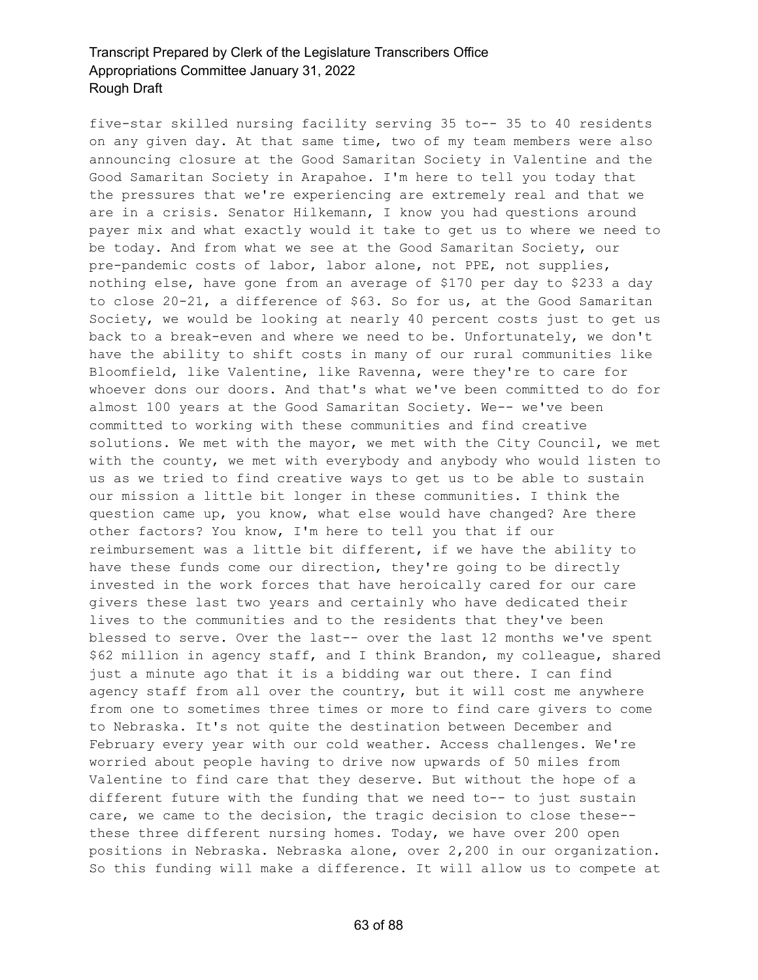five-star skilled nursing facility serving 35 to-- 35 to 40 residents on any given day. At that same time, two of my team members were also announcing closure at the Good Samaritan Society in Valentine and the Good Samaritan Society in Arapahoe. I'm here to tell you today that the pressures that we're experiencing are extremely real and that we are in a crisis. Senator Hilkemann, I know you had questions around payer mix and what exactly would it take to get us to where we need to be today. And from what we see at the Good Samaritan Society, our pre-pandemic costs of labor, labor alone, not PPE, not supplies, nothing else, have gone from an average of \$170 per day to \$233 a day to close 20-21, a difference of \$63. So for us, at the Good Samaritan Society, we would be looking at nearly 40 percent costs just to get us back to a break-even and where we need to be. Unfortunately, we don't have the ability to shift costs in many of our rural communities like Bloomfield, like Valentine, like Ravenna, were they're to care for whoever dons our doors. And that's what we've been committed to do for almost 100 years at the Good Samaritan Society. We-- we've been committed to working with these communities and find creative solutions. We met with the mayor, we met with the City Council, we met with the county, we met with everybody and anybody who would listen to us as we tried to find creative ways to get us to be able to sustain our mission a little bit longer in these communities. I think the question came up, you know, what else would have changed? Are there other factors? You know, I'm here to tell you that if our reimbursement was a little bit different, if we have the ability to have these funds come our direction, they're going to be directly invested in the work forces that have heroically cared for our care givers these last two years and certainly who have dedicated their lives to the communities and to the residents that they've been blessed to serve. Over the last-- over the last 12 months we've spent \$62 million in agency staff, and I think Brandon, my colleague, shared just a minute ago that it is a bidding war out there. I can find agency staff from all over the country, but it will cost me anywhere from one to sometimes three times or more to find care givers to come to Nebraska. It's not quite the destination between December and February every year with our cold weather. Access challenges. We're worried about people having to drive now upwards of 50 miles from Valentine to find care that they deserve. But without the hope of a different future with the funding that we need to-- to just sustain care, we came to the decision, the tragic decision to close these- these three different nursing homes. Today, we have over 200 open positions in Nebraska. Nebraska alone, over 2,200 in our organization. So this funding will make a difference. It will allow us to compete at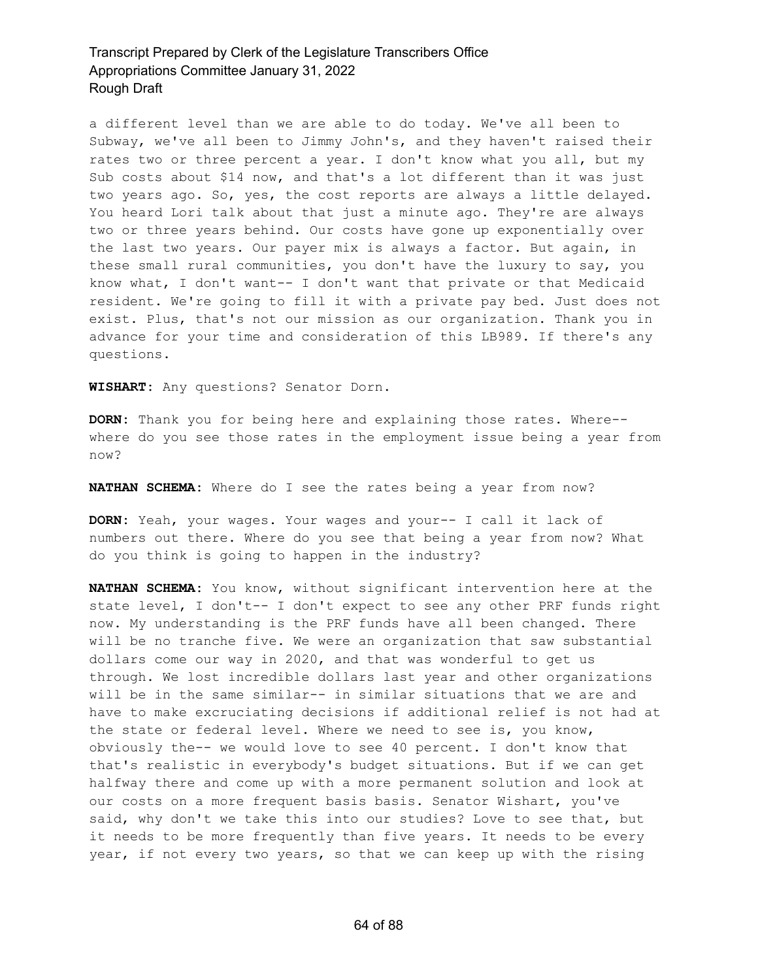a different level than we are able to do today. We've all been to Subway, we've all been to Jimmy John's, and they haven't raised their rates two or three percent a year. I don't know what you all, but my Sub costs about \$14 now, and that's a lot different than it was just two years ago. So, yes, the cost reports are always a little delayed. You heard Lori talk about that just a minute ago. They're are always two or three years behind. Our costs have gone up exponentially over the last two years. Our payer mix is always a factor. But again, in these small rural communities, you don't have the luxury to say, you know what, I don't want-- I don't want that private or that Medicaid resident. We're going to fill it with a private pay bed. Just does not exist. Plus, that's not our mission as our organization. Thank you in advance for your time and consideration of this LB989. If there's any questions.

**WISHART:** Any questions? Senator Dorn.

**DORN:** Thank you for being here and explaining those rates. Where- where do you see those rates in the employment issue being a year from now?

**NATHAN SCHEMA:** Where do I see the rates being a year from now?

**DORN:** Yeah, your wages. Your wages and your-- I call it lack of numbers out there. Where do you see that being a year from now? What do you think is going to happen in the industry?

**NATHAN SCHEMA:** You know, without significant intervention here at the state level, I don't-- I don't expect to see any other PRF funds right now. My understanding is the PRF funds have all been changed. There will be no tranche five. We were an organization that saw substantial dollars come our way in 2020, and that was wonderful to get us through. We lost incredible dollars last year and other organizations will be in the same similar-- in similar situations that we are and have to make excruciating decisions if additional relief is not had at the state or federal level. Where we need to see is, you know, obviously the-- we would love to see 40 percent. I don't know that that's realistic in everybody's budget situations. But if we can get halfway there and come up with a more permanent solution and look at our costs on a more frequent basis basis. Senator Wishart, you've said, why don't we take this into our studies? Love to see that, but it needs to be more frequently than five years. It needs to be every year, if not every two years, so that we can keep up with the rising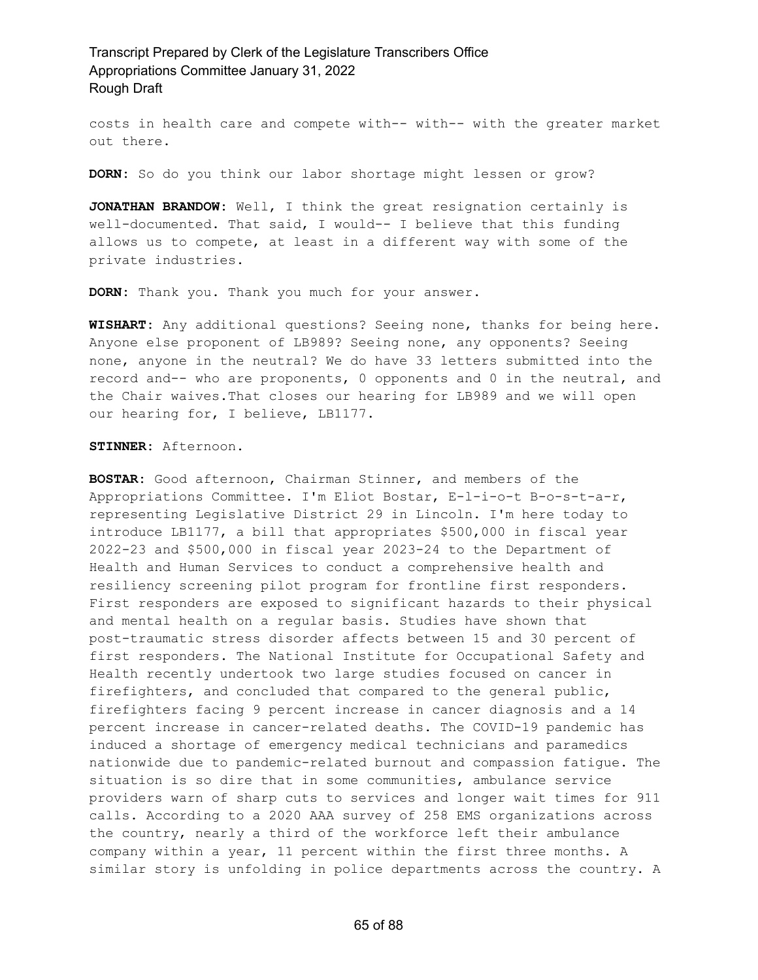costs in health care and compete with-- with-- with the greater market out there.

**DORN:** So do you think our labor shortage might lessen or grow?

**JONATHAN BRANDOW:** Well, I think the great resignation certainly is well-documented. That said, I would-- I believe that this funding allows us to compete, at least in a different way with some of the private industries.

**DORN:** Thank you. Thank you much for your answer.

**WISHART:** Any additional questions? Seeing none, thanks for being here. Anyone else proponent of LB989? Seeing none, any opponents? Seeing none, anyone in the neutral? We do have 33 letters submitted into the record and-- who are proponents, 0 opponents and 0 in the neutral, and the Chair waives.That closes our hearing for LB989 and we will open our hearing for, I believe, LB1177.

#### **STINNER:** Afternoon.

**BOSTAR:** Good afternoon, Chairman Stinner, and members of the Appropriations Committee. I'm Eliot Bostar, E-l-i-o-t B-o-s-t-a-r, representing Legislative District 29 in Lincoln. I'm here today to introduce LB1177, a bill that appropriates \$500,000 in fiscal year 2022-23 and \$500,000 in fiscal year 2023-24 to the Department of Health and Human Services to conduct a comprehensive health and resiliency screening pilot program for frontline first responders. First responders are exposed to significant hazards to their physical and mental health on a regular basis. Studies have shown that post-traumatic stress disorder affects between 15 and 30 percent of first responders. The National Institute for Occupational Safety and Health recently undertook two large studies focused on cancer in firefighters, and concluded that compared to the general public, firefighters facing 9 percent increase in cancer diagnosis and a 14 percent increase in cancer-related deaths. The COVID-19 pandemic has induced a shortage of emergency medical technicians and paramedics nationwide due to pandemic-related burnout and compassion fatigue. The situation is so dire that in some communities, ambulance service providers warn of sharp cuts to services and longer wait times for 911 calls. According to a 2020 AAA survey of 258 EMS organizations across the country, nearly a third of the workforce left their ambulance company within a year, 11 percent within the first three months. A similar story is unfolding in police departments across the country. A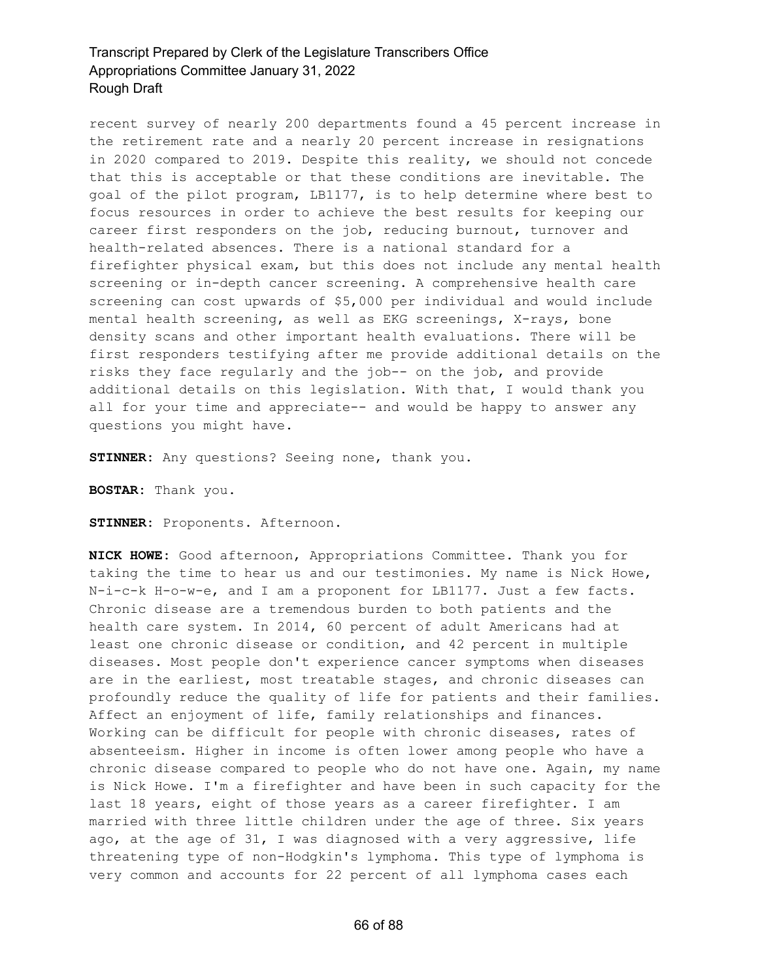recent survey of nearly 200 departments found a 45 percent increase in the retirement rate and a nearly 20 percent increase in resignations in 2020 compared to 2019. Despite this reality, we should not concede that this is acceptable or that these conditions are inevitable. The goal of the pilot program, LB1177, is to help determine where best to focus resources in order to achieve the best results for keeping our career first responders on the job, reducing burnout, turnover and health-related absences. There is a national standard for a firefighter physical exam, but this does not include any mental health screening or in-depth cancer screening. A comprehensive health care screening can cost upwards of \$5,000 per individual and would include mental health screening, as well as EKG screenings, X-rays, bone density scans and other important health evaluations. There will be first responders testifying after me provide additional details on the risks they face regularly and the job-- on the job, and provide additional details on this legislation. With that, I would thank you all for your time and appreciate-- and would be happy to answer any questions you might have.

**STINNER:** Any questions? Seeing none, thank you.

**BOSTAR:** Thank you.

**STINNER:** Proponents. Afternoon.

**NICK HOWE:** Good afternoon, Appropriations Committee. Thank you for taking the time to hear us and our testimonies. My name is Nick Howe, N-i-c-k H-o-w-e, and I am a proponent for LB1177. Just a few facts. Chronic disease are a tremendous burden to both patients and the health care system. In 2014, 60 percent of adult Americans had at least one chronic disease or condition, and 42 percent in multiple diseases. Most people don't experience cancer symptoms when diseases are in the earliest, most treatable stages, and chronic diseases can profoundly reduce the quality of life for patients and their families. Affect an enjoyment of life, family relationships and finances. Working can be difficult for people with chronic diseases, rates of absenteeism. Higher in income is often lower among people who have a chronic disease compared to people who do not have one. Again, my name is Nick Howe. I'm a firefighter and have been in such capacity for the last 18 years, eight of those years as a career firefighter. I am married with three little children under the age of three. Six years ago, at the age of 31, I was diagnosed with a very aggressive, life threatening type of non-Hodgkin's lymphoma. This type of lymphoma is very common and accounts for 22 percent of all lymphoma cases each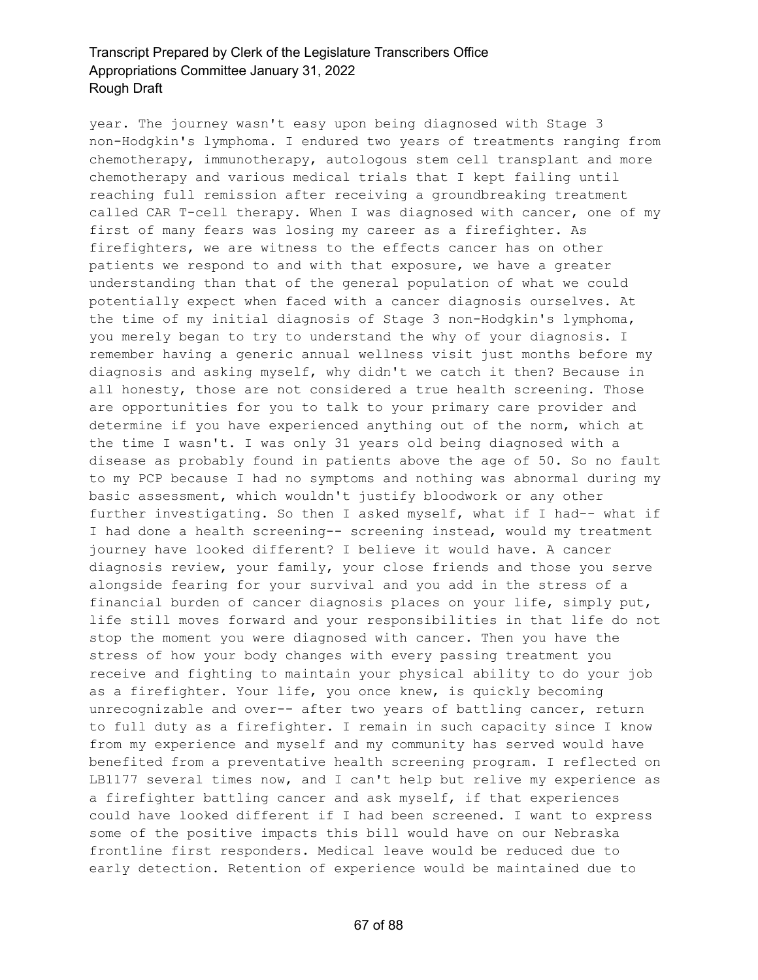year. The journey wasn't easy upon being diagnosed with Stage 3 non-Hodgkin's lymphoma. I endured two years of treatments ranging from chemotherapy, immunotherapy, autologous stem cell transplant and more chemotherapy and various medical trials that I kept failing until reaching full remission after receiving a groundbreaking treatment called CAR T-cell therapy. When I was diagnosed with cancer, one of my first of many fears was losing my career as a firefighter. As firefighters, we are witness to the effects cancer has on other patients we respond to and with that exposure, we have a greater understanding than that of the general population of what we could potentially expect when faced with a cancer diagnosis ourselves. At the time of my initial diagnosis of Stage 3 non-Hodgkin's lymphoma, you merely began to try to understand the why of your diagnosis. I remember having a generic annual wellness visit just months before my diagnosis and asking myself, why didn't we catch it then? Because in all honesty, those are not considered a true health screening. Those are opportunities for you to talk to your primary care provider and determine if you have experienced anything out of the norm, which at the time I wasn't. I was only 31 years old being diagnosed with a disease as probably found in patients above the age of 50. So no fault to my PCP because I had no symptoms and nothing was abnormal during my basic assessment, which wouldn't justify bloodwork or any other further investigating. So then I asked myself, what if I had-- what if I had done a health screening-- screening instead, would my treatment journey have looked different? I believe it would have. A cancer diagnosis review, your family, your close friends and those you serve alongside fearing for your survival and you add in the stress of a financial burden of cancer diagnosis places on your life, simply put, life still moves forward and your responsibilities in that life do not stop the moment you were diagnosed with cancer. Then you have the stress of how your body changes with every passing treatment you receive and fighting to maintain your physical ability to do your job as a firefighter. Your life, you once knew, is quickly becoming unrecognizable and over-- after two years of battling cancer, return to full duty as a firefighter. I remain in such capacity since I know from my experience and myself and my community has served would have benefited from a preventative health screening program. I reflected on LB1177 several times now, and I can't help but relive my experience as a firefighter battling cancer and ask myself, if that experiences could have looked different if I had been screened. I want to express some of the positive impacts this bill would have on our Nebraska frontline first responders. Medical leave would be reduced due to early detection. Retention of experience would be maintained due to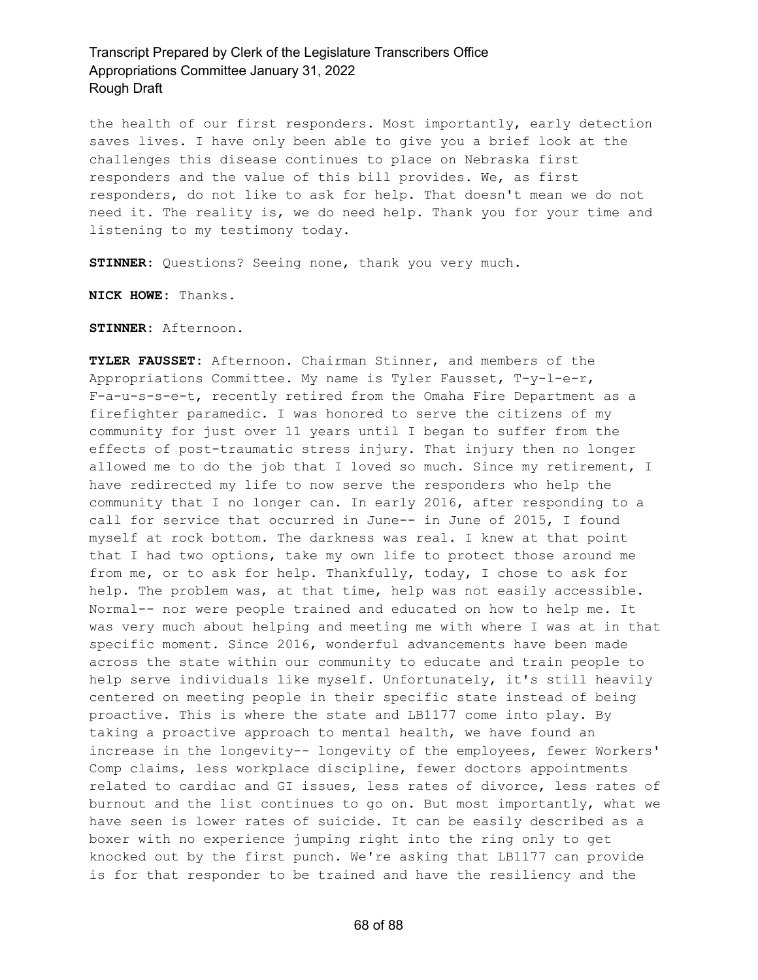the health of our first responders. Most importantly, early detection saves lives. I have only been able to give you a brief look at the challenges this disease continues to place on Nebraska first responders and the value of this bill provides. We, as first responders, do not like to ask for help. That doesn't mean we do not need it. The reality is, we do need help. Thank you for your time and listening to my testimony today.

**STINNER:** Questions? Seeing none, thank you very much.

**NICK HOWE:** Thanks.

**STINNER:** Afternoon.

**TYLER FAUSSET:** Afternoon. Chairman Stinner, and members of the Appropriations Committee. My name is Tyler Fausset, T-y-l-e-r, F-a-u-s-s-e-t, recently retired from the Omaha Fire Department as a firefighter paramedic. I was honored to serve the citizens of my community for just over 11 years until I began to suffer from the effects of post-traumatic stress injury. That injury then no longer allowed me to do the job that I loved so much. Since my retirement, I have redirected my life to now serve the responders who help the community that I no longer can. In early 2016, after responding to a call for service that occurred in June-- in June of 2015, I found myself at rock bottom. The darkness was real. I knew at that point that I had two options, take my own life to protect those around me from me, or to ask for help. Thankfully, today, I chose to ask for help. The problem was, at that time, help was not easily accessible. Normal-- nor were people trained and educated on how to help me. It was very much about helping and meeting me with where I was at in that specific moment. Since 2016, wonderful advancements have been made across the state within our community to educate and train people to help serve individuals like myself. Unfortunately, it's still heavily centered on meeting people in their specific state instead of being proactive. This is where the state and LB1177 come into play. By taking a proactive approach to mental health, we have found an increase in the longevity-- longevity of the employees, fewer Workers' Comp claims, less workplace discipline, fewer doctors appointments related to cardiac and GI issues, less rates of divorce, less rates of burnout and the list continues to go on. But most importantly, what we have seen is lower rates of suicide. It can be easily described as a boxer with no experience jumping right into the ring only to get knocked out by the first punch. We're asking that LB1177 can provide is for that responder to be trained and have the resiliency and the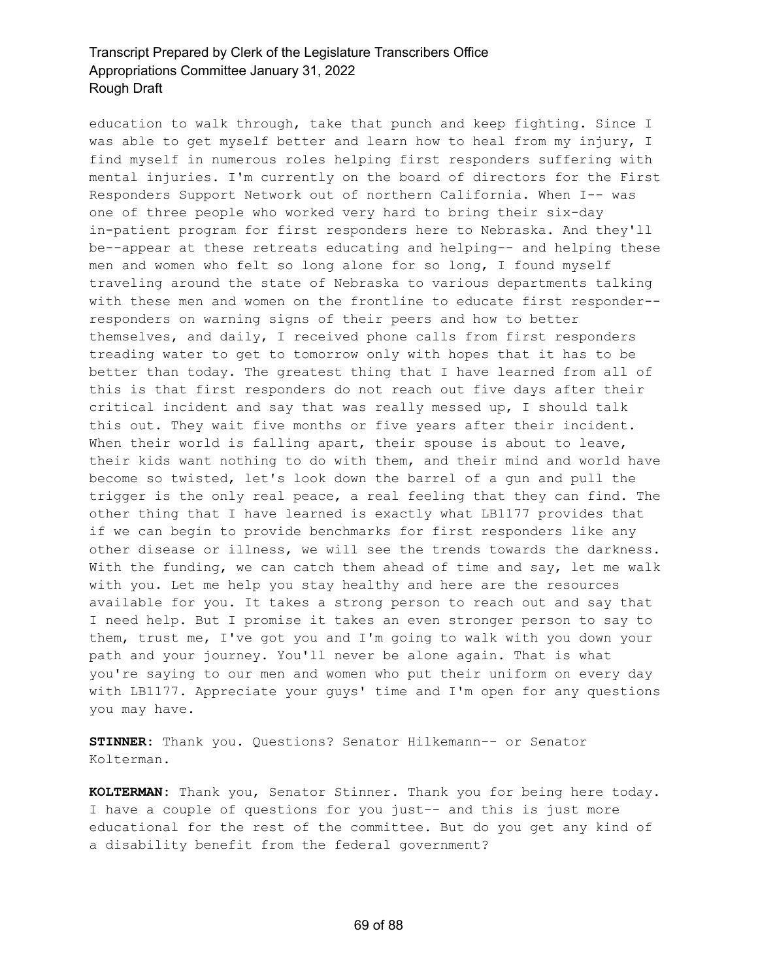education to walk through, take that punch and keep fighting. Since I was able to get myself better and learn how to heal from my injury, I find myself in numerous roles helping first responders suffering with mental injuries. I'm currently on the board of directors for the First Responders Support Network out of northern California. When I-- was one of three people who worked very hard to bring their six-day in-patient program for first responders here to Nebraska. And they'll be--appear at these retreats educating and helping-- and helping these men and women who felt so long alone for so long, I found myself traveling around the state of Nebraska to various departments talking with these men and women on the frontline to educate first responder- responders on warning signs of their peers and how to better themselves, and daily, I received phone calls from first responders treading water to get to tomorrow only with hopes that it has to be better than today. The greatest thing that I have learned from all of this is that first responders do not reach out five days after their critical incident and say that was really messed up, I should talk this out. They wait five months or five years after their incident. When their world is falling apart, their spouse is about to leave, their kids want nothing to do with them, and their mind and world have become so twisted, let's look down the barrel of a gun and pull the trigger is the only real peace, a real feeling that they can find. The other thing that I have learned is exactly what LB1177 provides that if we can begin to provide benchmarks for first responders like any other disease or illness, we will see the trends towards the darkness. With the funding, we can catch them ahead of time and say, let me walk with you. Let me help you stay healthy and here are the resources available for you. It takes a strong person to reach out and say that I need help. But I promise it takes an even stronger person to say to them, trust me, I've got you and I'm going to walk with you down your path and your journey. You'll never be alone again. That is what you're saying to our men and women who put their uniform on every day with LB1177. Appreciate your guys' time and I'm open for any questions you may have.

**STINNER:** Thank you. Questions? Senator Hilkemann-- or Senator Kolterman.

**KOLTERMAN:** Thank you, Senator Stinner. Thank you for being here today. I have a couple of questions for you just-- and this is just more educational for the rest of the committee. But do you get any kind of a disability benefit from the federal government?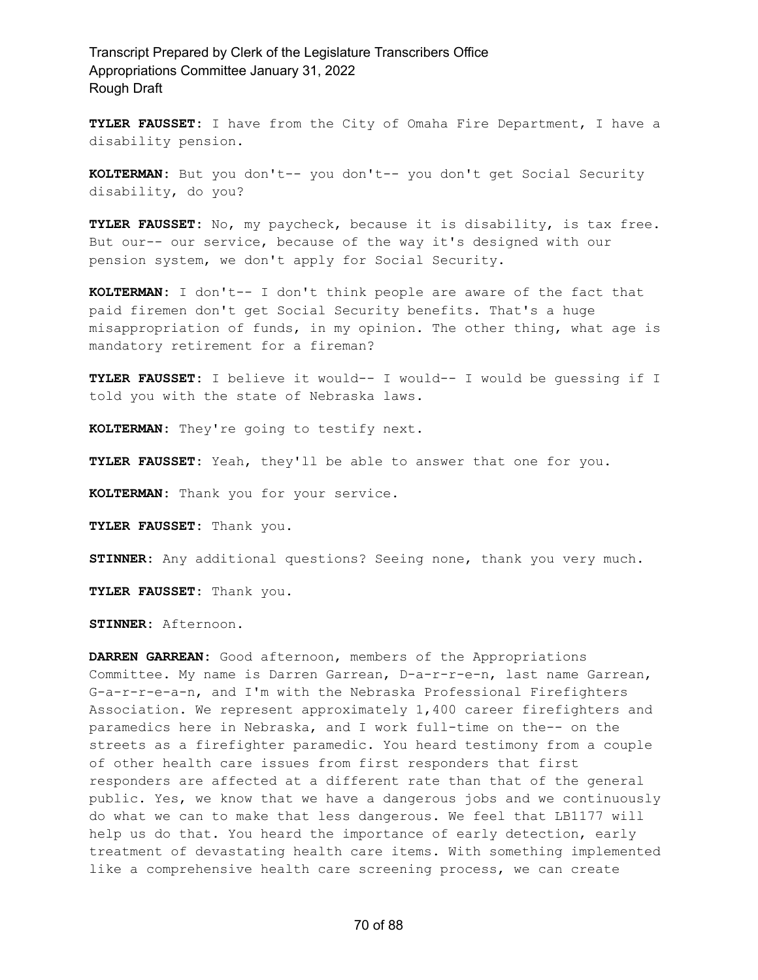**TYLER FAUSSET:** I have from the City of Omaha Fire Department, I have a disability pension.

**KOLTERMAN:** But you don't-- you don't-- you don't get Social Security disability, do you?

**TYLER FAUSSET:** No, my paycheck, because it is disability, is tax free. But our-- our service, because of the way it's designed with our pension system, we don't apply for Social Security.

**KOLTERMAN:** I don't-- I don't think people are aware of the fact that paid firemen don't get Social Security benefits. That's a huge misappropriation of funds, in my opinion. The other thing, what age is mandatory retirement for a fireman?

**TYLER FAUSSET:** I believe it would-- I would-- I would be guessing if I told you with the state of Nebraska laws.

**KOLTERMAN:** They're going to testify next.

**TYLER FAUSSET:** Yeah, they'll be able to answer that one for you.

**KOLTERMAN:** Thank you for your service.

**TYLER FAUSSET:** Thank you.

**STINNER:** Any additional questions? Seeing none, thank you very much.

**TYLER FAUSSET:** Thank you.

**STINNER:** Afternoon.

**DARREN GARREAN:** Good afternoon, members of the Appropriations Committee. My name is Darren Garrean, D-a-r-r-e-n, last name Garrean, G-a-r-r-e-a-n, and I'm with the Nebraska Professional Firefighters Association. We represent approximately 1,400 career firefighters and paramedics here in Nebraska, and I work full-time on the-- on the streets as a firefighter paramedic. You heard testimony from a couple of other health care issues from first responders that first responders are affected at a different rate than that of the general public. Yes, we know that we have a dangerous jobs and we continuously do what we can to make that less dangerous. We feel that LB1177 will help us do that. You heard the importance of early detection, early treatment of devastating health care items. With something implemented like a comprehensive health care screening process, we can create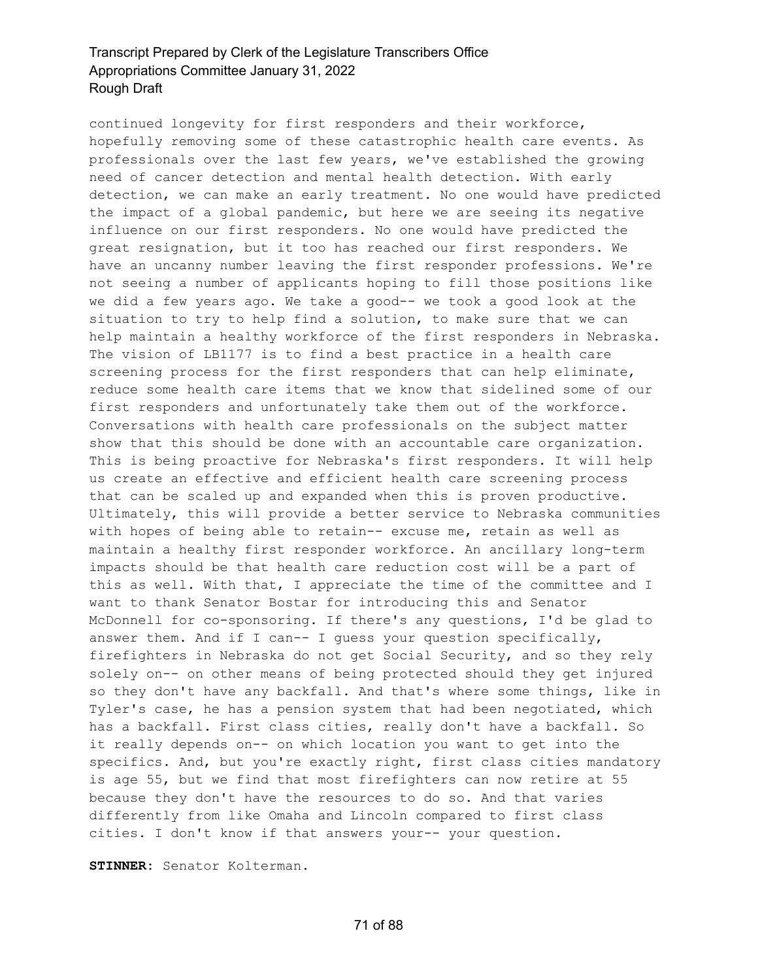continued longevity for first responders and their workforce, hopefully removing some of these catastrophic health care events. As professionals over the last few years, we've established the growing need of cancer detection and mental health detection. With early detection, we can make an early treatment. No one would have predicted the impact of a global pandemic, but here we are seeing its negative influence on our first responders. No one would have predicted the great resignation, but it too has reached our first responders. We have an uncanny number leaving the first responder professions. We're not seeing a number of applicants hoping to fill those positions like we did a few years ago. We take a good-- we took a good look at the situation to try to help find a solution, to make sure that we can help maintain a healthy workforce of the first responders in Nebraska. The vision of LB1177 is to find a best practice in a health care screening process for the first responders that can help eliminate, reduce some health care items that we know that sidelined some of our first responders and unfortunately take them out of the workforce. Conversations with health care professionals on the subject matter show that this should be done with an accountable care organization. This is being proactive for Nebraska's first responders. It will help us create an effective and efficient health care screening process that can be scaled up and expanded when this is proven productive. Ultimately, this will provide a better service to Nebraska communities with hopes of being able to retain-- excuse me, retain as well as maintain a healthy first responder workforce. An ancillary long-term impacts should be that health care reduction cost will be a part of this as well. With that, I appreciate the time of the committee and I want to thank Senator Bostar for introducing this and Senator McDonnell for co-sponsoring. If there's any questions, I'd be glad to answer them. And if I can-- I guess your question specifically, firefighters in Nebraska do not get Social Security, and so they rely solely on-- on other means of being protected should they get injured so they don't have any backfall. And that's where some things, like in Tyler's case, he has a pension system that had been negotiated, which has a backfall. First class cities, really don't have a backfall. So it really depends on-- on which location you want to get into the specifics. And, but you're exactly right, first class cities mandatory is age 55, but we find that most firefighters can now retire at 55 because they don't have the resources to do so. And that varies differently from like Omaha and Lincoln compared to first class cities. I don't know if that answers your-- your question.

**STINNER:** Senator Kolterman.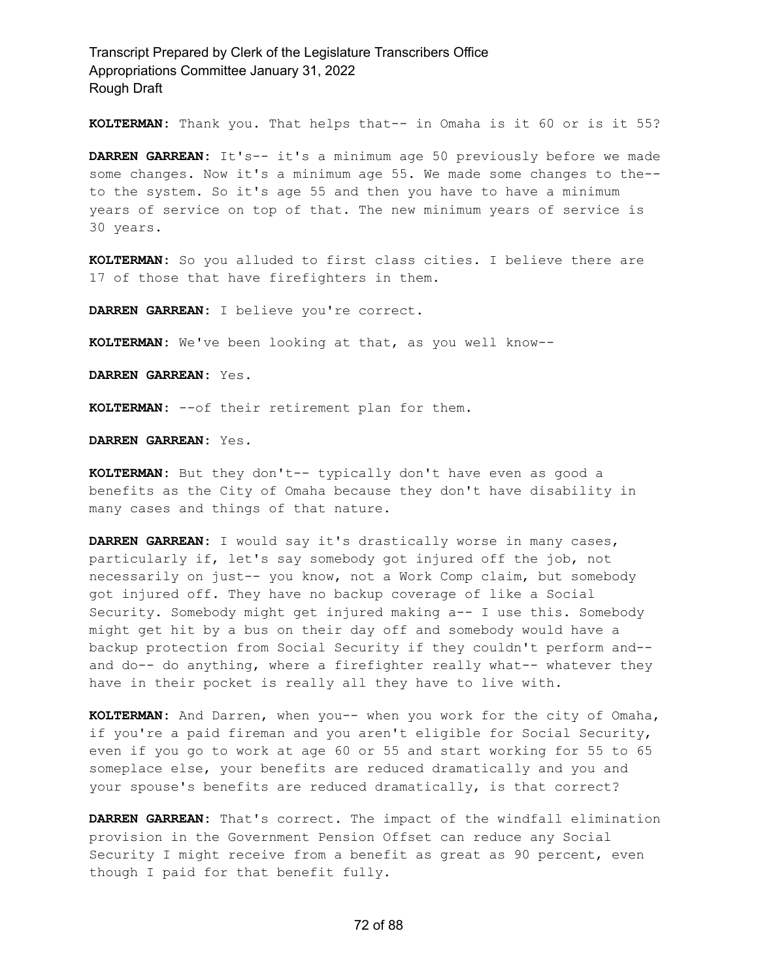**KOLTERMAN:** Thank you. That helps that-- in Omaha is it 60 or is it 55?

**DARREN GARREAN:** It's-- it's a minimum age 50 previously before we made some changes. Now it's a minimum age 55. We made some changes to the- to the system. So it's age 55 and then you have to have a minimum years of service on top of that. The new minimum years of service is 30 years.

**KOLTERMAN:** So you alluded to first class cities. I believe there are 17 of those that have firefighters in them.

**DARREN GARREAN:** I believe you're correct.

**KOLTERMAN:** We've been looking at that, as you well know--

**DARREN GARREAN:** Yes.

**KOLTERMAN:** --of their retirement plan for them.

**DARREN GARREAN:** Yes.

**KOLTERMAN:** But they don't-- typically don't have even as good a benefits as the City of Omaha because they don't have disability in many cases and things of that nature.

**DARREN GARREAN:** I would say it's drastically worse in many cases, particularly if, let's say somebody got injured off the job, not necessarily on just-- you know, not a Work Comp claim, but somebody got injured off. They have no backup coverage of like a Social Security. Somebody might get injured making a-- I use this. Somebody might get hit by a bus on their day off and somebody would have a backup protection from Social Security if they couldn't perform and- and do-- do anything, where a firefighter really what-- whatever they have in their pocket is really all they have to live with.

**KOLTERMAN:** And Darren, when you-- when you work for the city of Omaha, if you're a paid fireman and you aren't eligible for Social Security, even if you go to work at age 60 or 55 and start working for 55 to 65 someplace else, your benefits are reduced dramatically and you and your spouse's benefits are reduced dramatically, is that correct?

**DARREN GARREAN:** That's correct. The impact of the windfall elimination provision in the Government Pension Offset can reduce any Social Security I might receive from a benefit as great as 90 percent, even though I paid for that benefit fully.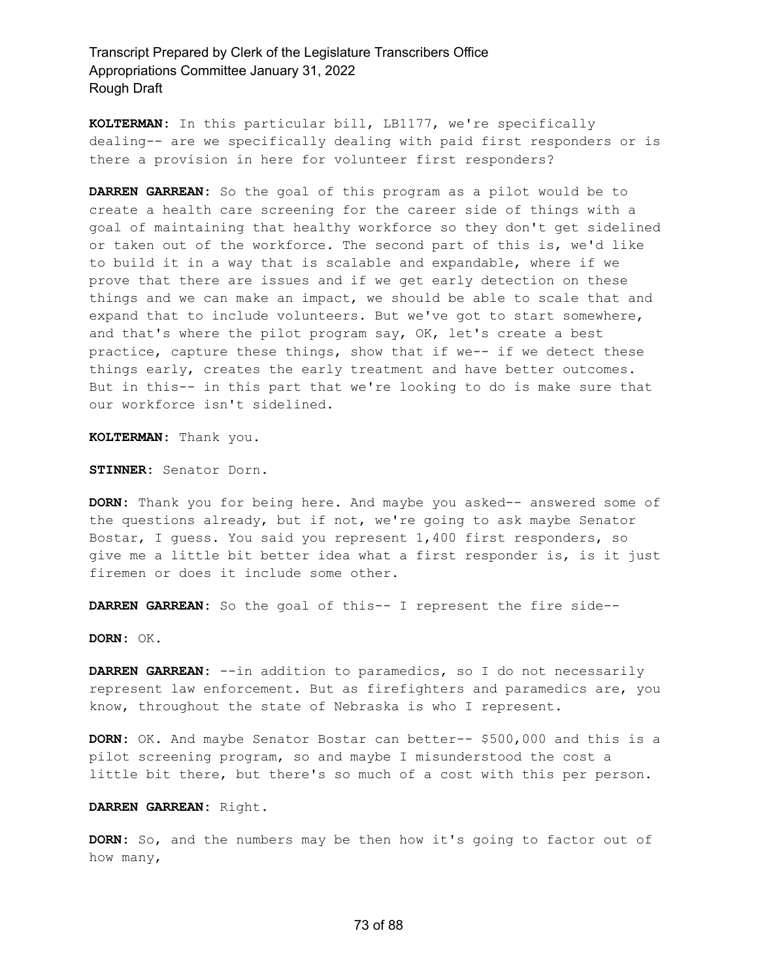**KOLTERMAN:** In this particular bill, LB1177, we're specifically dealing-- are we specifically dealing with paid first responders or is there a provision in here for volunteer first responders?

**DARREN GARREAN:** So the goal of this program as a pilot would be to create a health care screening for the career side of things with a goal of maintaining that healthy workforce so they don't get sidelined or taken out of the workforce. The second part of this is, we'd like to build it in a way that is scalable and expandable, where if we prove that there are issues and if we get early detection on these things and we can make an impact, we should be able to scale that and expand that to include volunteers. But we've got to start somewhere, and that's where the pilot program say, OK, let's create a best practice, capture these things, show that if we-- if we detect these things early, creates the early treatment and have better outcomes. But in this-- in this part that we're looking to do is make sure that our workforce isn't sidelined.

**KOLTERMAN:** Thank you.

**STINNER:** Senator Dorn.

**DORN:** Thank you for being here. And maybe you asked-- answered some of the questions already, but if not, we're going to ask maybe Senator Bostar, I guess. You said you represent 1,400 first responders, so give me a little bit better idea what a first responder is, is it just firemen or does it include some other.

**DARREN GARREAN:** So the goal of this-- I represent the fire side--

**DORN:** OK.

**DARREN GARREAN:** --in addition to paramedics, so I do not necessarily represent law enforcement. But as firefighters and paramedics are, you know, throughout the state of Nebraska is who I represent.

**DORN:** OK. And maybe Senator Bostar can better-- \$500,000 and this is a pilot screening program, so and maybe I misunderstood the cost a little bit there, but there's so much of a cost with this per person.

**DARREN GARREAN:** Right.

**DORN:** So, and the numbers may be then how it's going to factor out of how many,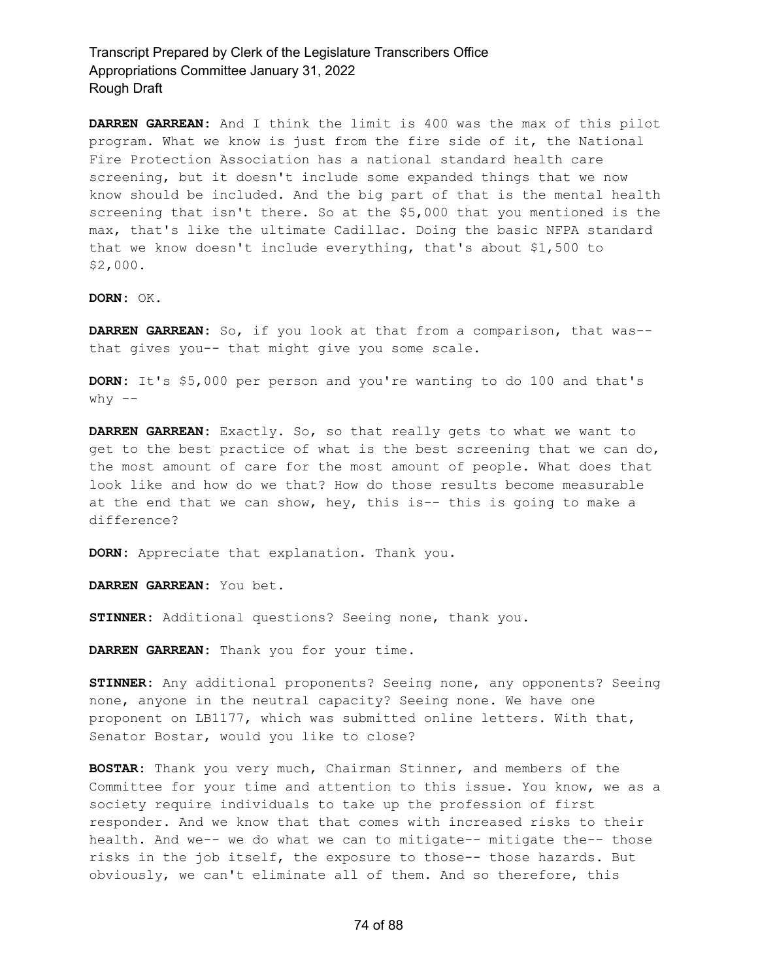**DARREN GARREAN:** And I think the limit is 400 was the max of this pilot program. What we know is just from the fire side of it, the National Fire Protection Association has a national standard health care screening, but it doesn't include some expanded things that we now know should be included. And the big part of that is the mental health screening that isn't there. So at the \$5,000 that you mentioned is the max, that's like the ultimate Cadillac. Doing the basic NFPA standard that we know doesn't include everything, that's about \$1,500 to \$2,000.

**DORN:** OK.

**DARREN GARREAN:** So, if you look at that from a comparison, that was- that gives you-- that might give you some scale.

**DORN:** It's \$5,000 per person and you're wanting to do 100 and that's  $why$   $--$ 

**DARREN GARREAN:** Exactly. So, so that really gets to what we want to get to the best practice of what is the best screening that we can do, the most amount of care for the most amount of people. What does that look like and how do we that? How do those results become measurable at the end that we can show, hey, this is-- this is going to make a difference?

**DORN:** Appreciate that explanation. Thank you.

**DARREN GARREAN:** You bet.

**STINNER:** Additional questions? Seeing none, thank you.

**DARREN GARREAN:** Thank you for your time.

**STINNER:** Any additional proponents? Seeing none, any opponents? Seeing none, anyone in the neutral capacity? Seeing none. We have one proponent on LB1177, which was submitted online letters. With that, Senator Bostar, would you like to close?

**BOSTAR:** Thank you very much, Chairman Stinner, and members of the Committee for your time and attention to this issue. You know, we as a society require individuals to take up the profession of first responder. And we know that that comes with increased risks to their health. And we-- we do what we can to mitigate-- mitigate the-- those risks in the job itself, the exposure to those-- those hazards. But obviously, we can't eliminate all of them. And so therefore, this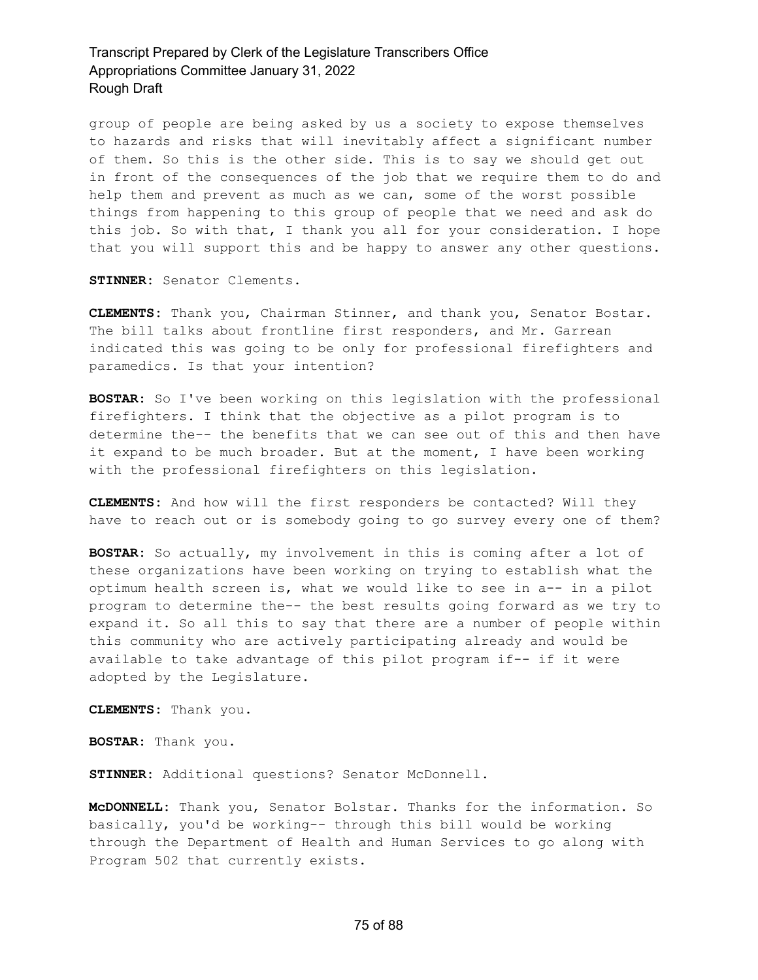group of people are being asked by us a society to expose themselves to hazards and risks that will inevitably affect a significant number of them. So this is the other side. This is to say we should get out in front of the consequences of the job that we require them to do and help them and prevent as much as we can, some of the worst possible things from happening to this group of people that we need and ask do this job. So with that, I thank you all for your consideration. I hope that you will support this and be happy to answer any other questions.

**STINNER:** Senator Clements.

**CLEMENTS:** Thank you, Chairman Stinner, and thank you, Senator Bostar. The bill talks about frontline first responders, and Mr. Garrean indicated this was going to be only for professional firefighters and paramedics. Is that your intention?

**BOSTAR:** So I've been working on this legislation with the professional firefighters. I think that the objective as a pilot program is to determine the-- the benefits that we can see out of this and then have it expand to be much broader. But at the moment, I have been working with the professional firefighters on this legislation.

**CLEMENTS:** And how will the first responders be contacted? Will they have to reach out or is somebody going to go survey every one of them?

**BOSTAR:** So actually, my involvement in this is coming after a lot of these organizations have been working on trying to establish what the optimum health screen is, what we would like to see in a-- in a pilot program to determine the-- the best results going forward as we try to expand it. So all this to say that there are a number of people within this community who are actively participating already and would be available to take advantage of this pilot program if-- if it were adopted by the Legislature.

**CLEMENTS:** Thank you.

**BOSTAR:** Thank you.

**STINNER:** Additional questions? Senator McDonnell.

**McDONNELL:** Thank you, Senator Bolstar. Thanks for the information. So basically, you'd be working-- through this bill would be working through the Department of Health and Human Services to go along with Program 502 that currently exists.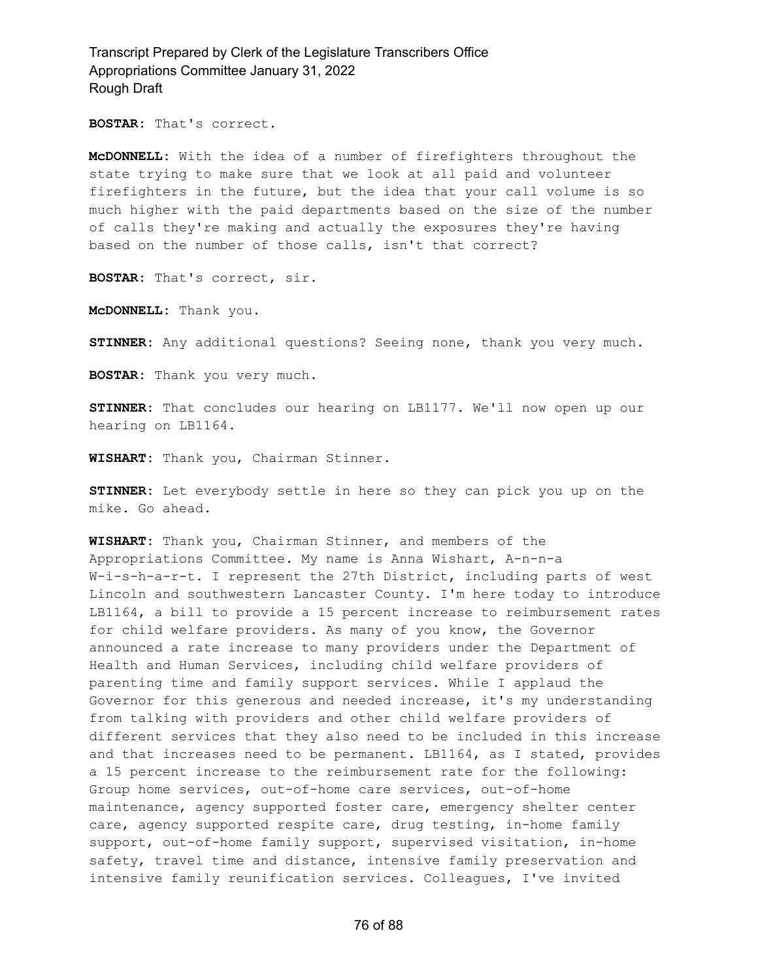**BOSTAR:** That's correct.

**McDONNELL:** With the idea of a number of firefighters throughout the state trying to make sure that we look at all paid and volunteer firefighters in the future, but the idea that your call volume is so much higher with the paid departments based on the size of the number of calls they're making and actually the exposures they're having based on the number of those calls, isn't that correct?

**BOSTAR:** That's correct, sir.

**McDONNELL:** Thank you.

**STINNER:** Any additional questions? Seeing none, thank you very much.

**BOSTAR:** Thank you very much.

**STINNER:** That concludes our hearing on LB1177. We'll now open up our hearing on LB1164.

**WISHART:** Thank you, Chairman Stinner.

**STINNER:** Let everybody settle in here so they can pick you up on the mike. Go ahead.

**WISHART:** Thank you, Chairman Stinner, and members of the Appropriations Committee. My name is Anna Wishart, A-n-n-a W-i-s-h-a-r-t. I represent the 27th District, including parts of west Lincoln and southwestern Lancaster County. I'm here today to introduce LB1164, a bill to provide a 15 percent increase to reimbursement rates for child welfare providers. As many of you know, the Governor announced a rate increase to many providers under the Department of Health and Human Services, including child welfare providers of parenting time and family support services. While I applaud the Governor for this generous and needed increase, it's my understanding from talking with providers and other child welfare providers of different services that they also need to be included in this increase and that increases need to be permanent. LB1164, as I stated, provides a 15 percent increase to the reimbursement rate for the following: Group home services, out-of-home care services, out-of-home maintenance, agency supported foster care, emergency shelter center care, agency supported respite care, drug testing, in-home family support, out-of-home family support, supervised visitation, in-home safety, travel time and distance, intensive family preservation and intensive family reunification services. Colleagues, I've invited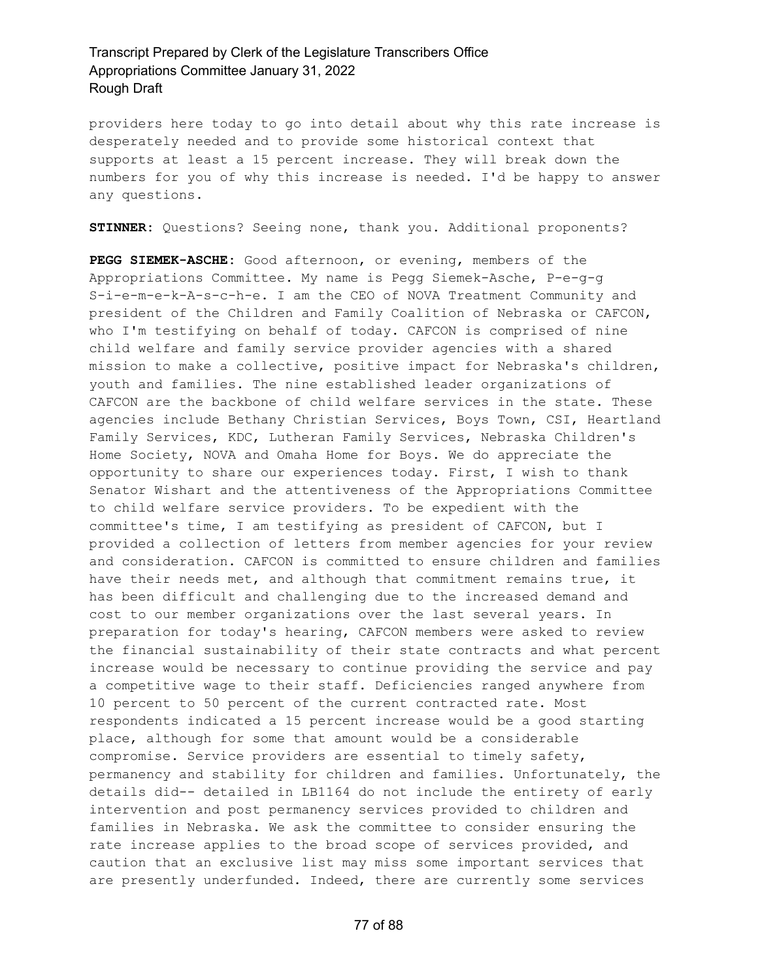providers here today to go into detail about why this rate increase is desperately needed and to provide some historical context that supports at least a 15 percent increase. They will break down the numbers for you of why this increase is needed. I'd be happy to answer any questions.

**STINNER:** Questions? Seeing none, thank you. Additional proponents?

**PEGG SIEMEK-ASCHE:** Good afternoon, or evening, members of the Appropriations Committee. My name is Pegg Siemek-Asche, P-e-g-g S-i-e-m-e-k-A-s-c-h-e. I am the CEO of NOVA Treatment Community and president of the Children and Family Coalition of Nebraska or CAFCON, who I'm testifying on behalf of today. CAFCON is comprised of nine child welfare and family service provider agencies with a shared mission to make a collective, positive impact for Nebraska's children, youth and families. The nine established leader organizations of CAFCON are the backbone of child welfare services in the state. These agencies include Bethany Christian Services, Boys Town, CSI, Heartland Family Services, KDC, Lutheran Family Services, Nebraska Children's Home Society, NOVA and Omaha Home for Boys. We do appreciate the opportunity to share our experiences today. First, I wish to thank Senator Wishart and the attentiveness of the Appropriations Committee to child welfare service providers. To be expedient with the committee's time, I am testifying as president of CAFCON, but I provided a collection of letters from member agencies for your review and consideration. CAFCON is committed to ensure children and families have their needs met, and although that commitment remains true, it has been difficult and challenging due to the increased demand and cost to our member organizations over the last several years. In preparation for today's hearing, CAFCON members were asked to review the financial sustainability of their state contracts and what percent increase would be necessary to continue providing the service and pay a competitive wage to their staff. Deficiencies ranged anywhere from 10 percent to 50 percent of the current contracted rate. Most respondents indicated a 15 percent increase would be a good starting place, although for some that amount would be a considerable compromise. Service providers are essential to timely safety, permanency and stability for children and families. Unfortunately, the details did-- detailed in LB1164 do not include the entirety of early intervention and post permanency services provided to children and families in Nebraska. We ask the committee to consider ensuring the rate increase applies to the broad scope of services provided, and caution that an exclusive list may miss some important services that are presently underfunded. Indeed, there are currently some services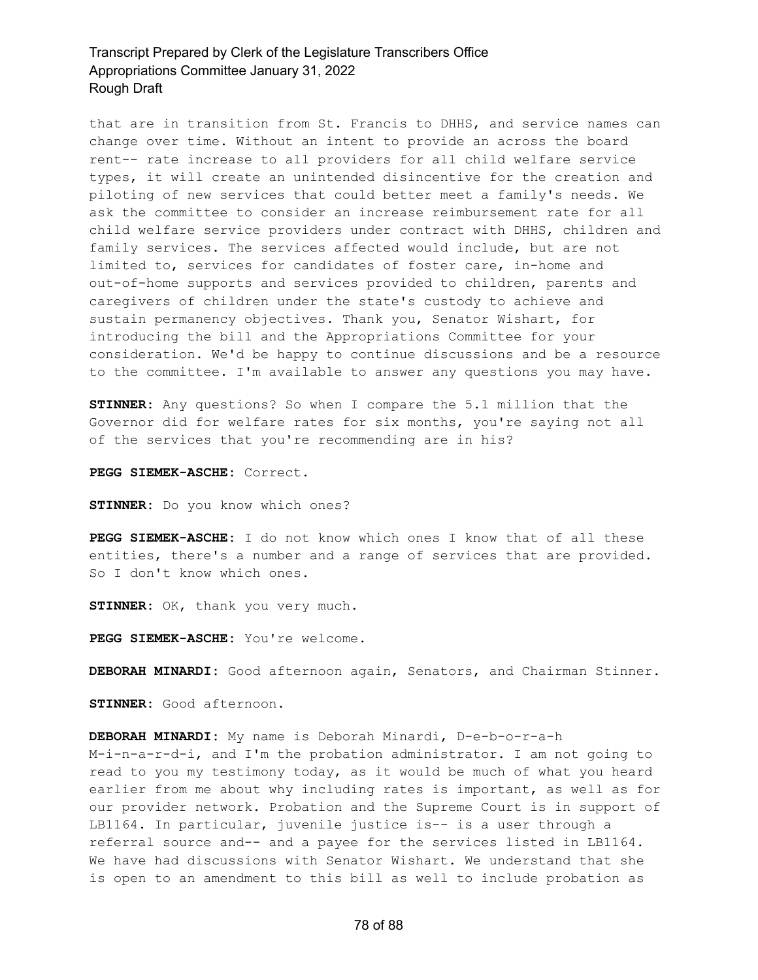that are in transition from St. Francis to DHHS, and service names can change over time. Without an intent to provide an across the board rent-- rate increase to all providers for all child welfare service types, it will create an unintended disincentive for the creation and piloting of new services that could better meet a family's needs. We ask the committee to consider an increase reimbursement rate for all child welfare service providers under contract with DHHS, children and family services. The services affected would include, but are not limited to, services for candidates of foster care, in-home and out-of-home supports and services provided to children, parents and caregivers of children under the state's custody to achieve and sustain permanency objectives. Thank you, Senator Wishart, for introducing the bill and the Appropriations Committee for your consideration. We'd be happy to continue discussions and be a resource to the committee. I'm available to answer any questions you may have.

**STINNER:** Any questions? So when I compare the 5.1 million that the Governor did for welfare rates for six months, you're saying not all of the services that you're recommending are in his?

**PEGG SIEMEK-ASCHE:** Correct.

**STINNER:** Do you know which ones?

**PEGG SIEMEK-ASCHE:** I do not know which ones I know that of all these entities, there's a number and a range of services that are provided. So I don't know which ones.

**STINNER:** OK, thank you very much.

**PEGG SIEMEK-ASCHE:** You're welcome.

**DEBORAH MINARDI:** Good afternoon again, Senators, and Chairman Stinner.

**STINNER:** Good afternoon.

**DEBORAH MINARDI:** My name is Deborah Minardi, D-e-b-o-r-a-h M-i-n-a-r-d-i, and I'm the probation administrator. I am not going to read to you my testimony today, as it would be much of what you heard earlier from me about why including rates is important, as well as for our provider network. Probation and the Supreme Court is in support of LB1164. In particular, juvenile justice is-- is a user through a referral source and-- and a payee for the services listed in LB1164. We have had discussions with Senator Wishart. We understand that she is open to an amendment to this bill as well to include probation as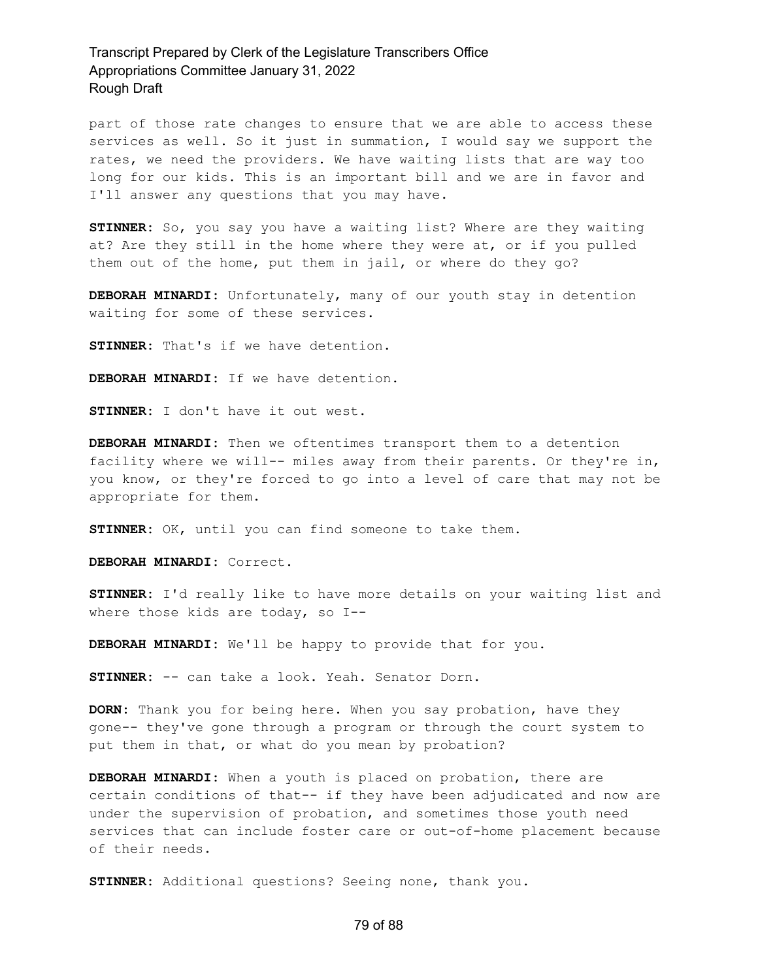part of those rate changes to ensure that we are able to access these services as well. So it just in summation, I would say we support the rates, we need the providers. We have waiting lists that are way too long for our kids. This is an important bill and we are in favor and I'll answer any questions that you may have.

**STINNER:** So, you say you have a waiting list? Where are they waiting at? Are they still in the home where they were at, or if you pulled them out of the home, put them in jail, or where do they go?

**DEBORAH MINARDI:** Unfortunately, many of our youth stay in detention waiting for some of these services.

**STINNER:** That's if we have detention.

**DEBORAH MINARDI:** If we have detention.

**STINNER:** I don't have it out west.

**DEBORAH MINARDI:** Then we oftentimes transport them to a detention facility where we will-- miles away from their parents. Or they're in, you know, or they're forced to go into a level of care that may not be appropriate for them.

**STINNER:** OK, until you can find someone to take them.

**DEBORAH MINARDI:** Correct.

**STINNER:** I'd really like to have more details on your waiting list and where those kids are today, so I--

**DEBORAH MINARDI:** We'll be happy to provide that for you.

**STINNER:** -- can take a look. Yeah. Senator Dorn.

**DORN:** Thank you for being here. When you say probation, have they gone-- they've gone through a program or through the court system to put them in that, or what do you mean by probation?

**DEBORAH MINARDI:** When a youth is placed on probation, there are certain conditions of that-- if they have been adjudicated and now are under the supervision of probation, and sometimes those youth need services that can include foster care or out-of-home placement because of their needs.

**STINNER:** Additional questions? Seeing none, thank you.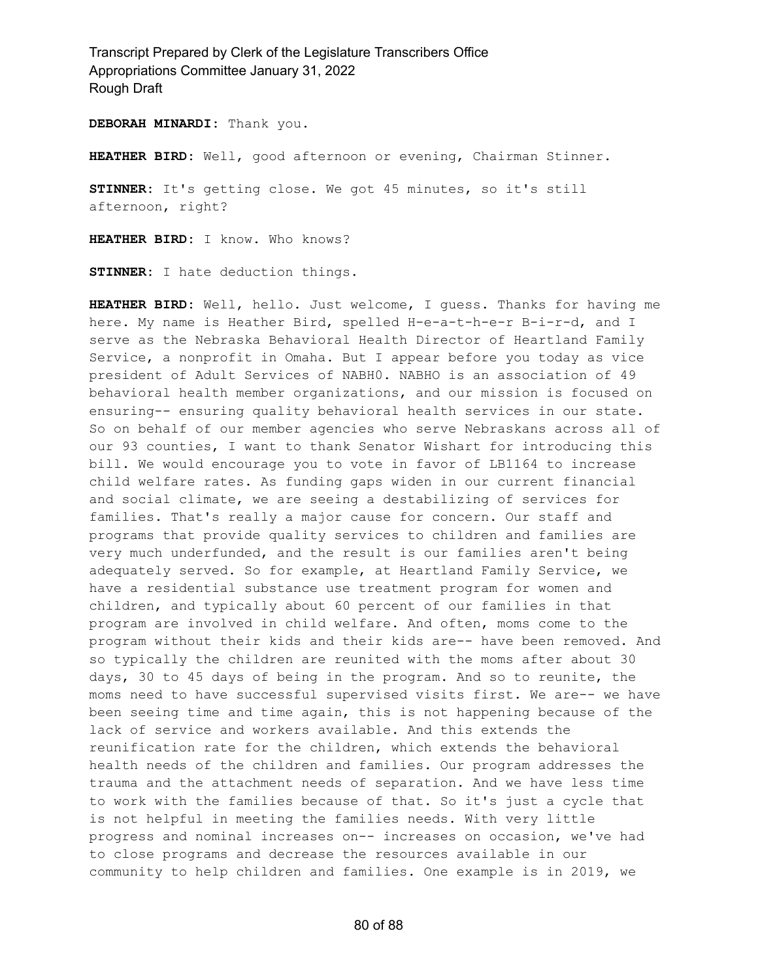**DEBORAH MINARDI:** Thank you.

**HEATHER BIRD:** Well, good afternoon or evening, Chairman Stinner.

**STINNER:** It's getting close. We got 45 minutes, so it's still afternoon, right?

**HEATHER BIRD:** I know. Who knows?

**STINNER:** I hate deduction things.

**HEATHER BIRD:** Well, hello. Just welcome, I guess. Thanks for having me here. My name is Heather Bird, spelled H-e-a-t-h-e-r B-i-r-d, and I serve as the Nebraska Behavioral Health Director of Heartland Family Service, a nonprofit in Omaha. But I appear before you today as vice president of Adult Services of NABH0. NABHO is an association of 49 behavioral health member organizations, and our mission is focused on ensuring-- ensuring quality behavioral health services in our state. So on behalf of our member agencies who serve Nebraskans across all of our 93 counties, I want to thank Senator Wishart for introducing this bill. We would encourage you to vote in favor of LB1164 to increase child welfare rates. As funding gaps widen in our current financial and social climate, we are seeing a destabilizing of services for families. That's really a major cause for concern. Our staff and programs that provide quality services to children and families are very much underfunded, and the result is our families aren't being adequately served. So for example, at Heartland Family Service, we have a residential substance use treatment program for women and children, and typically about 60 percent of our families in that program are involved in child welfare. And often, moms come to the program without their kids and their kids are-- have been removed. And so typically the children are reunited with the moms after about 30 days, 30 to 45 days of being in the program. And so to reunite, the moms need to have successful supervised visits first. We are-- we have been seeing time and time again, this is not happening because of the lack of service and workers available. And this extends the reunification rate for the children, which extends the behavioral health needs of the children and families. Our program addresses the trauma and the attachment needs of separation. And we have less time to work with the families because of that. So it's just a cycle that is not helpful in meeting the families needs. With very little progress and nominal increases on-- increases on occasion, we've had to close programs and decrease the resources available in our community to help children and families. One example is in 2019, we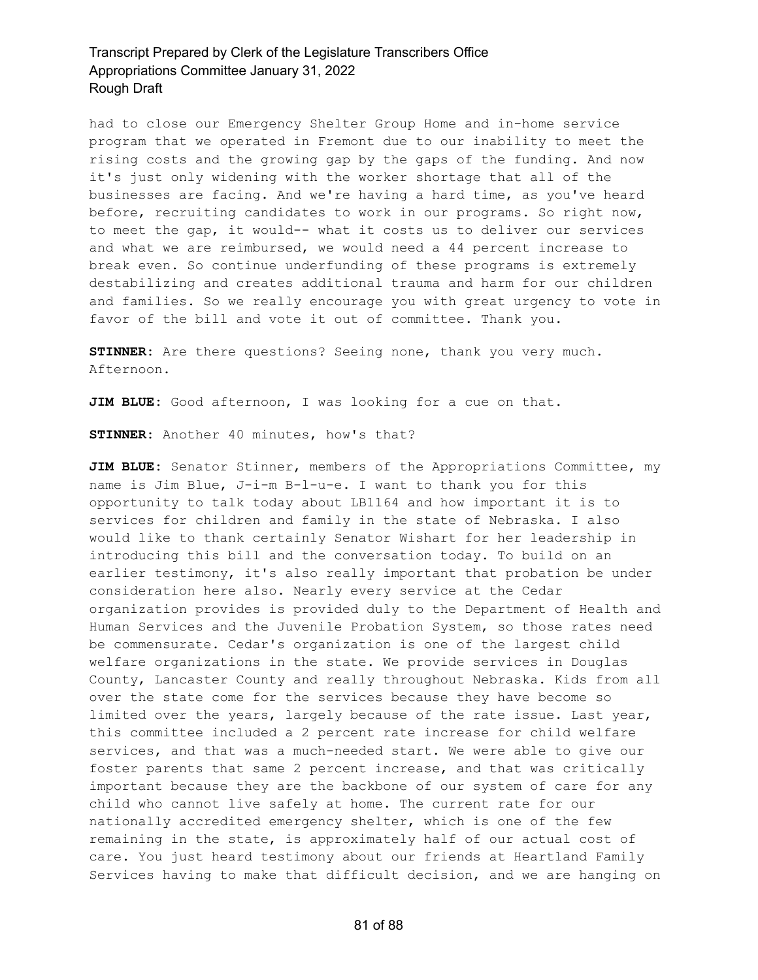had to close our Emergency Shelter Group Home and in-home service program that we operated in Fremont due to our inability to meet the rising costs and the growing gap by the gaps of the funding. And now it's just only widening with the worker shortage that all of the businesses are facing. And we're having a hard time, as you've heard before, recruiting candidates to work in our programs. So right now, to meet the gap, it would-- what it costs us to deliver our services and what we are reimbursed, we would need a 44 percent increase to break even. So continue underfunding of these programs is extremely destabilizing and creates additional trauma and harm for our children and families. So we really encourage you with great urgency to vote in favor of the bill and vote it out of committee. Thank you.

**STINNER:** Are there questions? Seeing none, thank you very much. Afternoon.

**JIM BLUE:** Good afternoon, I was looking for a cue on that.

**STINNER:** Another 40 minutes, how's that?

**JIM BLUE:** Senator Stinner, members of the Appropriations Committee, my name is Jim Blue, J-i-m B-l-u-e. I want to thank you for this opportunity to talk today about LB1164 and how important it is to services for children and family in the state of Nebraska. I also would like to thank certainly Senator Wishart for her leadership in introducing this bill and the conversation today. To build on an earlier testimony, it's also really important that probation be under consideration here also. Nearly every service at the Cedar organization provides is provided duly to the Department of Health and Human Services and the Juvenile Probation System, so those rates need be commensurate. Cedar's organization is one of the largest child welfare organizations in the state. We provide services in Douglas County, Lancaster County and really throughout Nebraska. Kids from all over the state come for the services because they have become so limited over the years, largely because of the rate issue. Last year, this committee included a 2 percent rate increase for child welfare services, and that was a much-needed start. We were able to give our foster parents that same 2 percent increase, and that was critically important because they are the backbone of our system of care for any child who cannot live safely at home. The current rate for our nationally accredited emergency shelter, which is one of the few remaining in the state, is approximately half of our actual cost of care. You just heard testimony about our friends at Heartland Family Services having to make that difficult decision, and we are hanging on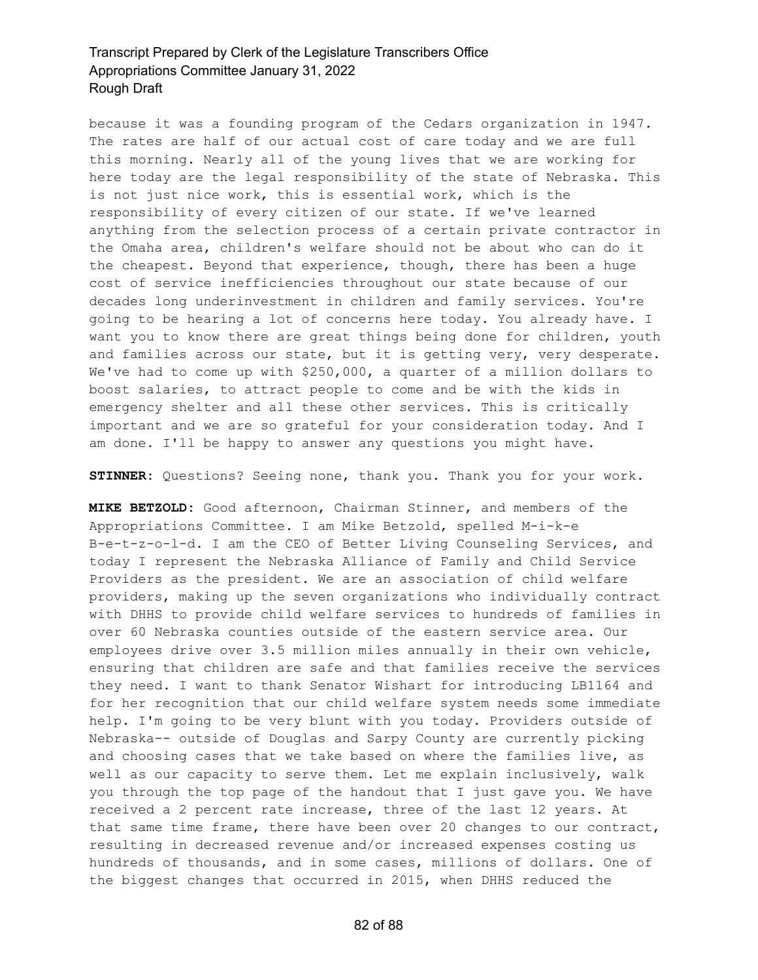because it was a founding program of the Cedars organization in 1947. The rates are half of our actual cost of care today and we are full this morning. Nearly all of the young lives that we are working for here today are the legal responsibility of the state of Nebraska. This is not just nice work, this is essential work, which is the responsibility of every citizen of our state. If we've learned anything from the selection process of a certain private contractor in the Omaha area, children's welfare should not be about who can do it the cheapest. Beyond that experience, though, there has been a huge cost of service inefficiencies throughout our state because of our decades long underinvestment in children and family services. You're going to be hearing a lot of concerns here today. You already have. I want you to know there are great things being done for children, youth and families across our state, but it is getting very, very desperate. We've had to come up with \$250,000, a quarter of a million dollars to boost salaries, to attract people to come and be with the kids in emergency shelter and all these other services. This is critically important and we are so grateful for your consideration today. And I am done. I'll be happy to answer any questions you might have.

**STINNER:** Questions? Seeing none, thank you. Thank you for your work.

**MIKE BETZOLD:** Good afternoon, Chairman Stinner, and members of the Appropriations Committee. I am Mike Betzold, spelled M-i-k-e B-e-t-z-o-l-d. I am the CEO of Better Living Counseling Services, and today I represent the Nebraska Alliance of Family and Child Service Providers as the president. We are an association of child welfare providers, making up the seven organizations who individually contract with DHHS to provide child welfare services to hundreds of families in over 60 Nebraska counties outside of the eastern service area. Our employees drive over 3.5 million miles annually in their own vehicle, ensuring that children are safe and that families receive the services they need. I want to thank Senator Wishart for introducing LB1164 and for her recognition that our child welfare system needs some immediate help. I'm going to be very blunt with you today. Providers outside of Nebraska-- outside of Douglas and Sarpy County are currently picking and choosing cases that we take based on where the families live, as well as our capacity to serve them. Let me explain inclusively, walk you through the top page of the handout that I just gave you. We have received a 2 percent rate increase, three of the last 12 years. At that same time frame, there have been over 20 changes to our contract, resulting in decreased revenue and/or increased expenses costing us hundreds of thousands, and in some cases, millions of dollars. One of the biggest changes that occurred in 2015, when DHHS reduced the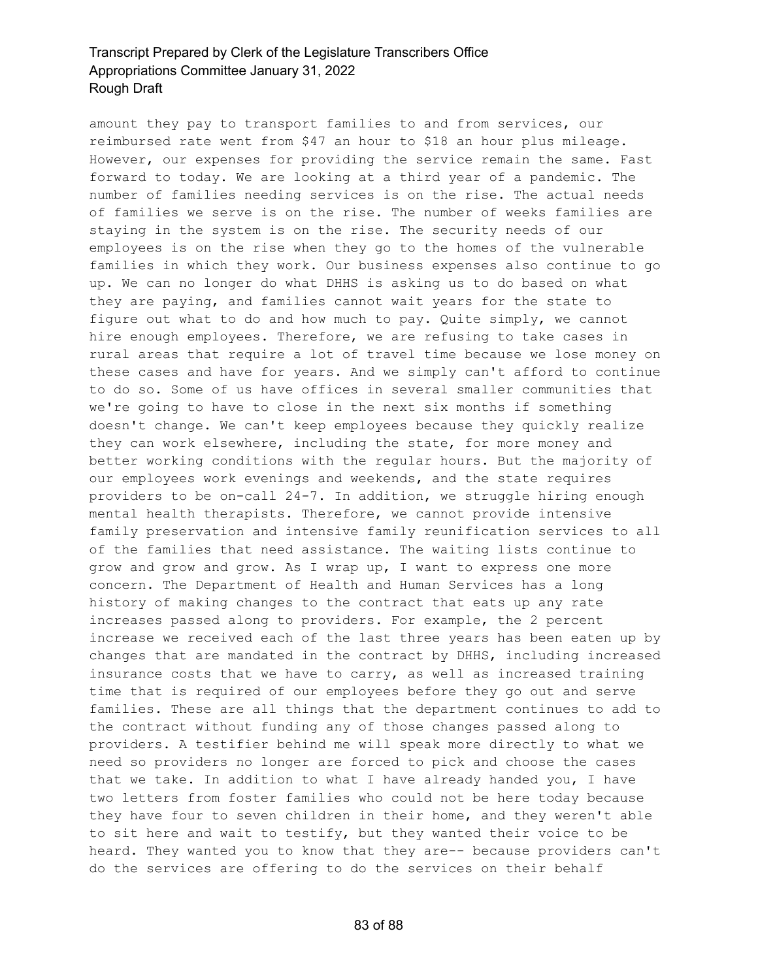amount they pay to transport families to and from services, our reimbursed rate went from \$47 an hour to \$18 an hour plus mileage. However, our expenses for providing the service remain the same. Fast forward to today. We are looking at a third year of a pandemic. The number of families needing services is on the rise. The actual needs of families we serve is on the rise. The number of weeks families are staying in the system is on the rise. The security needs of our employees is on the rise when they go to the homes of the vulnerable families in which they work. Our business expenses also continue to go up. We can no longer do what DHHS is asking us to do based on what they are paying, and families cannot wait years for the state to figure out what to do and how much to pay. Quite simply, we cannot hire enough employees. Therefore, we are refusing to take cases in rural areas that require a lot of travel time because we lose money on these cases and have for years. And we simply can't afford to continue to do so. Some of us have offices in several smaller communities that we're going to have to close in the next six months if something doesn't change. We can't keep employees because they quickly realize they can work elsewhere, including the state, for more money and better working conditions with the regular hours. But the majority of our employees work evenings and weekends, and the state requires providers to be on-call 24-7. In addition, we struggle hiring enough mental health therapists. Therefore, we cannot provide intensive family preservation and intensive family reunification services to all of the families that need assistance. The waiting lists continue to grow and grow and grow. As I wrap up, I want to express one more concern. The Department of Health and Human Services has a long history of making changes to the contract that eats up any rate increases passed along to providers. For example, the 2 percent increase we received each of the last three years has been eaten up by changes that are mandated in the contract by DHHS, including increased insurance costs that we have to carry, as well as increased training time that is required of our employees before they go out and serve families. These are all things that the department continues to add to the contract without funding any of those changes passed along to providers. A testifier behind me will speak more directly to what we need so providers no longer are forced to pick and choose the cases that we take. In addition to what I have already handed you, I have two letters from foster families who could not be here today because they have four to seven children in their home, and they weren't able to sit here and wait to testify, but they wanted their voice to be heard. They wanted you to know that they are-- because providers can't do the services are offering to do the services on their behalf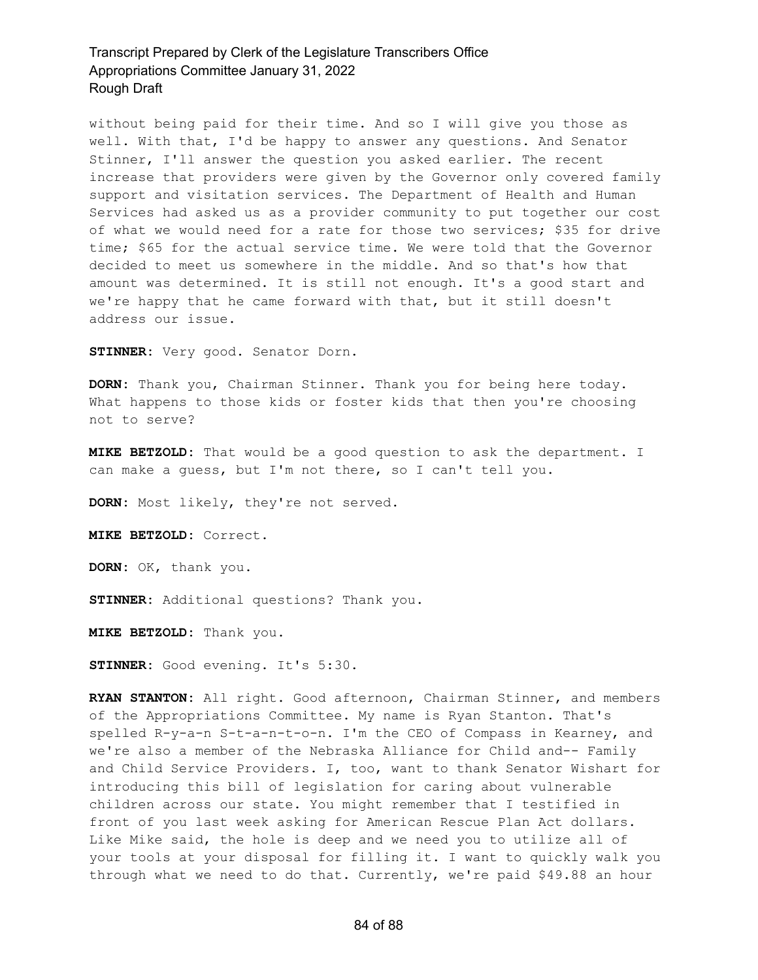without being paid for their time. And so I will give you those as well. With that, I'd be happy to answer any questions. And Senator Stinner, I'll answer the question you asked earlier. The recent increase that providers were given by the Governor only covered family support and visitation services. The Department of Health and Human Services had asked us as a provider community to put together our cost of what we would need for a rate for those two services; \$35 for drive time; \$65 for the actual service time. We were told that the Governor decided to meet us somewhere in the middle. And so that's how that amount was determined. It is still not enough. It's a good start and we're happy that he came forward with that, but it still doesn't address our issue.

**STINNER:** Very good. Senator Dorn.

**DORN:** Thank you, Chairman Stinner. Thank you for being here today. What happens to those kids or foster kids that then you're choosing not to serve?

**MIKE BETZOLD:** That would be a good question to ask the department. I can make a guess, but I'm not there, so I can't tell you.

**DORN:** Most likely, they're not served.

**MIKE BETZOLD:** Correct.

**DORN:** OK, thank you.

**STINNER:** Additional questions? Thank you.

**MIKE BETZOLD:** Thank you.

**STINNER:** Good evening. It's 5:30.

**RYAN STANTON:** All right. Good afternoon, Chairman Stinner, and members of the Appropriations Committee. My name is Ryan Stanton. That's spelled R-y-a-n S-t-a-n-t-o-n. I'm the CEO of Compass in Kearney, and we're also a member of the Nebraska Alliance for Child and-- Family and Child Service Providers. I, too, want to thank Senator Wishart for introducing this bill of legislation for caring about vulnerable children across our state. You might remember that I testified in front of you last week asking for American Rescue Plan Act dollars. Like Mike said, the hole is deep and we need you to utilize all of your tools at your disposal for filling it. I want to quickly walk you through what we need to do that. Currently, we're paid \$49.88 an hour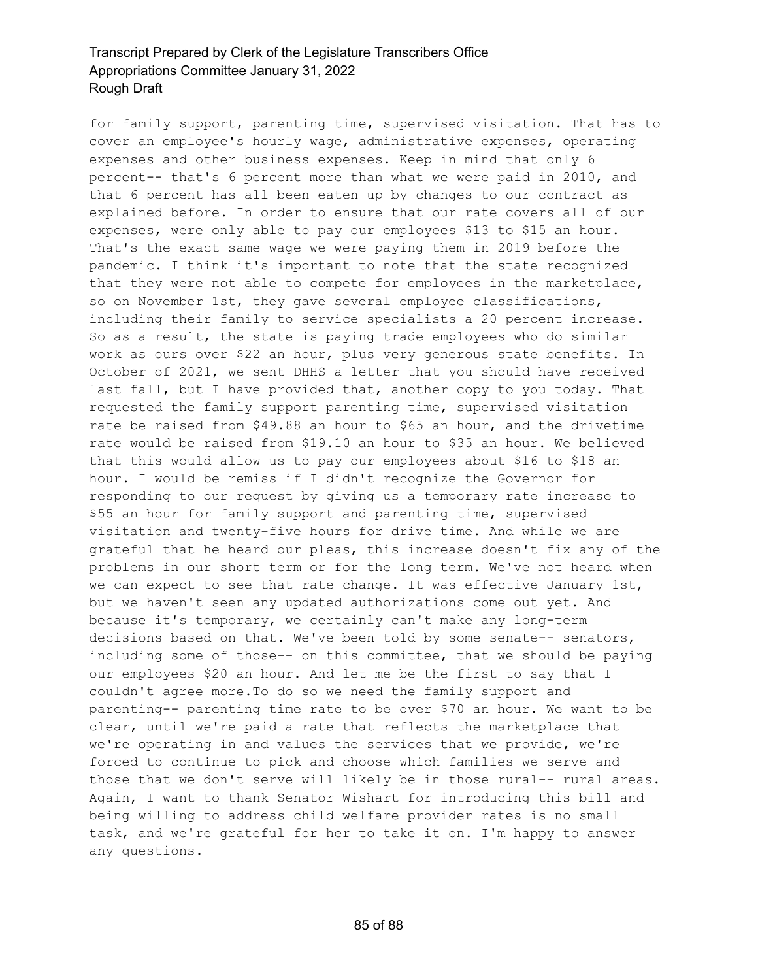for family support, parenting time, supervised visitation. That has to cover an employee's hourly wage, administrative expenses, operating expenses and other business expenses. Keep in mind that only 6 percent-- that's 6 percent more than what we were paid in 2010, and that 6 percent has all been eaten up by changes to our contract as explained before. In order to ensure that our rate covers all of our expenses, were only able to pay our employees \$13 to \$15 an hour. That's the exact same wage we were paying them in 2019 before the pandemic. I think it's important to note that the state recognized that they were not able to compete for employees in the marketplace, so on November 1st, they gave several employee classifications, including their family to service specialists a 20 percent increase. So as a result, the state is paying trade employees who do similar work as ours over \$22 an hour, plus very generous state benefits. In October of 2021, we sent DHHS a letter that you should have received last fall, but I have provided that, another copy to you today. That requested the family support parenting time, supervised visitation rate be raised from \$49.88 an hour to \$65 an hour, and the drivetime rate would be raised from \$19.10 an hour to \$35 an hour. We believed that this would allow us to pay our employees about \$16 to \$18 an hour. I would be remiss if I didn't recognize the Governor for responding to our request by giving us a temporary rate increase to \$55 an hour for family support and parenting time, supervised visitation and twenty-five hours for drive time. And while we are grateful that he heard our pleas, this increase doesn't fix any of the problems in our short term or for the long term. We've not heard when we can expect to see that rate change. It was effective January 1st, but we haven't seen any updated authorizations come out yet. And because it's temporary, we certainly can't make any long-term decisions based on that. We've been told by some senate-- senators, including some of those-- on this committee, that we should be paying our employees \$20 an hour. And let me be the first to say that I couldn't agree more.To do so we need the family support and parenting-- parenting time rate to be over \$70 an hour. We want to be clear, until we're paid a rate that reflects the marketplace that we're operating in and values the services that we provide, we're forced to continue to pick and choose which families we serve and those that we don't serve will likely be in those rural-- rural areas. Again, I want to thank Senator Wishart for introducing this bill and being willing to address child welfare provider rates is no small task, and we're grateful for her to take it on. I'm happy to answer any questions.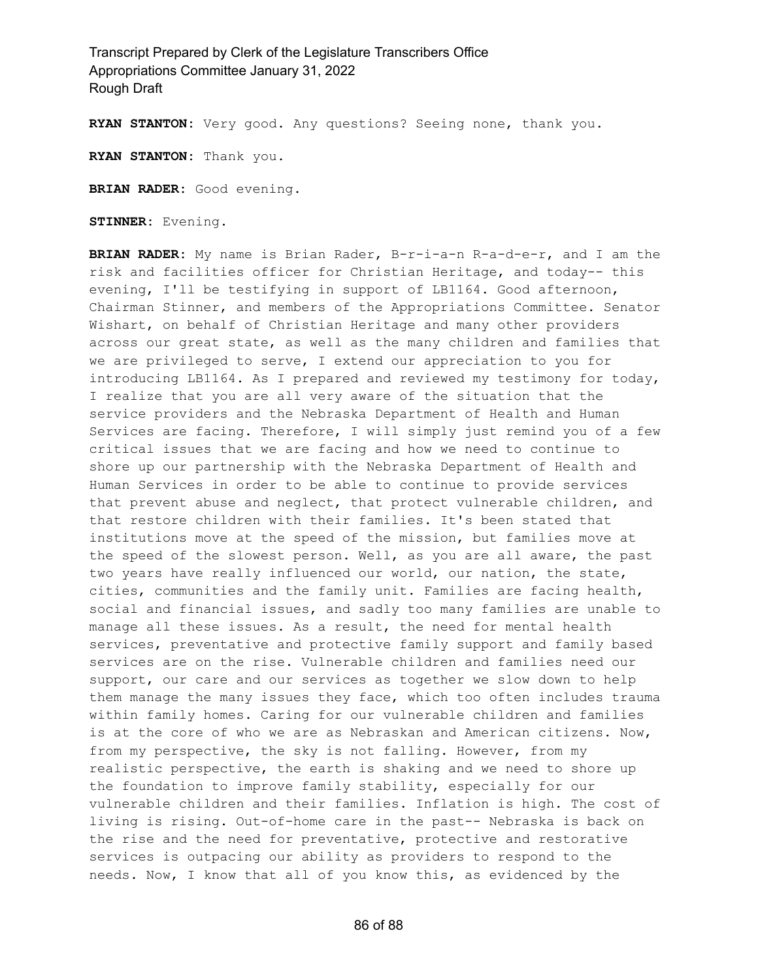**RYAN STANTON:** Very good. Any questions? Seeing none, thank you.

**RYAN STANTON:** Thank you.

**BRIAN RADER:** Good evening.

**STINNER:** Evening.

**BRIAN RADER:** My name is Brian Rader, B-r-i-a-n R-a-d-e-r, and I am the risk and facilities officer for Christian Heritage, and today-- this evening, I'll be testifying in support of LB1164. Good afternoon, Chairman Stinner, and members of the Appropriations Committee. Senator Wishart, on behalf of Christian Heritage and many other providers across our great state, as well as the many children and families that we are privileged to serve, I extend our appreciation to you for introducing LB1164. As I prepared and reviewed my testimony for today, I realize that you are all very aware of the situation that the service providers and the Nebraska Department of Health and Human Services are facing. Therefore, I will simply just remind you of a few critical issues that we are facing and how we need to continue to shore up our partnership with the Nebraska Department of Health and Human Services in order to be able to continue to provide services that prevent abuse and neglect, that protect vulnerable children, and that restore children with their families. It's been stated that institutions move at the speed of the mission, but families move at the speed of the slowest person. Well, as you are all aware, the past two years have really influenced our world, our nation, the state, cities, communities and the family unit. Families are facing health, social and financial issues, and sadly too many families are unable to manage all these issues. As a result, the need for mental health services, preventative and protective family support and family based services are on the rise. Vulnerable children and families need our support, our care and our services as together we slow down to help them manage the many issues they face, which too often includes trauma within family homes. Caring for our vulnerable children and families is at the core of who we are as Nebraskan and American citizens. Now, from my perspective, the sky is not falling. However, from my realistic perspective, the earth is shaking and we need to shore up the foundation to improve family stability, especially for our vulnerable children and their families. Inflation is high. The cost of living is rising. Out-of-home care in the past-- Nebraska is back on the rise and the need for preventative, protective and restorative services is outpacing our ability as providers to respond to the needs. Now, I know that all of you know this, as evidenced by the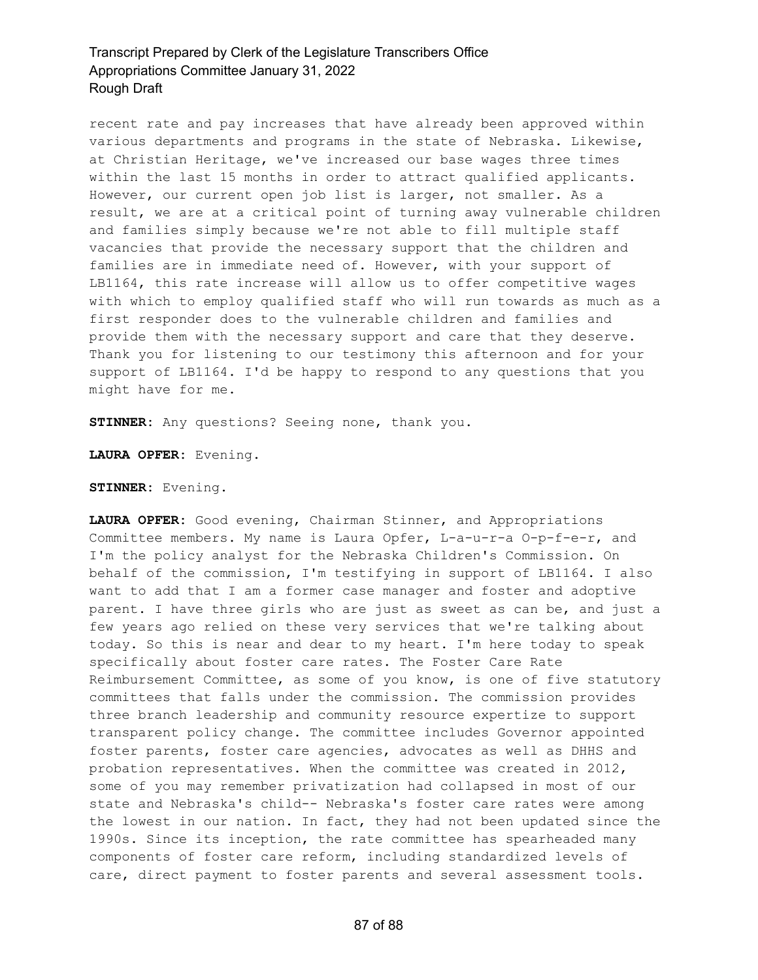recent rate and pay increases that have already been approved within various departments and programs in the state of Nebraska. Likewise, at Christian Heritage, we've increased our base wages three times within the last 15 months in order to attract qualified applicants. However, our current open job list is larger, not smaller. As a result, we are at a critical point of turning away vulnerable children and families simply because we're not able to fill multiple staff vacancies that provide the necessary support that the children and families are in immediate need of. However, with your support of LB1164, this rate increase will allow us to offer competitive wages with which to employ qualified staff who will run towards as much as a first responder does to the vulnerable children and families and provide them with the necessary support and care that they deserve. Thank you for listening to our testimony this afternoon and for your support of LB1164. I'd be happy to respond to any questions that you might have for me.

**STINNER:** Any questions? Seeing none, thank you.

**LAURA OPFER:** Evening.

**STINNER:** Evening.

**LAURA OPFER:** Good evening, Chairman Stinner, and Appropriations Committee members. My name is Laura Opfer, L-a-u-r-a O-p-f-e-r, and I'm the policy analyst for the Nebraska Children's Commission. On behalf of the commission, I'm testifying in support of LB1164. I also want to add that I am a former case manager and foster and adoptive parent. I have three girls who are just as sweet as can be, and just a few years ago relied on these very services that we're talking about today. So this is near and dear to my heart. I'm here today to speak specifically about foster care rates. The Foster Care Rate Reimbursement Committee, as some of you know, is one of five statutory committees that falls under the commission. The commission provides three branch leadership and community resource expertize to support transparent policy change. The committee includes Governor appointed foster parents, foster care agencies, advocates as well as DHHS and probation representatives. When the committee was created in 2012, some of you may remember privatization had collapsed in most of our state and Nebraska's child-- Nebraska's foster care rates were among the lowest in our nation. In fact, they had not been updated since the 1990s. Since its inception, the rate committee has spearheaded many components of foster care reform, including standardized levels of care, direct payment to foster parents and several assessment tools.